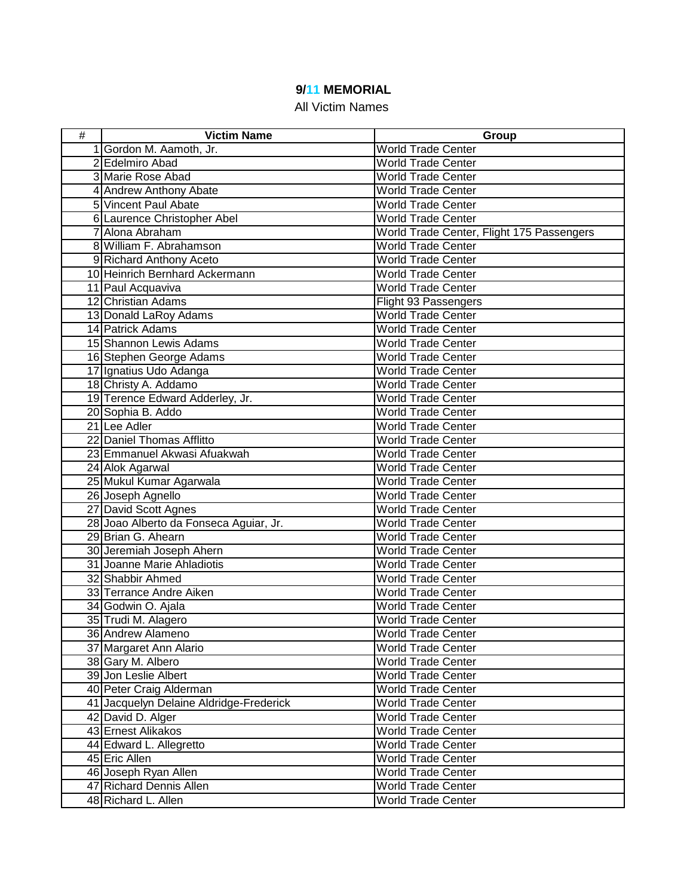## **9/11 MEMORIAL**

## All Victim Names

| $\#$ | <b>Victim Name</b>                                                 | Group                                                  |
|------|--------------------------------------------------------------------|--------------------------------------------------------|
|      | 1 Gordon M. Aamoth, Jr.                                            | <b>World Trade Center</b>                              |
|      | 2 Edelmiro Abad                                                    | <b>World Trade Center</b>                              |
|      | 3 Marie Rose Abad                                                  | <b>World Trade Center</b>                              |
|      | 4 Andrew Anthony Abate                                             | <b>World Trade Center</b>                              |
|      | 5 Vincent Paul Abate                                               | <b>World Trade Center</b>                              |
|      | 6 Laurence Christopher Abel                                        | <b>World Trade Center</b>                              |
|      | 7 Alona Abraham                                                    | World Trade Center, Flight 175 Passengers              |
|      | 8 William F. Abrahamson                                            | <b>World Trade Center</b>                              |
|      | 9 Richard Anthony Aceto                                            | <b>World Trade Center</b>                              |
|      | 10 Heinrich Bernhard Ackermann                                     | <b>World Trade Center</b>                              |
|      | 11 Paul Acquaviva                                                  | <b>World Trade Center</b>                              |
|      | 12 Christian Adams                                                 | Flight 93 Passengers                                   |
|      | 13 Donald LaRoy Adams                                              | <b>World Trade Center</b>                              |
|      | 14 Patrick Adams                                                   | <b>World Trade Center</b>                              |
|      | 15 Shannon Lewis Adams                                             | <b>World Trade Center</b>                              |
|      | 16 Stephen George Adams                                            | <b>World Trade Center</b>                              |
|      | 17 Ignatius Udo Adanga                                             | <b>World Trade Center</b>                              |
|      | 18 Christy A. Addamo                                               | <b>World Trade Center</b>                              |
|      | 19 Terence Edward Adderley, Jr.                                    | <b>World Trade Center</b>                              |
|      | 20 Sophia B. Addo                                                  | <b>World Trade Center</b>                              |
|      | 21 Lee Adler                                                       | <b>World Trade Center</b>                              |
|      | 22 Daniel Thomas Afflitto                                          | <b>World Trade Center</b>                              |
|      | 23 Emmanuel Akwasi Afuakwah                                        | <b>World Trade Center</b>                              |
|      | 24 Alok Agarwal                                                    | <b>World Trade Center</b>                              |
|      | 25 Mukul Kumar Agarwala                                            | <b>World Trade Center</b>                              |
|      | 26 Joseph Agnello                                                  | <b>World Trade Center</b>                              |
|      | 27 David Scott Agnes                                               | <b>World Trade Center</b>                              |
|      | 28 Joao Alberto da Fonseca Aguiar, Jr.                             | <b>World Trade Center</b>                              |
|      | 29 Brian G. Ahearn                                                 | <b>World Trade Center</b>                              |
|      | 30 Jeremiah Joseph Ahern                                           | <b>World Trade Center</b>                              |
|      | 31 Joanne Marie Ahladiotis                                         | <b>World Trade Center</b>                              |
|      | 32 Shabbir Ahmed                                                   | <b>World Trade Center</b>                              |
|      | 33 Terrance Andre Aiken                                            | <b>World Trade Center</b>                              |
|      | 34 Godwin O. Ajala                                                 | World Trade Center                                     |
|      | 35 Trudi M. Alagero                                                | <b>World Trade Center</b>                              |
|      | 36 Andrew Alameno                                                  | World Trade Center                                     |
|      | 37 Margaret Ann Alario                                             | <b>World Trade Center</b><br><b>World Trade Center</b> |
|      | 38 Gary M. Albero<br>39 Jon Leslie Albert                          |                                                        |
|      |                                                                    | <b>World Trade Center</b><br><b>World Trade Center</b> |
|      | 40 Peter Craig Alderman<br>41 Jacquelyn Delaine Aldridge-Frederick | <b>World Trade Center</b>                              |
|      | 42 David D. Alger                                                  | <b>World Trade Center</b>                              |
|      | 43 Ernest Alikakos                                                 | <b>World Trade Center</b>                              |
|      | 44 Edward L. Allegretto                                            | <b>World Trade Center</b>                              |
|      | 45 Eric Allen                                                      | <b>World Trade Center</b>                              |
|      | 46 Joseph Ryan Allen                                               | <b>World Trade Center</b>                              |
|      | 47 Richard Dennis Allen                                            | <b>World Trade Center</b>                              |
|      | 48 Richard L. Allen                                                | <b>World Trade Center</b>                              |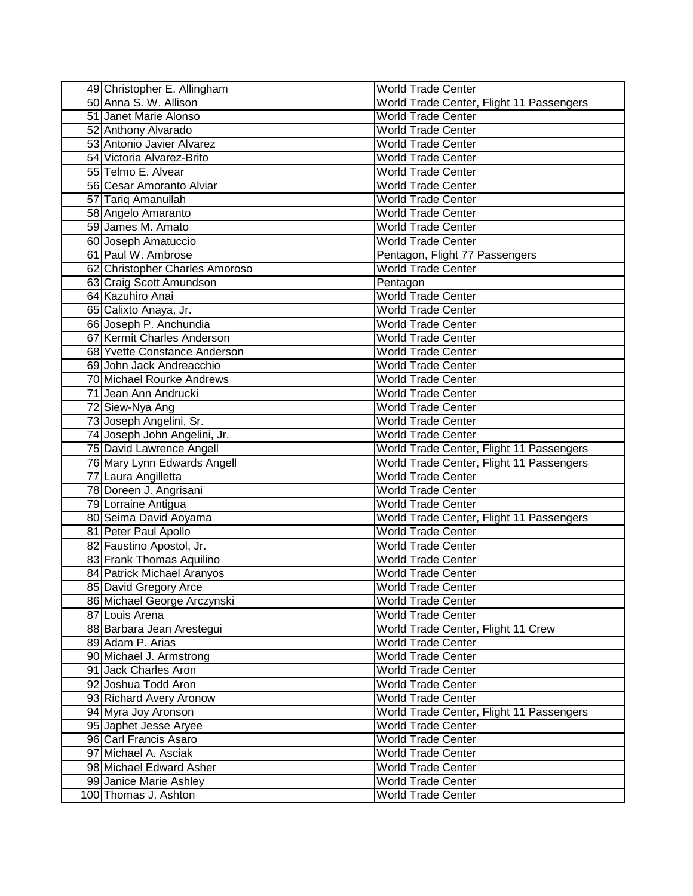| 49 Christopher E. Allingham    | <b>World Trade Center</b>                |
|--------------------------------|------------------------------------------|
| 50 Anna S. W. Allison          | World Trade Center, Flight 11 Passengers |
| 51 Janet Marie Alonso          | <b>World Trade Center</b>                |
| 52 Anthony Alvarado            | <b>World Trade Center</b>                |
| 53 Antonio Javier Alvarez      | <b>World Trade Center</b>                |
| 54 Victoria Alvarez-Brito      | <b>World Trade Center</b>                |
| 55 Telmo E. Alvear             | <b>World Trade Center</b>                |
| 56 Cesar Amoranto Alviar       | <b>World Trade Center</b>                |
| 57 Tariq Amanullah             | <b>World Trade Center</b>                |
| 58 Angelo Amaranto             | <b>World Trade Center</b>                |
| 59 James M. Amato              | <b>World Trade Center</b>                |
| 60 Joseph Amatuccio            | <b>World Trade Center</b>                |
| 61 Paul W. Ambrose             | Pentagon, Flight 77 Passengers           |
| 62 Christopher Charles Amoroso | <b>World Trade Center</b>                |
| 63 Craig Scott Amundson        | Pentagon                                 |
| 64 Kazuhiro Anai               | <b>World Trade Center</b>                |
| 65 Calixto Anaya, Jr.          | <b>World Trade Center</b>                |
| 66 Joseph P. Anchundia         | <b>World Trade Center</b>                |
| 67 Kermit Charles Anderson     | <b>World Trade Center</b>                |
| 68 Yvette Constance Anderson   | <b>World Trade Center</b>                |
| 69 John Jack Andreacchio       | <b>World Trade Center</b>                |
| 70 Michael Rourke Andrews      | <b>World Trade Center</b>                |
| 71 Jean Ann Andrucki           | <b>World Trade Center</b>                |
| 72 Siew-Nya Ang                | <b>World Trade Center</b>                |
| 73 Joseph Angelini, Sr.        | <b>World Trade Center</b>                |
| 74 Joseph John Angelini, Jr.   | <b>World Trade Center</b>                |
| 75 David Lawrence Angell       | World Trade Center, Flight 11 Passengers |
| 76 Mary Lynn Edwards Angell    | World Trade Center, Flight 11 Passengers |
| 77 Laura Angilletta            | <b>World Trade Center</b>                |
| 78 Doreen J. Angrisani         | <b>World Trade Center</b>                |
| 79 Lorraine Antigua            | World Trade Center                       |
| 80 Seima David Aoyama          | World Trade Center, Flight 11 Passengers |
| 81 Peter Paul Apollo           | <b>World Trade Center</b>                |
| 82 Faustino Apostol, Jr.       | <b>World Trade Center</b>                |
| 83 Frank Thomas Aquilino       | <b>World Trade Center</b>                |
| 84 Patrick Michael Aranyos     | <b>World Trade Center</b>                |
| 85 David Gregory Arce          | World Trade Center                       |
| 86 Michael George Arczynski    | <b>World Trade Center</b>                |
| 87 Louis Arena                 | <b>World Trade Center</b>                |
| 88 Barbara Jean Arestegui      | World Trade Center, Flight 11 Crew       |
| 89 Adam P. Arias               | World Trade Center                       |
| 90 Michael J. Armstrong        | <b>World Trade Center</b>                |
| 91 Jack Charles Aron           | <b>World Trade Center</b>                |
| 92 Joshua Todd Aron            | <b>World Trade Center</b>                |
| 93 Richard Avery Aronow        | <b>World Trade Center</b>                |
| 94 Myra Joy Aronson            | World Trade Center, Flight 11 Passengers |
| 95 Japhet Jesse Aryee          | <b>World Trade Center</b>                |
| 96 Carl Francis Asaro          | <b>World Trade Center</b>                |
| 97 Michael A. Asciak           | <b>World Trade Center</b>                |
| 98 Michael Edward Asher        | <b>World Trade Center</b>                |
| 99 Janice Marie Ashley         | <b>World Trade Center</b>                |
| 100 Thomas J. Ashton           | <b>World Trade Center</b>                |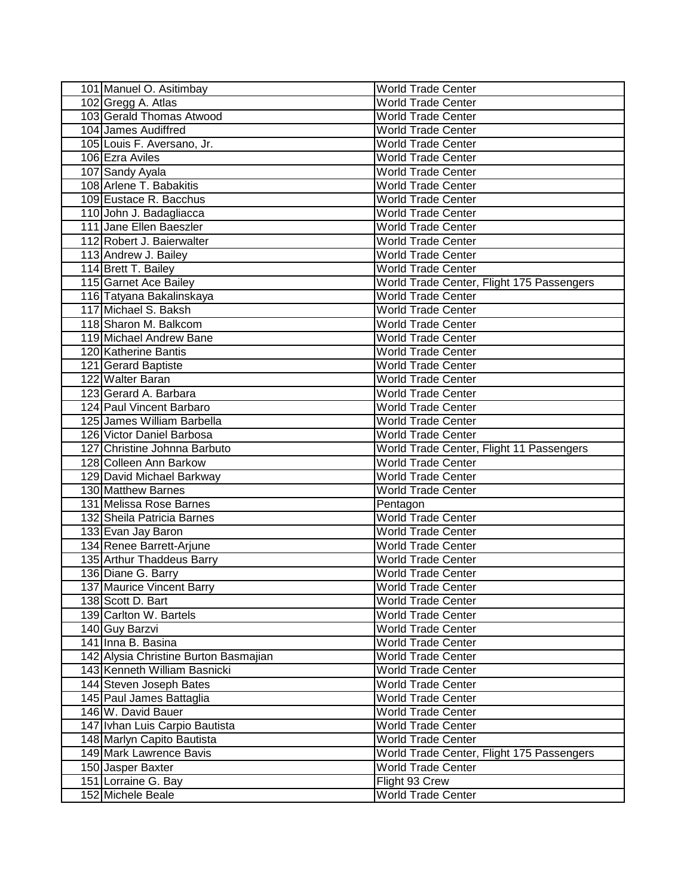| 101 Manuel O. Asitimbay               | <b>World Trade Center</b>                 |
|---------------------------------------|-------------------------------------------|
| 102 Gregg A. Atlas                    | <b>World Trade Center</b>                 |
| 103 Gerald Thomas Atwood              | <b>World Trade Center</b>                 |
| 104 James Audiffred                   | <b>World Trade Center</b>                 |
| 105 Louis F. Aversano, Jr.            | <b>World Trade Center</b>                 |
| 106 Ezra Aviles                       | <b>World Trade Center</b>                 |
| 107 Sandy Ayala                       | <b>World Trade Center</b>                 |
| 108 Arlene T. Babakitis               | <b>World Trade Center</b>                 |
| 109 Eustace R. Bacchus                | <b>World Trade Center</b>                 |
| 110 John J. Badagliacca               | <b>World Trade Center</b>                 |
| 111 Jane Ellen Baeszler               | <b>World Trade Center</b>                 |
| 112 Robert J. Baierwalter             | <b>World Trade Center</b>                 |
| 113 Andrew J. Bailey                  | <b>World Trade Center</b>                 |
| 114 Brett T. Bailey                   | <b>World Trade Center</b>                 |
| 115 Garnet Ace Bailey                 | World Trade Center, Flight 175 Passengers |
| 116 Tatyana Bakalinskaya              | <b>World Trade Center</b>                 |
| 117 Michael S. Baksh                  | <b>World Trade Center</b>                 |
| 118 Sharon M. Balkcom                 | <b>World Trade Center</b>                 |
| 119 Michael Andrew Bane               | <b>World Trade Center</b>                 |
| 120 Katherine Bantis                  | <b>World Trade Center</b>                 |
| 121 Gerard Baptiste                   | <b>World Trade Center</b>                 |
| 122 Walter Baran                      | <b>World Trade Center</b>                 |
| 123 Gerard A. Barbara                 | <b>World Trade Center</b>                 |
| 124 Paul Vincent Barbaro              | <b>World Trade Center</b>                 |
| 125 James William Barbella            | <b>World Trade Center</b>                 |
| 126 Victor Daniel Barbosa             | <b>World Trade Center</b>                 |
| 127 Christine Johnna Barbuto          | World Trade Center, Flight 11 Passengers  |
| 128 Colleen Ann Barkow                | <b>World Trade Center</b>                 |
| 129 David Michael Barkway             | <b>World Trade Center</b>                 |
| 130 Matthew Barnes                    | <b>World Trade Center</b>                 |
| 131 Melissa Rose Barnes               | Pentagon                                  |
| 132 Sheila Patricia Barnes            | <b>World Trade Center</b>                 |
| 133 Evan Jay Baron                    | <b>World Trade Center</b>                 |
| 134 Renee Barrett-Arjune              | World Trade Center                        |
| 135 Arthur Thaddeus Barry             | <b>World Trade Center</b>                 |
| 136 Diane G. Barry                    | <b>World Trade Center</b>                 |
| 137 Maurice Vincent Barry             | World Trade Center                        |
| 138 Scott D. Bart                     | <b>World Trade Center</b>                 |
| 139 Carlton W. Bartels                | <b>World Trade Center</b>                 |
| 140 Guy Barzvi                        | <b>World Trade Center</b>                 |
| 141 Inna B. Basina                    | <b>World Trade Center</b>                 |
| 142 Alysia Christine Burton Basmajian | <b>World Trade Center</b>                 |
| 143 Kenneth William Basnicki          | <b>World Trade Center</b>                 |
| 144 Steven Joseph Bates               | <b>World Trade Center</b>                 |
| 145 Paul James Battaglia              | <b>World Trade Center</b>                 |
| 146 W. David Bauer                    | <b>World Trade Center</b>                 |
| 147 Ivhan Luis Carpio Bautista        | <b>World Trade Center</b>                 |
| 148 Marlyn Capito Bautista            | <b>World Trade Center</b>                 |
| 149 Mark Lawrence Bavis               | World Trade Center, Flight 175 Passengers |
| 150 Jasper Baxter                     | <b>World Trade Center</b>                 |
| 151 Lorraine G. Bay                   | Flight 93 Crew                            |
| 152 Michele Beale                     | <b>World Trade Center</b>                 |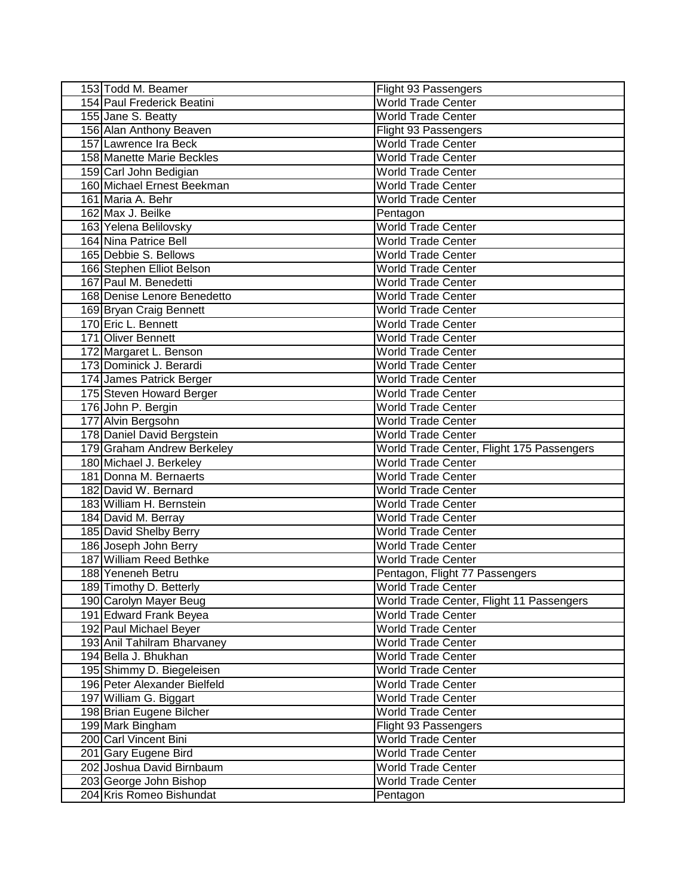| 153 Todd M. Beamer           | Flight 93 Passengers                      |
|------------------------------|-------------------------------------------|
| 154 Paul Frederick Beatini   | World Trade Center                        |
| 155 Jane S. Beatty           | <b>World Trade Center</b>                 |
| 156 Alan Anthony Beaven      | Flight 93 Passengers                      |
| 157 Lawrence Ira Beck        | World Trade Center                        |
| 158 Manette Marie Beckles    | <b>World Trade Center</b>                 |
| 159 Carl John Bedigian       | <b>World Trade Center</b>                 |
| 160 Michael Ernest Beekman   | <b>World Trade Center</b>                 |
| 161 Maria A. Behr            | <b>World Trade Center</b>                 |
| 162 Max J. Beilke            | Pentagon                                  |
| 163 Yelena Belilovsky        | <b>World Trade Center</b>                 |
| 164 Nina Patrice Bell        | <b>World Trade Center</b>                 |
| 165 Debbie S. Bellows        | World Trade Center                        |
| 166 Stephen Elliot Belson    | <b>World Trade Center</b>                 |
| 167 Paul M. Benedetti        | World Trade Center                        |
| 168 Denise Lenore Benedetto  | <b>World Trade Center</b>                 |
| 169 Bryan Craig Bennett      | <b>World Trade Center</b>                 |
| 170 Eric L. Bennett          | <b>World Trade Center</b>                 |
| 171 Oliver Bennett           | <b>World Trade Center</b>                 |
| 172 Margaret L. Benson       | <b>World Trade Center</b>                 |
| 173 Dominick J. Berardi      | <b>World Trade Center</b>                 |
| 174 James Patrick Berger     | <b>World Trade Center</b>                 |
| 175 Steven Howard Berger     | <b>World Trade Center</b>                 |
| 176 John P. Bergin           | <b>World Trade Center</b>                 |
| 177 Alvin Bergsohn           | <b>World Trade Center</b>                 |
| 178 Daniel David Bergstein   | <b>World Trade Center</b>                 |
| 179 Graham Andrew Berkeley   | World Trade Center, Flight 175 Passengers |
| 180 Michael J. Berkeley      | <b>World Trade Center</b>                 |
| 181 Donna M. Bernaerts       | <b>World Trade Center</b>                 |
| 182 David W. Bernard         | <b>World Trade Center</b>                 |
| 183 William H. Bernstein     | <b>World Trade Center</b>                 |
| 184 David M. Berray          | <b>World Trade Center</b>                 |
| 185 David Shelby Berry       | <b>World Trade Center</b>                 |
| 186 Joseph John Berry        | <b>World Trade Center</b>                 |
| 187 William Reed Bethke      | <b>World Trade Center</b>                 |
| 188 Yeneneh Betru            | Pentagon, Flight 77 Passengers            |
| 189 Timothy D. Betterly      | <b>World Trade Center</b>                 |
| 190 Carolyn Mayer Beug       | World Trade Center, Flight 11 Passengers  |
| 191 Edward Frank Beyea       | <b>World Trade Center</b>                 |
| 192 Paul Michael Beyer       | World Trade Center                        |
| 193 Anil Tahilram Bharvaney  | <b>World Trade Center</b>                 |
| 194 Bella J. Bhukhan         | <b>World Trade Center</b>                 |
| 195 Shimmy D. Biegeleisen    | <b>World Trade Center</b>                 |
| 196 Peter Alexander Bielfeld | <b>World Trade Center</b>                 |
| 197 William G. Biggart       | <b>World Trade Center</b>                 |
| 198 Brian Eugene Bilcher     | <b>World Trade Center</b>                 |
| 199 Mark Bingham             | Flight 93 Passengers                      |
| 200 Carl Vincent Bini        | <b>World Trade Center</b>                 |
| 201 Gary Eugene Bird         | <b>World Trade Center</b>                 |
| 202 Joshua David Birnbaum    | <b>World Trade Center</b>                 |
| 203 George John Bishop       | World Trade Center                        |
| 204 Kris Romeo Bishundat     | Pentagon                                  |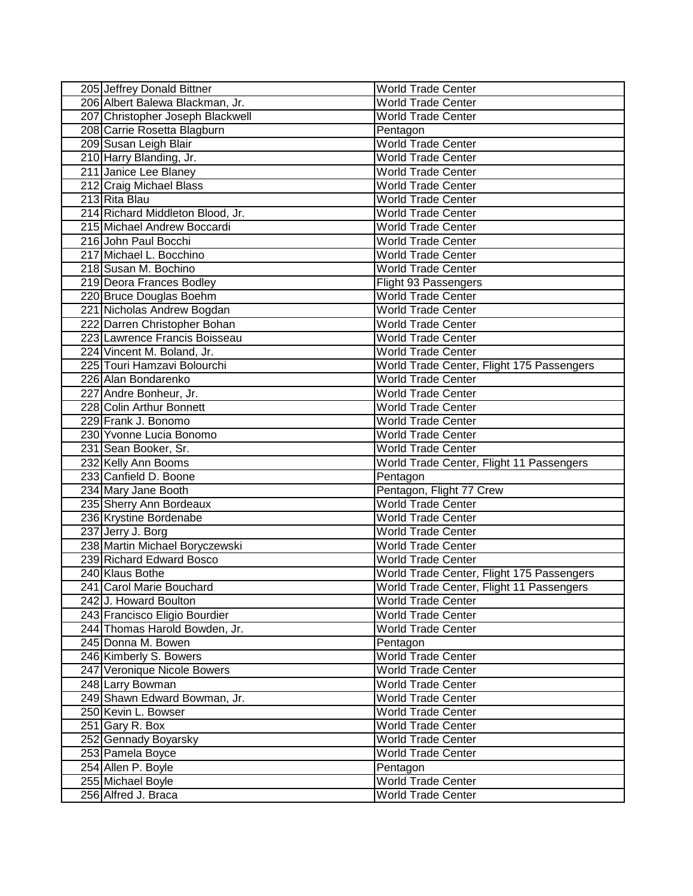| 205 Jeffrey Donald Bittner       | <b>World Trade Center</b>                 |
|----------------------------------|-------------------------------------------|
| 206 Albert Balewa Blackman, Jr.  | <b>World Trade Center</b>                 |
| 207 Christopher Joseph Blackwell | World Trade Center                        |
| 208 Carrie Rosetta Blagburn      | Pentagon                                  |
| 209 Susan Leigh Blair            | <b>World Trade Center</b>                 |
| 210 Harry Blanding, Jr.          | <b>World Trade Center</b>                 |
| 211 Janice Lee Blaney            | <b>World Trade Center</b>                 |
| 212 Craig Michael Blass          | <b>World Trade Center</b>                 |
| 213 Rita Blau                    | <b>World Trade Center</b>                 |
| 214 Richard Middleton Blood, Jr. | <b>World Trade Center</b>                 |
| 215 Michael Andrew Boccardi      | <b>World Trade Center</b>                 |
| 216 John Paul Bocchi             | <b>World Trade Center</b>                 |
| 217 Michael L. Bocchino          | <b>World Trade Center</b>                 |
| 218 Susan M. Bochino             | <b>World Trade Center</b>                 |
| 219 Deora Frances Bodley         | Flight 93 Passengers                      |
| 220 Bruce Douglas Boehm          | <b>World Trade Center</b>                 |
| 221 Nicholas Andrew Bogdan       | <b>World Trade Center</b>                 |
| 222 Darren Christopher Bohan     | <b>World Trade Center</b>                 |
| 223 Lawrence Francis Boisseau    | <b>World Trade Center</b>                 |
| 224 Vincent M. Boland, Jr.       | <b>World Trade Center</b>                 |
| 225 Touri Hamzavi Bolourchi      | World Trade Center, Flight 175 Passengers |
| 226 Alan Bondarenko              | <b>World Trade Center</b>                 |
| 227 Andre Bonheur, Jr.           | <b>World Trade Center</b>                 |
| 228 Colin Arthur Bonnett         | <b>World Trade Center</b>                 |
| 229 Frank J. Bonomo              | <b>World Trade Center</b>                 |
| 230 Yvonne Lucia Bonomo          | <b>World Trade Center</b>                 |
| 231 Sean Booker, Sr.             | <b>World Trade Center</b>                 |
| 232 Kelly Ann Booms              | World Trade Center, Flight 11 Passengers  |
| 233 Canfield D. Boone            | Pentagon                                  |
| 234 Mary Jane Booth              | Pentagon, Flight 77 Crew                  |
| 235 Sherry Ann Bordeaux          | <b>World Trade Center</b>                 |
| 236 Krystine Bordenabe           | <b>World Trade Center</b>                 |
| 237 Jerry J. Borg                | <b>World Trade Center</b>                 |
| 238 Martin Michael Boryczewski   | <b>World Trade Center</b>                 |
| 239 Richard Edward Bosco         | <b>World Trade Center</b>                 |
| 240 Klaus Bothe                  | World Trade Center, Flight 175 Passengers |
| 241 Carol Marie Bouchard         | World Trade Center, Flight 11 Passengers  |
| 242 J. Howard Boulton            | World Trade Center                        |
| 243 Francisco Eligio Bourdier    | <b>World Trade Center</b>                 |
| 244 Thomas Harold Bowden, Jr.    | <b>World Trade Center</b>                 |
| 245 Donna M. Bowen               | Pentagon                                  |
| 246 Kimberly S. Bowers           | <b>World Trade Center</b>                 |
| 247 Veronique Nicole Bowers      | <b>World Trade Center</b>                 |
| 248 Larry Bowman                 | <b>World Trade Center</b>                 |
| 249 Shawn Edward Bowman, Jr.     | <b>World Trade Center</b>                 |
| 250 Kevin L. Bowser              | <b>World Trade Center</b>                 |
| 251 Gary R. Box                  | <b>World Trade Center</b>                 |
| 252 Gennady Boyarsky             | <b>World Trade Center</b>                 |
| 253 Pamela Boyce                 | <b>World Trade Center</b>                 |
| 254 Allen P. Boyle               | Pentagon                                  |
| 255 Michael Boyle                | World Trade Center                        |
| 256 Alfred J. Braca              | World Trade Center                        |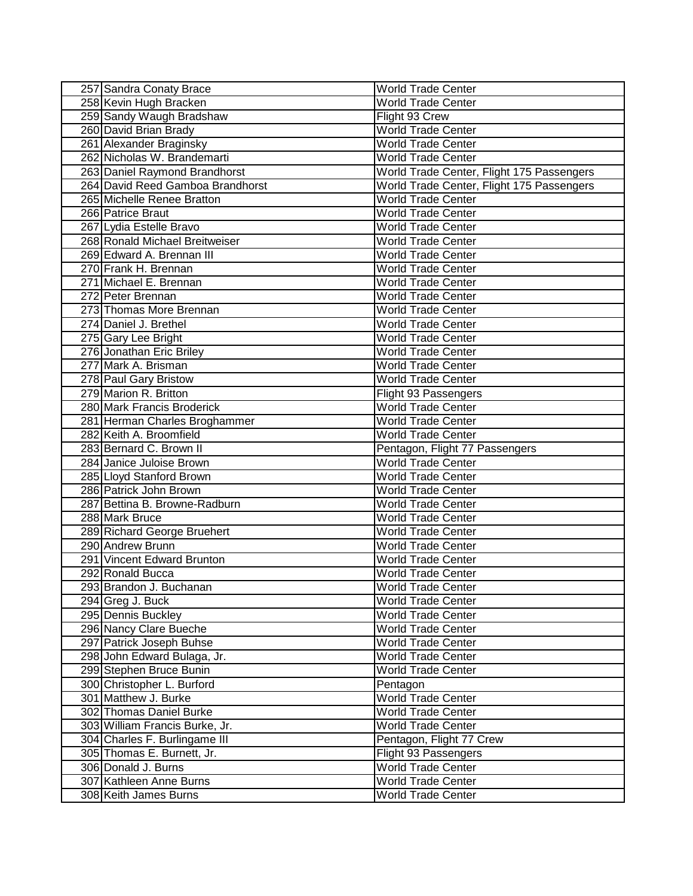| 257 Sandra Conaty Brace          | World Trade Center                        |
|----------------------------------|-------------------------------------------|
| 258 Kevin Hugh Bracken           | <b>World Trade Center</b>                 |
| 259 Sandy Waugh Bradshaw         | Flight 93 Crew                            |
| 260 David Brian Brady            | <b>World Trade Center</b>                 |
| 261 Alexander Braginsky          | <b>World Trade Center</b>                 |
| 262 Nicholas W. Brandemarti      | <b>World Trade Center</b>                 |
| 263 Daniel Raymond Brandhorst    | World Trade Center, Flight 175 Passengers |
| 264 David Reed Gamboa Brandhorst | World Trade Center, Flight 175 Passengers |
| 265 Michelle Renee Bratton       | <b>World Trade Center</b>                 |
| 266 Patrice Braut                | <b>World Trade Center</b>                 |
| 267 Lydia Estelle Bravo          | <b>World Trade Center</b>                 |
| 268 Ronald Michael Breitweiser   | <b>World Trade Center</b>                 |
| 269 Edward A. Brennan III        | <b>World Trade Center</b>                 |
| 270 Frank H. Brennan             | <b>World Trade Center</b>                 |
| 271 Michael E. Brennan           | <b>World Trade Center</b>                 |
| 272 Peter Brennan                | <b>World Trade Center</b>                 |
| 273 Thomas More Brennan          | <b>World Trade Center</b>                 |
| 274 Daniel J. Brethel            | <b>World Trade Center</b>                 |
| 275 Gary Lee Bright              | <b>World Trade Center</b>                 |
| 276 Jonathan Eric Briley         | <b>World Trade Center</b>                 |
| 277 Mark A. Brisman              | <b>World Trade Center</b>                 |
| 278 Paul Gary Bristow            | <b>World Trade Center</b>                 |
| 279 Marion R. Britton            | Flight 93 Passengers                      |
| 280 Mark Francis Broderick       | <b>World Trade Center</b>                 |
| 281 Herman Charles Broghammer    | <b>World Trade Center</b>                 |
| 282 Keith A. Broomfield          | World Trade Center                        |
| 283 Bernard C. Brown II          | Pentagon, Flight 77 Passengers            |
| 284 Janice Juloise Brown         | <b>World Trade Center</b>                 |
| 285 Lloyd Stanford Brown         | <b>World Trade Center</b>                 |
| 286 Patrick John Brown           | <b>World Trade Center</b>                 |
| 287 Bettina B. Browne-Radburn    | <b>World Trade Center</b>                 |
| 288 Mark Bruce                   | World Trade Center                        |
| 289 Richard George Bruehert      | <b>World Trade Center</b>                 |
| 290 Andrew Brunn                 | <b>World Trade Center</b>                 |
| 291 Vincent Edward Brunton       | <b>World Trade Center</b>                 |
| 292 Ronald Bucca                 | <b>World Trade Center</b>                 |
| 293 Brandon J. Buchanan          | World Trade Center                        |
| 294 Greg J. Buck                 | <b>World Trade Center</b>                 |
| 295 Dennis Buckley               | <b>World Trade Center</b>                 |
| 296 Nancy Clare Bueche           | <b>World Trade Center</b>                 |
| 297 Patrick Joseph Buhse         | <b>World Trade Center</b>                 |
| 298 John Edward Bulaga, Jr.      | <b>World Trade Center</b>                 |
| 299 Stephen Bruce Bunin          | <b>World Trade Center</b>                 |
| 300 Christopher L. Burford       | Pentagon                                  |
| 301 Matthew J. Burke             | <b>World Trade Center</b>                 |
| 302 Thomas Daniel Burke          | <b>World Trade Center</b>                 |
| 303 William Francis Burke, Jr.   | <b>World Trade Center</b>                 |
| 304 Charles F. Burlingame III    | Pentagon, Flight 77 Crew                  |
| 305 Thomas E. Burnett, Jr.       | Flight 93 Passengers                      |
| 306 Donald J. Burns              | <b>World Trade Center</b>                 |
| 307 Kathleen Anne Burns          | <b>World Trade Center</b>                 |
| 308 Keith James Burns            | <b>World Trade Center</b>                 |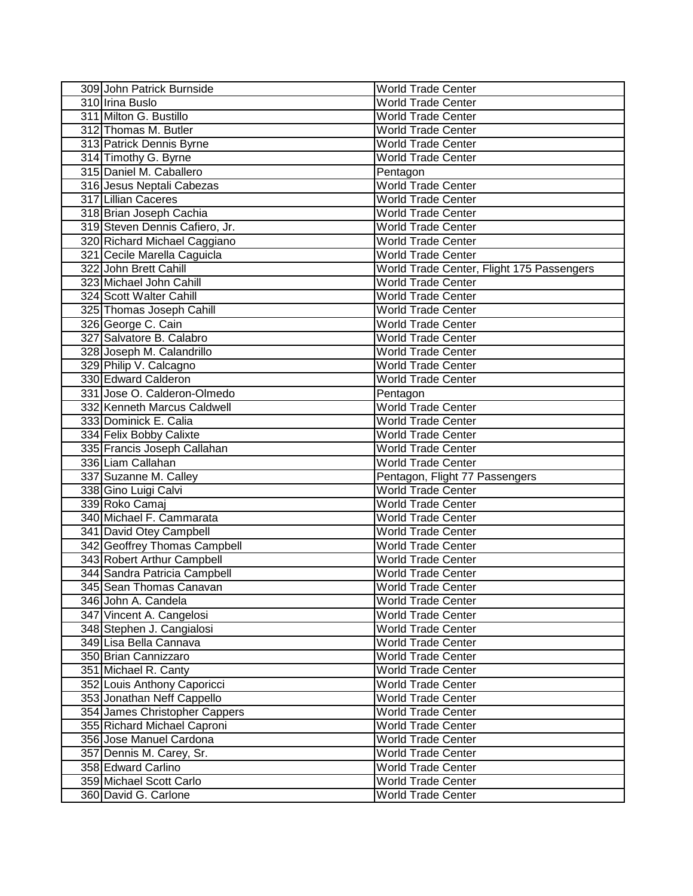|                          | 309 John Patrick Burnside      | <b>World Trade Center</b>                 |
|--------------------------|--------------------------------|-------------------------------------------|
| 310 Irina Buslo          |                                | World Trade Center                        |
| 311 Milton G. Bustillo   |                                | <b>World Trade Center</b>                 |
| 312 Thomas M. Butler     |                                | <b>World Trade Center</b>                 |
|                          | 313 Patrick Dennis Byrne       | <b>World Trade Center</b>                 |
| 314 Timothy G. Byrne     |                                | <b>World Trade Center</b>                 |
| 315 Daniel M. Caballero  |                                | Pentagon                                  |
|                          | 316 Jesus Neptali Cabezas      | <b>World Trade Center</b>                 |
| 317 Lillian Caceres      |                                | <b>World Trade Center</b>                 |
| 318 Brian Joseph Cachia  |                                | <b>World Trade Center</b>                 |
|                          | 319 Steven Dennis Cafiero, Jr. | <b>World Trade Center</b>                 |
|                          | 320 Richard Michael Caggiano   | <b>World Trade Center</b>                 |
|                          | 321 Cecile Marella Caguicla    | <b>World Trade Center</b>                 |
| 322 John Brett Cahill    |                                | World Trade Center, Flight 175 Passengers |
| 323 Michael John Cahill  |                                | <b>World Trade Center</b>                 |
| 324 Scott Walter Cahill  |                                | <b>World Trade Center</b>                 |
|                          | 325 Thomas Joseph Cahill       | <b>World Trade Center</b>                 |
| 326 George C. Cain       |                                | <b>World Trade Center</b>                 |
| 327 Salvatore B. Calabro |                                | <b>World Trade Center</b>                 |
|                          | 328 Joseph M. Calandrillo      | World Trade Center                        |
| 329 Philip V. Calcagno   |                                | <b>World Trade Center</b>                 |
| 330 Edward Calderon      |                                | <b>World Trade Center</b>                 |
|                          | 331 Jose O. Calderon-Olmedo    | Pentagon                                  |
|                          | 332 Kenneth Marcus Caldwell    | <b>World Trade Center</b>                 |
| 333 Dominick E. Calia    |                                | <b>World Trade Center</b>                 |
| 334 Felix Bobby Calixte  |                                | <b>World Trade Center</b>                 |
|                          | 335 Francis Joseph Callahan    | <b>World Trade Center</b>                 |
| 336 Liam Callahan        |                                | <b>World Trade Center</b>                 |
| 337 Suzanne M. Calley    |                                | Pentagon, Flight 77 Passengers            |
| 338 Gino Luigi Calvi     |                                | <b>World Trade Center</b>                 |
| 339 Roko Camaj           |                                | <b>World Trade Center</b>                 |
|                          | 340 Michael F. Cammarata       | <b>World Trade Center</b>                 |
|                          | 341 David Otey Campbell        | <b>World Trade Center</b>                 |
|                          | 342 Geoffrey Thomas Campbell   | <b>World Trade Center</b>                 |
|                          | 343 Robert Arthur Campbell     | <b>World Trade Center</b>                 |
|                          | 344 Sandra Patricia Campbell   | <b>World Trade Center</b>                 |
|                          | 345 Sean Thomas Canavan        | World Trade Center                        |
| 346 John A. Candela      |                                | <b>World Trade Center</b>                 |
|                          | 347 Vincent A. Cangelosi       | <b>World Trade Center</b>                 |
|                          | 348 Stephen J. Cangialosi      | <b>World Trade Center</b>                 |
| 349 Lisa Bella Cannava   |                                | <b>World Trade Center</b>                 |
| 350 Brian Cannizzaro     |                                | <b>World Trade Center</b>                 |
| 351 Michael R. Canty     |                                | <b>World Trade Center</b>                 |
|                          | 352 Louis Anthony Caporicci    | <b>World Trade Center</b>                 |
|                          | 353 Jonathan Neff Cappello     | <b>World Trade Center</b>                 |
|                          | 354 James Christopher Cappers  | <b>World Trade Center</b>                 |
|                          | 355 Richard Michael Caproni    | <b>World Trade Center</b>                 |
|                          | 356 Jose Manuel Cardona        | <b>World Trade Center</b>                 |
|                          | 357 Dennis M. Carey, Sr.       | <b>World Trade Center</b>                 |
| 358 Edward Carlino       |                                | <b>World Trade Center</b>                 |
| 359 Michael Scott Carlo  |                                | <b>World Trade Center</b>                 |
| 360 David G. Carlone     |                                | <b>World Trade Center</b>                 |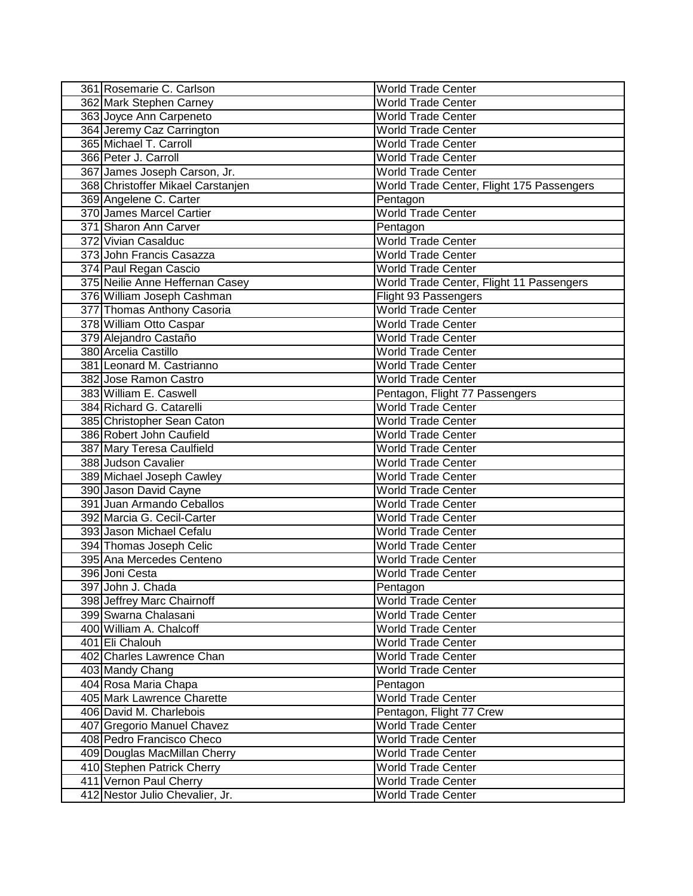| 361 Rosemarie C. Carlson          | World Trade Center                        |
|-----------------------------------|-------------------------------------------|
| 362 Mark Stephen Carney           | <b>World Trade Center</b>                 |
| 363 Joyce Ann Carpeneto           | <b>World Trade Center</b>                 |
| 364 Jeremy Caz Carrington         | <b>World Trade Center</b>                 |
| 365 Michael T. Carroll            | <b>World Trade Center</b>                 |
| 366 Peter J. Carroll              | <b>World Trade Center</b>                 |
| 367 James Joseph Carson, Jr.      | <b>World Trade Center</b>                 |
| 368 Christoffer Mikael Carstanjen | World Trade Center, Flight 175 Passengers |
| 369 Angelene C. Carter            | Pentagon                                  |
| 370 James Marcel Cartier          | <b>World Trade Center</b>                 |
| 371 Sharon Ann Carver             | Pentagon                                  |
| 372 Vivian Casalduc               | <b>World Trade Center</b>                 |
| 373 John Francis Casazza          | <b>World Trade Center</b>                 |
| 374 Paul Regan Cascio             | <b>World Trade Center</b>                 |
| 375 Neilie Anne Heffernan Casey   | World Trade Center, Flight 11 Passengers  |
| 376 William Joseph Cashman        | Flight 93 Passengers                      |
| 377 Thomas Anthony Casoria        | <b>World Trade Center</b>                 |
| 378 William Otto Caspar           | <b>World Trade Center</b>                 |
| 379 Alejandro Castaño             | <b>World Trade Center</b>                 |
| 380 Arcelia Castillo              | <b>World Trade Center</b>                 |
| 381 Leonard M. Castrianno         | <b>World Trade Center</b>                 |
| 382 Jose Ramon Castro             | <b>World Trade Center</b>                 |
| 383 William E. Caswell            | Pentagon, Flight 77 Passengers            |
| 384 Richard G. Catarelli          | <b>World Trade Center</b>                 |
| 385 Christopher Sean Caton        | <b>World Trade Center</b>                 |
| 386 Robert John Caufield          | <b>World Trade Center</b>                 |
| 387 Mary Teresa Caulfield         | <b>World Trade Center</b>                 |
| 388 Judson Cavalier               | <b>World Trade Center</b>                 |
| 389 Michael Joseph Cawley         | <b>World Trade Center</b>                 |
| 390 Jason David Cayne             | <b>World Trade Center</b>                 |
| 391 Juan Armando Ceballos         | <b>World Trade Center</b>                 |
| 392 Marcia G. Cecil-Carter        | <b>World Trade Center</b>                 |
| 393 Jason Michael Cefalu          | <b>World Trade Center</b>                 |
| 394 Thomas Joseph Celic           | <b>World Trade Center</b>                 |
| 395 Ana Mercedes Centeno          | <b>World Trade Center</b>                 |
| 396 Joni Cesta                    | <b>World Trade Center</b>                 |
| 397 John J. Chada                 | Pentagon                                  |
| 398 Jeffrey Marc Chairnoff        | World Trade Center                        |
| 399 Swarna Chalasani              | <b>World Trade Center</b>                 |
| 400 William A. Chalcoff           | <b>World Trade Center</b>                 |
| 401 Eli Chalouh                   | <b>World Trade Center</b>                 |
| 402 Charles Lawrence Chan         | <b>World Trade Center</b>                 |
| 403 Mandy Chang                   | <b>World Trade Center</b>                 |
| 404 Rosa Maria Chapa              | Pentagon                                  |
| 405 Mark Lawrence Charette        | <b>World Trade Center</b>                 |
| 406 David M. Charlebois           | Pentagon, Flight 77 Crew                  |
| 407 Gregorio Manuel Chavez        | World Trade Center                        |
| 408 Pedro Francisco Checo         | <b>World Trade Center</b>                 |
| 409 Douglas MacMillan Cherry      | <b>World Trade Center</b>                 |
| 410 Stephen Patrick Cherry        | <b>World Trade Center</b>                 |
| 411 Vernon Paul Cherry            | <b>World Trade Center</b>                 |
| 412 Nestor Julio Chevalier, Jr.   | <b>World Trade Center</b>                 |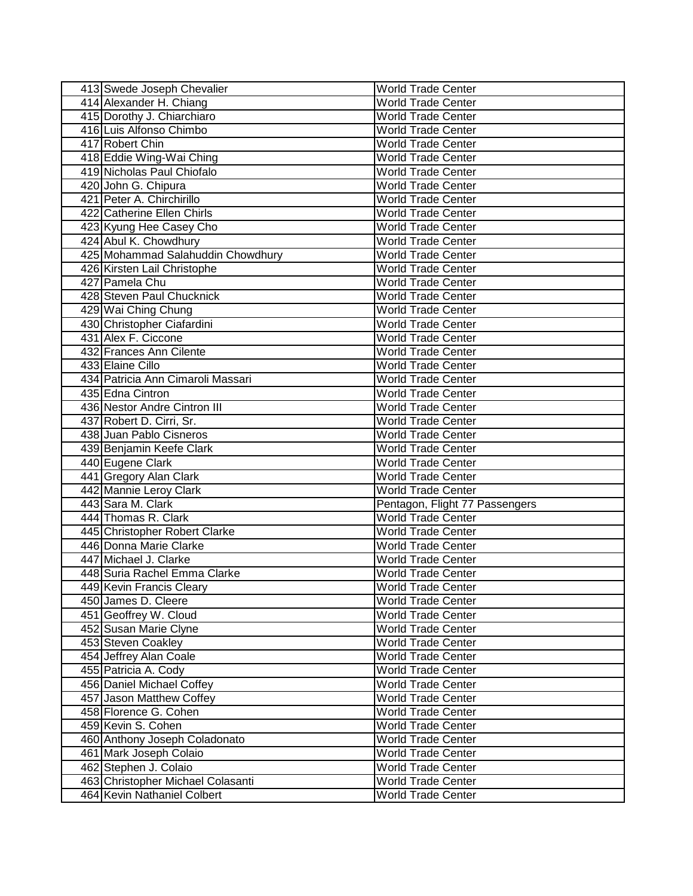| 413 Swede Joseph Chevalier        | <b>World Trade Center</b>      |
|-----------------------------------|--------------------------------|
| 414 Alexander H. Chiang           | <b>World Trade Center</b>      |
| 415 Dorothy J. Chiarchiaro        | <b>World Trade Center</b>      |
| 416 Luis Alfonso Chimbo           | <b>World Trade Center</b>      |
| 417 Robert Chin                   | <b>World Trade Center</b>      |
| 418 Eddie Wing-Wai Ching          | <b>World Trade Center</b>      |
| 419 Nicholas Paul Chiofalo        | <b>World Trade Center</b>      |
| 420 John G. Chipura               | <b>World Trade Center</b>      |
| 421 Peter A. Chirchirillo         | <b>World Trade Center</b>      |
| 422 Catherine Ellen Chirls        | <b>World Trade Center</b>      |
| 423 Kyung Hee Casey Cho           | <b>World Trade Center</b>      |
| 424 Abul K. Chowdhury             | <b>World Trade Center</b>      |
| 425 Mohammad Salahuddin Chowdhury | World Trade Center             |
| 426 Kirsten Lail Christophe       | <b>World Trade Center</b>      |
| 427 Pamela Chu                    | <b>World Trade Center</b>      |
| 428 Steven Paul Chucknick         | <b>World Trade Center</b>      |
| 429 Wai Ching Chung               | <b>World Trade Center</b>      |
| 430 Christopher Ciafardini        | <b>World Trade Center</b>      |
| 431 Alex F. Ciccone               | <b>World Trade Center</b>      |
| 432 Frances Ann Cilente           | <b>World Trade Center</b>      |
| 433 Elaine Cillo                  | <b>World Trade Center</b>      |
| 434 Patricia Ann Cimaroli Massari | <b>World Trade Center</b>      |
| 435 Edna Cintron                  | <b>World Trade Center</b>      |
| 436 Nestor Andre Cintron III      | <b>World Trade Center</b>      |
| 437 Robert D. Cirri, Sr.          | <b>World Trade Center</b>      |
| 438 Juan Pablo Cisneros           | <b>World Trade Center</b>      |
| 439 Benjamin Keefe Clark          | <b>World Trade Center</b>      |
| 440 Eugene Clark                  | <b>World Trade Center</b>      |
| 441 Gregory Alan Clark            | <b>World Trade Center</b>      |
| 442 Mannie Leroy Clark            | <b>World Trade Center</b>      |
| 443 Sara M. Clark                 | Pentagon, Flight 77 Passengers |
| 444 Thomas R. Clark               | <b>World Trade Center</b>      |
| 445 Christopher Robert Clarke     | <b>World Trade Center</b>      |
| 446 Donna Marie Clarke            | <b>World Trade Center</b>      |
| 447 Michael J. Clarke             | World Trade Center             |
| 448 Suria Rachel Emma Clarke      | <b>World Trade Center</b>      |
| 449 Kevin Francis Cleary          | <b>World Trade Center</b>      |
| 450 James D. Cleere               | World Trade Center             |
| 451 Geoffrey W. Cloud             | <b>World Trade Center</b>      |
| 452 Susan Marie Clyne             | <b>World Trade Center</b>      |
| 453 Steven Coakley                | <b>World Trade Center</b>      |
| 454 Jeffrey Alan Coale            | <b>World Trade Center</b>      |
| 455 Patricia A. Cody              | <b>World Trade Center</b>      |
| 456 Daniel Michael Coffey         | <b>World Trade Center</b>      |
| 457 Jason Matthew Coffey          | <b>World Trade Center</b>      |
| 458 Florence G. Cohen             | <b>World Trade Center</b>      |
| 459 Kevin S. Cohen                | World Trade Center             |
| 460 Anthony Joseph Coladonato     | <b>World Trade Center</b>      |
| 461 Mark Joseph Colaio            | World Trade Center             |
| 462 Stephen J. Colaio             | <b>World Trade Center</b>      |
| 463 Christopher Michael Colasanti | <b>World Trade Center</b>      |
| 464 Kevin Nathaniel Colbert       | <b>World Trade Center</b>      |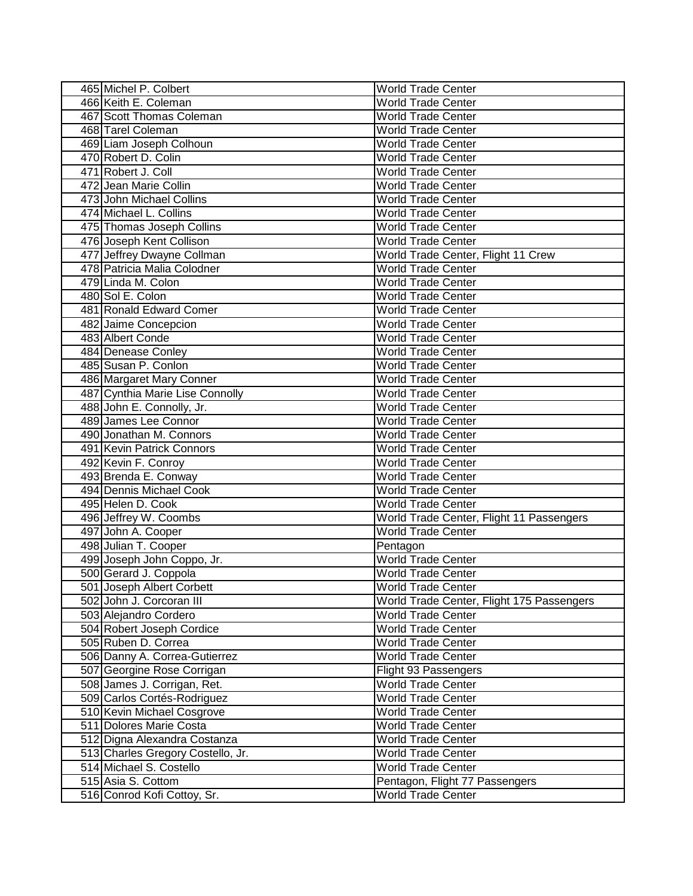| 465 Michel P. Colbert                             | <b>World Trade Center</b>                 |
|---------------------------------------------------|-------------------------------------------|
| 466 Keith E. Coleman                              | World Trade Center                        |
| 467 Scott Thomas Coleman                          | <b>World Trade Center</b>                 |
| 468 Tarel Coleman                                 | <b>World Trade Center</b>                 |
| 469 Liam Joseph Colhoun                           | <b>World Trade Center</b>                 |
| 470 Robert D. Colin                               | <b>World Trade Center</b>                 |
| 471 Robert J. Coll                                | <b>World Trade Center</b>                 |
| 472 Jean Marie Collin                             | <b>World Trade Center</b>                 |
| 473 John Michael Collins                          | <b>World Trade Center</b>                 |
| 474 Michael L. Collins                            | <b>World Trade Center</b>                 |
| 475 Thomas Joseph Collins                         | <b>World Trade Center</b>                 |
| 476 Joseph Kent Collison                          | <b>World Trade Center</b>                 |
| 477 Jeffrey Dwayne Collman                        | World Trade Center, Flight 11 Crew        |
| 478 Patricia Malia Colodner                       | <b>World Trade Center</b>                 |
| 479 Linda M. Colon                                | <b>World Trade Center</b>                 |
| 480 Sol E. Colon                                  | <b>World Trade Center</b>                 |
| 481 Ronald Edward Comer                           | <b>World Trade Center</b>                 |
| 482 Jaime Concepcion                              | <b>World Trade Center</b>                 |
| 483 Albert Conde                                  | <b>World Trade Center</b>                 |
| 484 Denease Conley                                | World Trade Center                        |
| 485 Susan P. Conlon                               | <b>World Trade Center</b>                 |
| 486 Margaret Mary Conner                          | <b>World Trade Center</b>                 |
| 487 Cynthia Marie Lise Connolly                   | <b>World Trade Center</b>                 |
| 488 John E. Connolly, Jr.                         | <b>World Trade Center</b>                 |
| 489 James Lee Connor                              | <b>World Trade Center</b>                 |
| 490 Jonathan M. Connors                           | <b>World Trade Center</b>                 |
| 491 Kevin Patrick Connors                         | <b>World Trade Center</b>                 |
| 492 Kevin F. Conroy                               | <b>World Trade Center</b>                 |
| 493 Brenda E. Conway                              | <b>World Trade Center</b>                 |
| 494 Dennis Michael Cook                           | <b>World Trade Center</b>                 |
| 495 Helen D. Cook                                 | <b>World Trade Center</b>                 |
| 496 Jeffrey W. Coombs                             | World Trade Center, Flight 11 Passengers  |
| 497 John A. Cooper                                | <b>World Trade Center</b>                 |
| 498 Julian T. Cooper                              | Pentagon                                  |
| 499 Joseph John Coppo, Jr.                        | <b>World Trade Center</b>                 |
| 500 Gerard J. Coppola                             | <b>World Trade Center</b>                 |
| 501 Joseph Albert Corbett                         | World Trade Center                        |
| 502 John J. Corcoran III                          | World Trade Center, Flight 175 Passengers |
| 503 Alejandro Cordero                             | <b>World Trade Center</b>                 |
| 504 Robert Joseph Cordice                         | <b>World Trade Center</b>                 |
| 505 Ruben D. Correa                               | <b>World Trade Center</b>                 |
| 506 Danny A. Correa-Gutierrez                     | <b>World Trade Center</b>                 |
| 507 Georgine Rose Corrigan                        | Flight 93 Passengers                      |
| 508 James J. Corrigan, Ret.                       | <b>World Trade Center</b>                 |
| 509 Carlos Cortés-Rodriguez                       | <b>World Trade Center</b>                 |
| 510 Kevin Michael Cosgrove                        | <b>World Trade Center</b>                 |
| 511 Dolores Marie Costa                           | <b>World Trade Center</b>                 |
| 512 Digna Alexandra Costanza                      | <b>World Trade Center</b>                 |
| 513 Charles Gregory Costello, Jr.                 | <b>World Trade Center</b>                 |
| 514 Michael S. Costello                           | <b>World Trade Center</b>                 |
|                                                   |                                           |
| 515 Asia S. Cottom<br>516 Conrod Kofi Cottoy, Sr. | Pentagon, Flight 77 Passengers            |
|                                                   | <b>World Trade Center</b>                 |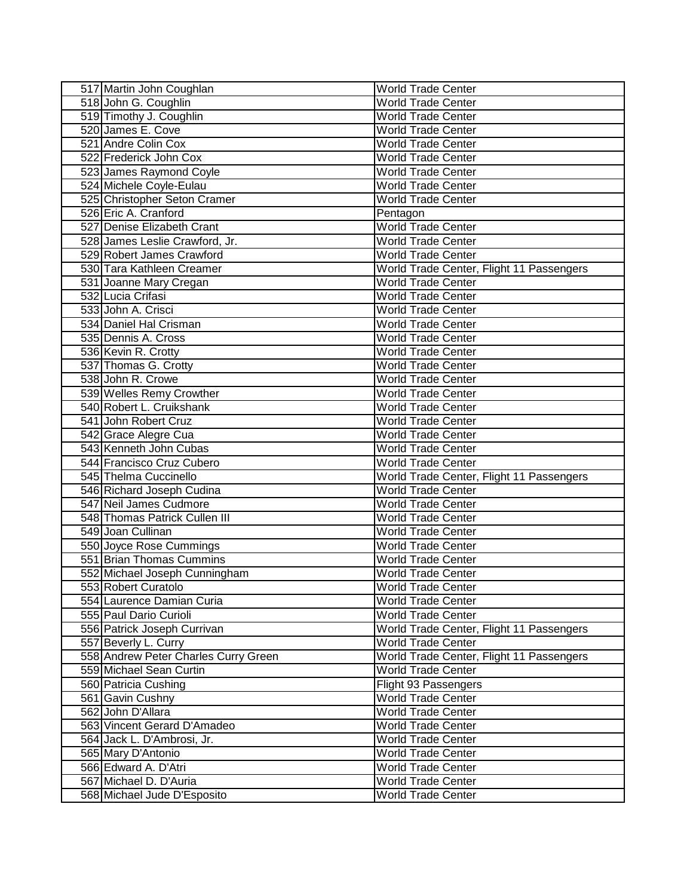| 517 Martin John Coughlan             | <b>World Trade Center</b>                |
|--------------------------------------|------------------------------------------|
| 518 John G. Coughlin                 | <b>World Trade Center</b>                |
| 519 Timothy J. Coughlin              | <b>World Trade Center</b>                |
| 520 James E. Cove                    | <b>World Trade Center</b>                |
| 521 Andre Colin Cox                  | <b>World Trade Center</b>                |
| 522 Frederick John Cox               | <b>World Trade Center</b>                |
| 523 James Raymond Coyle              | <b>World Trade Center</b>                |
| 524 Michele Coyle-Eulau              | <b>World Trade Center</b>                |
| 525 Christopher Seton Cramer         | <b>World Trade Center</b>                |
| 526 Eric A. Cranford                 | Pentagon                                 |
| 527 Denise Elizabeth Crant           | <b>World Trade Center</b>                |
| 528 James Leslie Crawford, Jr.       | <b>World Trade Center</b>                |
| 529 Robert James Crawford            | <b>World Trade Center</b>                |
| 530 Tara Kathleen Creamer            | World Trade Center, Flight 11 Passengers |
| 531 Joanne Mary Cregan               | World Trade Center                       |
| 532 Lucia Crifasi                    | <b>World Trade Center</b>                |
| 533 John A. Crisci                   | <b>World Trade Center</b>                |
| 534 Daniel Hal Crisman               | <b>World Trade Center</b>                |
| 535 Dennis A. Cross                  | <b>World Trade Center</b>                |
| 536 Kevin R. Crotty                  | World Trade Center                       |
| 537 Thomas G. Crotty                 | <b>World Trade Center</b>                |
| 538 John R. Crowe                    | <b>World Trade Center</b>                |
| 539 Welles Remy Crowther             | <b>World Trade Center</b>                |
| 540 Robert L. Cruikshank             | <b>World Trade Center</b>                |
| 541 John Robert Cruz                 | <b>World Trade Center</b>                |
| 542 Grace Alegre Cua                 | <b>World Trade Center</b>                |
| 543 Kenneth John Cubas               | <b>World Trade Center</b>                |
| 544 Francisco Cruz Cubero            | <b>World Trade Center</b>                |
| 545 Thelma Cuccinello                | World Trade Center, Flight 11 Passengers |
| 546 Richard Joseph Cudina            | <b>World Trade Center</b>                |
| 547 Neil James Cudmore               | <b>World Trade Center</b>                |
| 548 Thomas Patrick Cullen III        | <b>World Trade Center</b>                |
| 549 Joan Cullinan                    | <b>World Trade Center</b>                |
| 550 Joyce Rose Cummings              | <b>World Trade Center</b>                |
| 551 Brian Thomas Cummins             | <b>World Trade Center</b>                |
| 552 Michael Joseph Cunningham        | <b>World Trade Center</b>                |
| 553 Robert Curatolo                  | World Trade Center                       |
| 554 Laurence Damian Curia            | <b>World Trade Center</b>                |
| 555 Paul Dario Curioli               | <b>World Trade Center</b>                |
| 556 Patrick Joseph Currivan          | World Trade Center, Flight 11 Passengers |
| 557 Beverly L. Curry                 | <b>World Trade Center</b>                |
| 558 Andrew Peter Charles Curry Green | World Trade Center, Flight 11 Passengers |
| 559 Michael Sean Curtin              | <b>World Trade Center</b>                |
| 560 Patricia Cushing                 | Flight 93 Passengers                     |
| 561 Gavin Cushny                     | <b>World Trade Center</b>                |
| 562 John D'Allara                    | <b>World Trade Center</b>                |
| 563 Vincent Gerard D'Amadeo          | <b>World Trade Center</b>                |
| 564 Jack L. D'Ambrosi, Jr.           | <b>World Trade Center</b>                |
| 565 Mary D'Antonio                   | <b>World Trade Center</b>                |
| 566 Edward A. D'Atri                 | <b>World Trade Center</b>                |
| 567 Michael D. D'Auria               | <b>World Trade Center</b>                |
| 568 Michael Jude D'Esposito          | <b>World Trade Center</b>                |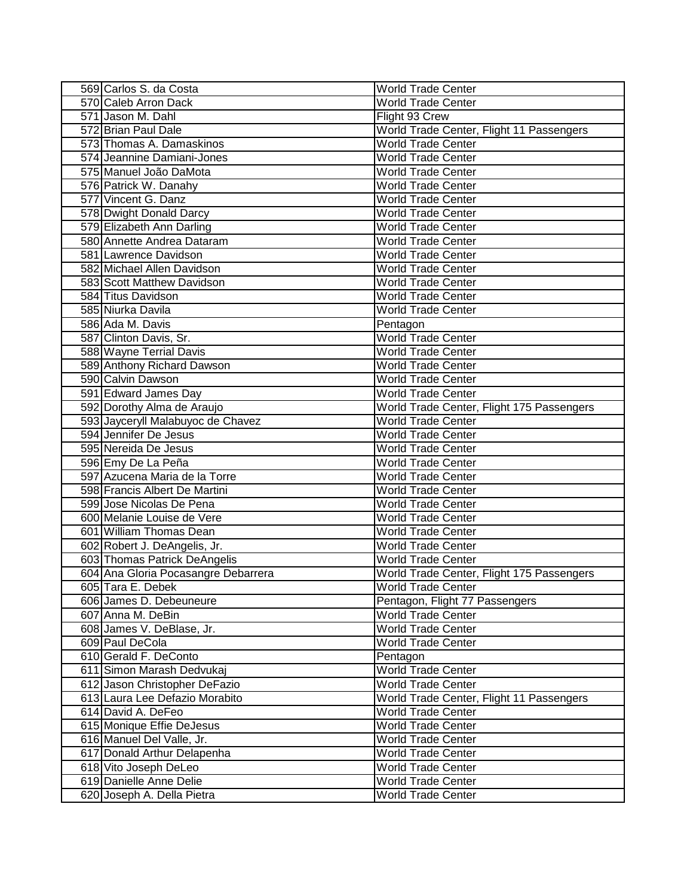| 569 Carlos S. da Costa              | <b>World Trade Center</b>                 |
|-------------------------------------|-------------------------------------------|
| 570 Caleb Arron Dack                | <b>World Trade Center</b>                 |
| 571 Jason M. Dahl                   | Flight 93 Crew                            |
| 572 Brian Paul Dale                 | World Trade Center, Flight 11 Passengers  |
| 573 Thomas A. Damaskinos            | <b>World Trade Center</b>                 |
| 574 Jeannine Damiani-Jones          | <b>World Trade Center</b>                 |
| 575 Manuel João DaMota              | World Trade Center                        |
| 576 Patrick W. Danahy               | <b>World Trade Center</b>                 |
| 577 Vincent G. Danz                 | <b>World Trade Center</b>                 |
| 578 Dwight Donald Darcy             | <b>World Trade Center</b>                 |
| 579 Elizabeth Ann Darling           | <b>World Trade Center</b>                 |
| 580 Annette Andrea Dataram          | <b>World Trade Center</b>                 |
| 581 Lawrence Davidson               | <b>World Trade Center</b>                 |
| 582 Michael Allen Davidson          | <b>World Trade Center</b>                 |
| 583 Scott Matthew Davidson          | <b>World Trade Center</b>                 |
| 584 Titus Davidson                  | <b>World Trade Center</b>                 |
| 585 Niurka Davila                   | <b>World Trade Center</b>                 |
| 586 Ada M. Davis                    | Pentagon                                  |
| 587 Clinton Davis, Sr.              | <b>World Trade Center</b>                 |
| 588 Wayne Terrial Davis             | <b>World Trade Center</b>                 |
| 589 Anthony Richard Dawson          | <b>World Trade Center</b>                 |
| 590 Calvin Dawson                   | <b>World Trade Center</b>                 |
| 591 Edward James Day                | <b>World Trade Center</b>                 |
| 592 Dorothy Alma de Araujo          | World Trade Center, Flight 175 Passengers |
| 593 Jayceryll Malabuyoc de Chavez   | <b>World Trade Center</b>                 |
| 594 Jennifer De Jesus               | <b>World Trade Center</b>                 |
| 595 Nereida De Jesus                | <b>World Trade Center</b>                 |
| 596 Emy De La Peña                  | <b>World Trade Center</b>                 |
| 597 Azucena Maria de la Torre       | <b>World Trade Center</b>                 |
| 598 Francis Albert De Martini       | <b>World Trade Center</b>                 |
| 599 Jose Nicolas De Pena            | <b>World Trade Center</b>                 |
| 600 Melanie Louise de Vere          | <b>World Trade Center</b>                 |
| 601 William Thomas Dean             | <b>World Trade Center</b>                 |
| 602 Robert J. DeAngelis, Jr.        | <b>World Trade Center</b>                 |
| 603 Thomas Patrick DeAngelis        | <b>World Trade Center</b>                 |
| 604 Ana Gloria Pocasangre Debarrera | World Trade Center, Flight 175 Passengers |
| 605 Tara E. Debek                   | World Trade Center                        |
| 606 James D. Debeuneure             | Pentagon, Flight 77 Passengers            |
| 607 Anna M. DeBin                   | <b>World Trade Center</b>                 |
| 608 James V. DeBlase, Jr.           | <b>World Trade Center</b>                 |
| 609 Paul DeCola                     | World Trade Center                        |
| 610 Gerald F. DeConto               | Pentagon                                  |
| 611 Simon Marash Dedvukaj           | <b>World Trade Center</b>                 |
| 612 Jason Christopher DeFazio       | <b>World Trade Center</b>                 |
| 613 Laura Lee Defazio Morabito      | World Trade Center, Flight 11 Passengers  |
| 614 David A. DeFeo                  | <b>World Trade Center</b>                 |
| 615 Monique Effie DeJesus           | <b>World Trade Center</b>                 |
| 616 Manuel Del Valle, Jr.           | <b>World Trade Center</b>                 |
| 617 Donald Arthur Delapenha         | <b>World Trade Center</b>                 |
| 618 Vito Joseph DeLeo               | <b>World Trade Center</b>                 |
| 619 Danielle Anne Delie             | <b>World Trade Center</b>                 |
| 620 Joseph A. Della Pietra          | <b>World Trade Center</b>                 |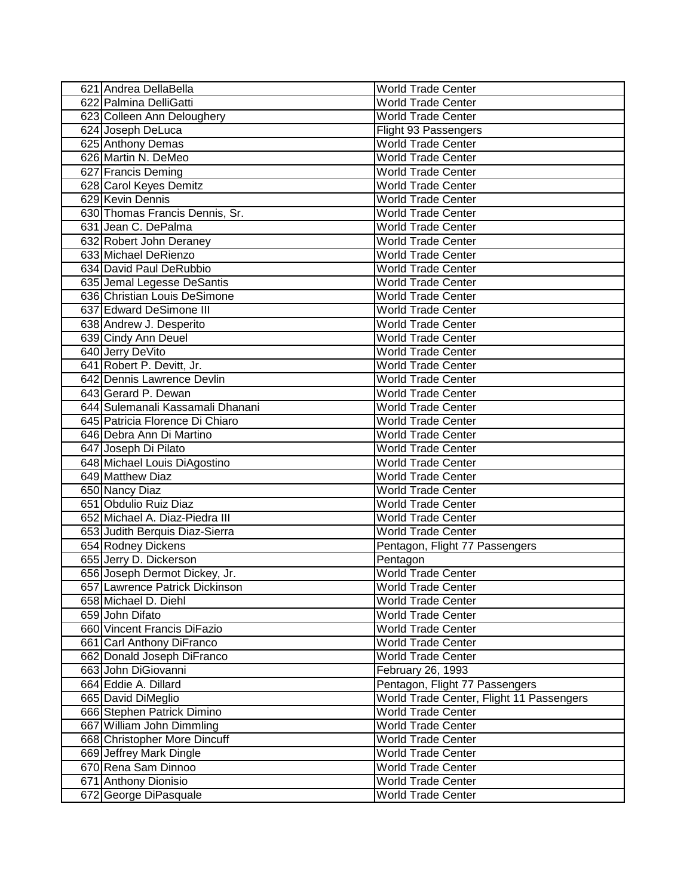| 621 Andrea DellaBella            | <b>World Trade Center</b>                |
|----------------------------------|------------------------------------------|
| 622 Palmina DelliGatti           | <b>World Trade Center</b>                |
| 623 Colleen Ann Deloughery       | <b>World Trade Center</b>                |
| 624 Joseph DeLuca                | Flight 93 Passengers                     |
| 625 Anthony Demas                | World Trade Center                       |
| 626 Martin N. DeMeo              | <b>World Trade Center</b>                |
| 627 Francis Deming               | <b>World Trade Center</b>                |
| 628 Carol Keyes Demitz           | <b>World Trade Center</b>                |
| 629 Kevin Dennis                 | <b>World Trade Center</b>                |
| 630 Thomas Francis Dennis, Sr.   | <b>World Trade Center</b>                |
| 631 Jean C. DePalma              | <b>World Trade Center</b>                |
| 632 Robert John Deraney          | <b>World Trade Center</b>                |
| 633 Michael DeRienzo             | <b>World Trade Center</b>                |
| 634 David Paul DeRubbio          | <b>World Trade Center</b>                |
| 635 Jemal Legesse DeSantis       | <b>World Trade Center</b>                |
| 636 Christian Louis DeSimone     | <b>World Trade Center</b>                |
| 637 Edward DeSimone III          | <b>World Trade Center</b>                |
| 638 Andrew J. Desperito          | <b>World Trade Center</b>                |
| 639 Cindy Ann Deuel              | <b>World Trade Center</b>                |
| 640 Jerry DeVito                 | <b>World Trade Center</b>                |
| 641 Robert P. Devitt, Jr.        | <b>World Trade Center</b>                |
| 642 Dennis Lawrence Devlin       | <b>World Trade Center</b>                |
| 643 Gerard P. Dewan              | <b>World Trade Center</b>                |
| 644 Sulemanali Kassamali Dhanani | <b>World Trade Center</b>                |
| 645 Patricia Florence Di Chiaro  | <b>World Trade Center</b>                |
| 646 Debra Ann Di Martino         | <b>World Trade Center</b>                |
| 647 Joseph Di Pilato             | <b>World Trade Center</b>                |
| 648 Michael Louis DiAgostino     | <b>World Trade Center</b>                |
| 649 Matthew Diaz                 | <b>World Trade Center</b>                |
| 650 Nancy Diaz                   | <b>World Trade Center</b>                |
| 651 Obdulio Ruiz Diaz            | <b>World Trade Center</b>                |
| 652 Michael A. Diaz-Piedra III   | <b>World Trade Center</b>                |
| 653 Judith Berquis Diaz-Sierra   | <b>World Trade Center</b>                |
| 654 Rodney Dickens               | Pentagon, Flight 77 Passengers           |
| 655 Jerry D. Dickerson           | Pentagon                                 |
| 656 Joseph Dermot Dickey, Jr.    | <b>World Trade Center</b>                |
| 657 Lawrence Patrick Dickinson   | World Trade Center                       |
| 658 Michael D. Diehl             | <b>World Trade Center</b>                |
| 659 John Difato                  | <b>World Trade Center</b>                |
| 660 Vincent Francis DiFazio      | <b>World Trade Center</b>                |
| 661 Carl Anthony DiFranco        | <b>World Trade Center</b>                |
| 662 Donald Joseph DiFranco       | <b>World Trade Center</b>                |
| 663 John DiGiovanni              | February 26, 1993                        |
| 664 Eddie A. Dillard             | Pentagon, Flight 77 Passengers           |
| 665 David DiMeglio               | World Trade Center, Flight 11 Passengers |
| 666 Stephen Patrick Dimino       | <b>World Trade Center</b>                |
| 667 William John Dimmling        | <b>World Trade Center</b>                |
| 668 Christopher More Dincuff     | <b>World Trade Center</b>                |
| 669 Jeffrey Mark Dingle          | World Trade Center                       |
| 670 Rena Sam Dinnoo              | <b>World Trade Center</b>                |
| 671 Anthony Dionisio             | <b>World Trade Center</b>                |
| 672 George DiPasquale            | <b>World Trade Center</b>                |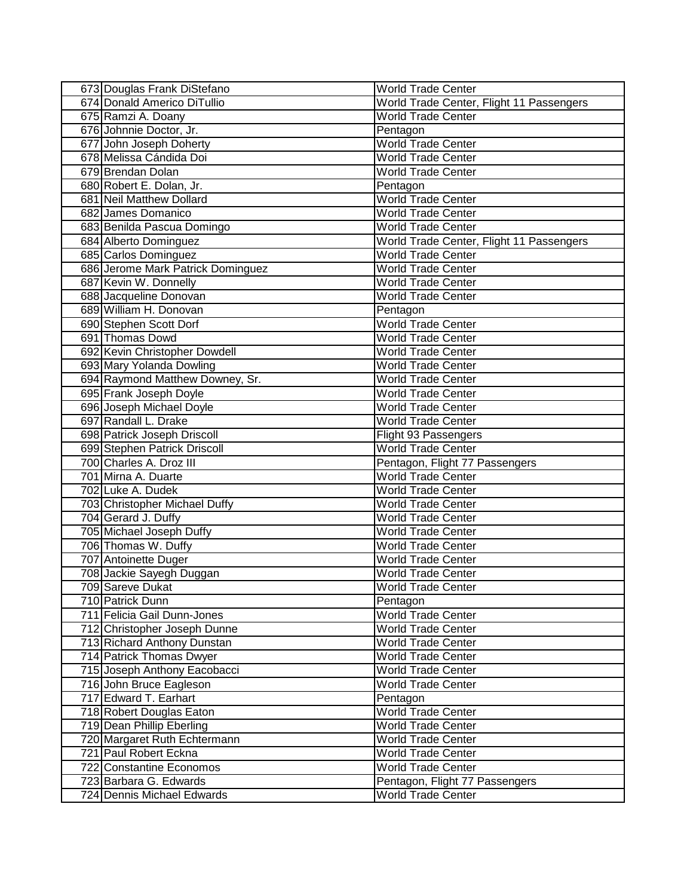| 673 Douglas Frank DiStefano       | <b>World Trade Center</b>                |
|-----------------------------------|------------------------------------------|
| 674 Donald Americo DiTullio       | World Trade Center, Flight 11 Passengers |
| 675 Ramzi A. Doany                | World Trade Center                       |
| 676 Johnnie Doctor, Jr.           | Pentagon                                 |
| 677 John Joseph Doherty           | <b>World Trade Center</b>                |
| 678 Melissa Cándida Doi           | <b>World Trade Center</b>                |
| 679 Brendan Dolan                 | World Trade Center                       |
| 680 Robert E. Dolan, Jr.          | Pentagon                                 |
| 681 Neil Matthew Dollard          | <b>World Trade Center</b>                |
| 682 James Domanico                | <b>World Trade Center</b>                |
| 683 Benilda Pascua Domingo        | <b>World Trade Center</b>                |
| 684 Alberto Dominguez             | World Trade Center, Flight 11 Passengers |
| 685 Carlos Dominguez              | <b>World Trade Center</b>                |
| 686 Jerome Mark Patrick Dominguez | <b>World Trade Center</b>                |
| 687 Kevin W. Donnelly             | <b>World Trade Center</b>                |
| 688 Jacqueline Donovan            | World Trade Center                       |
| 689 William H. Donovan            | Pentagon                                 |
| 690 Stephen Scott Dorf            | <b>World Trade Center</b>                |
| 691 Thomas Dowd                   | <b>World Trade Center</b>                |
| 692 Kevin Christopher Dowdell     | <b>World Trade Center</b>                |
| 693 Mary Yolanda Dowling          | <b>World Trade Center</b>                |
| 694 Raymond Matthew Downey, Sr.   | <b>World Trade Center</b>                |
| 695 Frank Joseph Doyle            | <b>World Trade Center</b>                |
| 696 Joseph Michael Doyle          | <b>World Trade Center</b>                |
| 697 Randall L. Drake              | <b>World Trade Center</b>                |
| 698 Patrick Joseph Driscoll       | Flight 93 Passengers                     |
| 699 Stephen Patrick Driscoll      | <b>World Trade Center</b>                |
| 700 Charles A. Droz III           | Pentagon, Flight 77 Passengers           |
| 701 Mirna A. Duarte               | <b>World Trade Center</b>                |
| 702 Luke A. Dudek                 | <b>World Trade Center</b>                |
| 703 Christopher Michael Duffy     | <b>World Trade Center</b>                |
| 704 Gerard J. Duffy               | <b>World Trade Center</b>                |
| 705 Michael Joseph Duffy          | <b>World Trade Center</b>                |
| 706 Thomas W. Duffy               | <b>World Trade Center</b>                |
| 707 Antoinette Duger              | <b>World Trade Center</b>                |
| 708 Jackie Sayegh Duggan          | <b>World Trade Center</b>                |
| 709 Sareve Dukat                  | World Trade Center                       |
| 710 Patrick Dunn                  | Pentagon                                 |
| 711 Felicia Gail Dunn-Jones       | <b>World Trade Center</b>                |
| 712 Christopher Joseph Dunne      | <b>World Trade Center</b>                |
| 713 Richard Anthony Dunstan       | <b>World Trade Center</b>                |
| 714 Patrick Thomas Dwyer          | <b>World Trade Center</b>                |
| 715 Joseph Anthony Eacobacci      | <b>World Trade Center</b>                |
| 716 John Bruce Eagleson           | <b>World Trade Center</b>                |
| 717 Edward T. Earhart             | Pentagon                                 |
| 718 Robert Douglas Eaton          | <b>World Trade Center</b>                |
| 719 Dean Phillip Eberling         | <b>World Trade Center</b>                |
| 720 Margaret Ruth Echtermann      | <b>World Trade Center</b>                |
| 721 Paul Robert Eckna             | <b>World Trade Center</b>                |
| 722 Constantine Economos          | <b>World Trade Center</b>                |
| 723 Barbara G. Edwards            | Pentagon, Flight 77 Passengers           |
| 724 Dennis Michael Edwards        | <b>World Trade Center</b>                |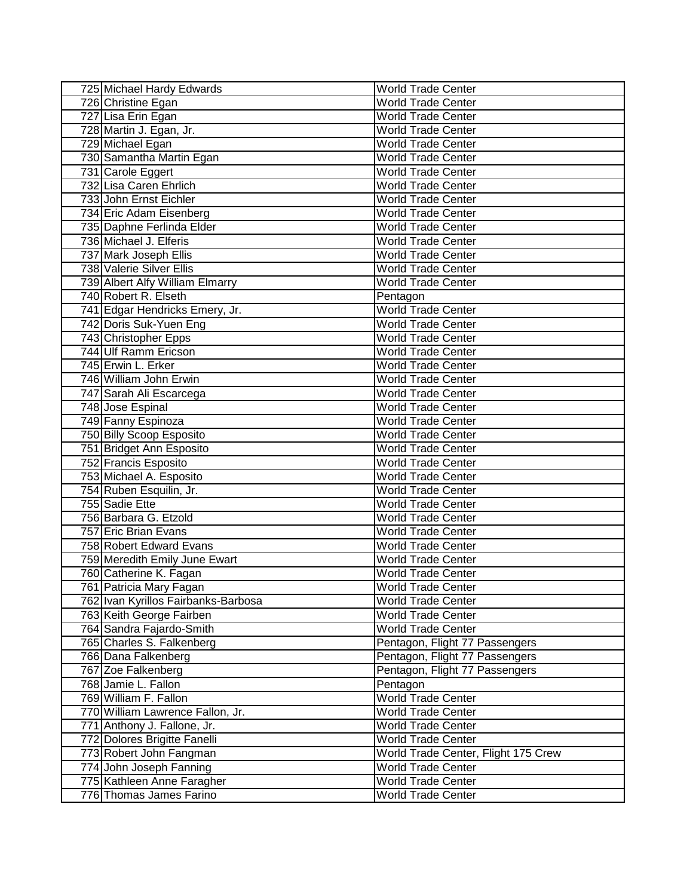| 725 Michael Hardy Edwards           | World Trade Center                  |
|-------------------------------------|-------------------------------------|
| 726 Christine Egan                  | <b>World Trade Center</b>           |
| 727 Lisa Erin Egan                  | <b>World Trade Center</b>           |
| 728 Martin J. Egan, Jr.             | <b>World Trade Center</b>           |
| 729 Michael Egan                    | <b>World Trade Center</b>           |
| 730 Samantha Martin Egan            | <b>World Trade Center</b>           |
| 731 Carole Eggert                   | <b>World Trade Center</b>           |
| 732 Lisa Caren Ehrlich              | <b>World Trade Center</b>           |
| 733 John Ernst Eichler              | <b>World Trade Center</b>           |
| 734 Eric Adam Eisenberg             | <b>World Trade Center</b>           |
| 735 Daphne Ferlinda Elder           | <b>World Trade Center</b>           |
| 736 Michael J. Elferis              | <b>World Trade Center</b>           |
| 737 Mark Joseph Ellis               | <b>World Trade Center</b>           |
| 738 Valerie Silver Ellis            | <b>World Trade Center</b>           |
| 739 Albert Alfy William Elmarry     | <b>World Trade Center</b>           |
| 740 Robert R. Elseth                | Pentagon                            |
| 741 Edgar Hendricks Emery, Jr.      | <b>World Trade Center</b>           |
| 742 Doris Suk-Yuen Eng              | <b>World Trade Center</b>           |
| 743 Christopher Epps                | <b>World Trade Center</b>           |
| 744 Ulf Ramm Ericson                | <b>World Trade Center</b>           |
| 745 Erwin L. Erker                  | <b>World Trade Center</b>           |
| 746 William John Erwin              | <b>World Trade Center</b>           |
| 747 Sarah Ali Escarcega             | <b>World Trade Center</b>           |
| 748 Jose Espinal                    | <b>World Trade Center</b>           |
| 749 Fanny Espinoza                  | <b>World Trade Center</b>           |
| 750 Billy Scoop Esposito            | <b>World Trade Center</b>           |
| 751 Bridget Ann Esposito            | <b>World Trade Center</b>           |
| 752 Francis Esposito                | <b>World Trade Center</b>           |
| 753 Michael A. Esposito             | <b>World Trade Center</b>           |
| 754 Ruben Esquilin, Jr.             | <b>World Trade Center</b>           |
| 755 Sadie Ette                      | <b>World Trade Center</b>           |
| 756 Barbara G. Etzold               | <b>World Trade Center</b>           |
| 757 Eric Brian Evans                | <b>World Trade Center</b>           |
| 758 Robert Edward Evans             | <b>World Trade Center</b>           |
| 759 Meredith Emily June Ewart       | <b>World Trade Center</b>           |
| 760 Catherine K. Fagan              | <b>World Trade Center</b>           |
| 761 Patricia Mary Fagan             | World Trade Center                  |
| 762 Ivan Kyrillos Fairbanks-Barbosa | <b>World Trade Center</b>           |
| 763 Keith George Fairben            | <b>World Trade Center</b>           |
| 764 Sandra Fajardo-Smith            | <b>World Trade Center</b>           |
| 765 Charles S. Falkenberg           | Pentagon, Flight 77 Passengers      |
| 766 Dana Falkenberg                 | Pentagon, Flight 77 Passengers      |
| 767 Zoe Falkenberg                  | Pentagon, Flight 77 Passengers      |
| 768 Jamie L. Fallon                 | Pentagon                            |
| 769 William F. Fallon               | <b>World Trade Center</b>           |
| 770 William Lawrence Fallon, Jr.    | <b>World Trade Center</b>           |
| 771 Anthony J. Fallone, Jr.         | <b>World Trade Center</b>           |
| 772 Dolores Brigitte Fanelli        | <b>World Trade Center</b>           |
| 773 Robert John Fangman             | World Trade Center, Flight 175 Crew |
| 774 John Joseph Fanning             | <b>World Trade Center</b>           |
| 775 Kathleen Anne Faragher          | <b>World Trade Center</b>           |
| 776 Thomas James Farino             | <b>World Trade Center</b>           |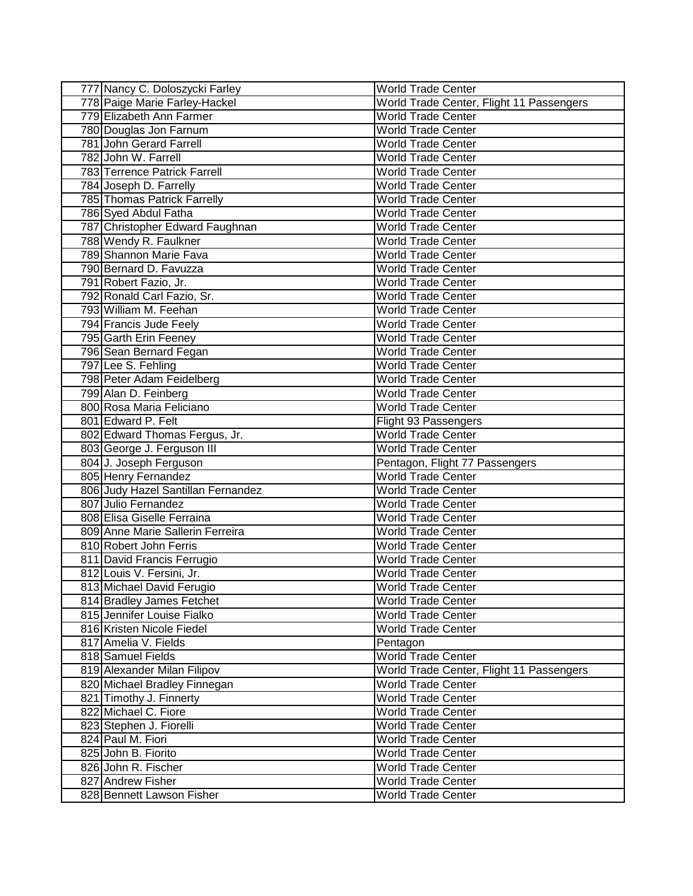| 777 Nancy C. Doloszycki Farley     | <b>World Trade Center</b>                |
|------------------------------------|------------------------------------------|
| 778 Paige Marie Farley-Hackel      | World Trade Center, Flight 11 Passengers |
| 779 Elizabeth Ann Farmer           | <b>World Trade Center</b>                |
| 780 Douglas Jon Farnum             | <b>World Trade Center</b>                |
| 781 John Gerard Farrell            | <b>World Trade Center</b>                |
| 782 John W. Farrell                | <b>World Trade Center</b>                |
| 783 Terrence Patrick Farrell       | <b>World Trade Center</b>                |
| 784 Joseph D. Farrelly             | <b>World Trade Center</b>                |
| 785 Thomas Patrick Farrelly        | <b>World Trade Center</b>                |
| 786 Syed Abdul Fatha               | <b>World Trade Center</b>                |
| 787 Christopher Edward Faughnan    | <b>World Trade Center</b>                |
| 788 Wendy R. Faulkner              | <b>World Trade Center</b>                |
| 789 Shannon Marie Fava             | <b>World Trade Center</b>                |
| 790 Bernard D. Favuzza             | <b>World Trade Center</b>                |
| 791 Robert Fazio, Jr.              | <b>World Trade Center</b>                |
| 792 Ronald Carl Fazio, Sr.         | <b>World Trade Center</b>                |
| 793 William M. Feehan              | <b>World Trade Center</b>                |
| 794 Francis Jude Feely             | <b>World Trade Center</b>                |
| 795 Garth Erin Feeney              | <b>World Trade Center</b>                |
| 796 Sean Bernard Fegan             | <b>World Trade Center</b>                |
| 797 Lee S. Fehling                 | <b>World Trade Center</b>                |
| 798 Peter Adam Feidelberg          | <b>World Trade Center</b>                |
| 799 Alan D. Feinberg               | <b>World Trade Center</b>                |
| 800 Rosa Maria Feliciano           | <b>World Trade Center</b>                |
| 801 Edward P. Felt                 | Flight 93 Passengers                     |
| 802 Edward Thomas Fergus, Jr.      | <b>World Trade Center</b>                |
| 803 George J. Ferguson III         | <b>World Trade Center</b>                |
| 804 J. Joseph Ferguson             | Pentagon, Flight 77 Passengers           |
| 805 Henry Fernandez                | <b>World Trade Center</b>                |
| 806 Judy Hazel Santillan Fernandez | <b>World Trade Center</b>                |
| 807 Julio Fernandez                | <b>World Trade Center</b>                |
| 808 Elisa Giselle Ferraina         | <b>World Trade Center</b>                |
| 809 Anne Marie Sallerin Ferreira   | <b>World Trade Center</b>                |
| 810 Robert John Ferris             | <b>World Trade Center</b>                |
| 811 David Francis Ferrugio         | <b>World Trade Center</b>                |
| 812 Louis V. Fersini, Jr.          | <b>World Trade Center</b>                |
| 813 Michael David Ferugio          | <b>World Trade Center</b>                |
| 814 Bradley James Fetchet          | <b>World Trade Center</b>                |
| 815 Jennifer Louise Fialko         | <b>World Trade Center</b>                |
| 816 Kristen Nicole Fiedel          | <b>World Trade Center</b>                |
| 817 Amelia V. Fields               | Pentagon                                 |
| 818 Samuel Fields                  | World Trade Center                       |
| 819 Alexander Milan Filipov        | World Trade Center, Flight 11 Passengers |
| 820 Michael Bradley Finnegan       | <b>World Trade Center</b>                |
| 821 Timothy J. Finnerty            | <b>World Trade Center</b>                |
| 822 Michael C. Fiore               | <b>World Trade Center</b>                |
| 823 Stephen J. Fiorelli            | <b>World Trade Center</b>                |
| 824 Paul M. Fiori                  | <b>World Trade Center</b>                |
| 825 John B. Fiorito                | <b>World Trade Center</b>                |
| 826 John R. Fischer                | <b>World Trade Center</b>                |
| 827 Andrew Fisher                  | <b>World Trade Center</b>                |
| 828 Bennett Lawson Fisher          | <b>World Trade Center</b>                |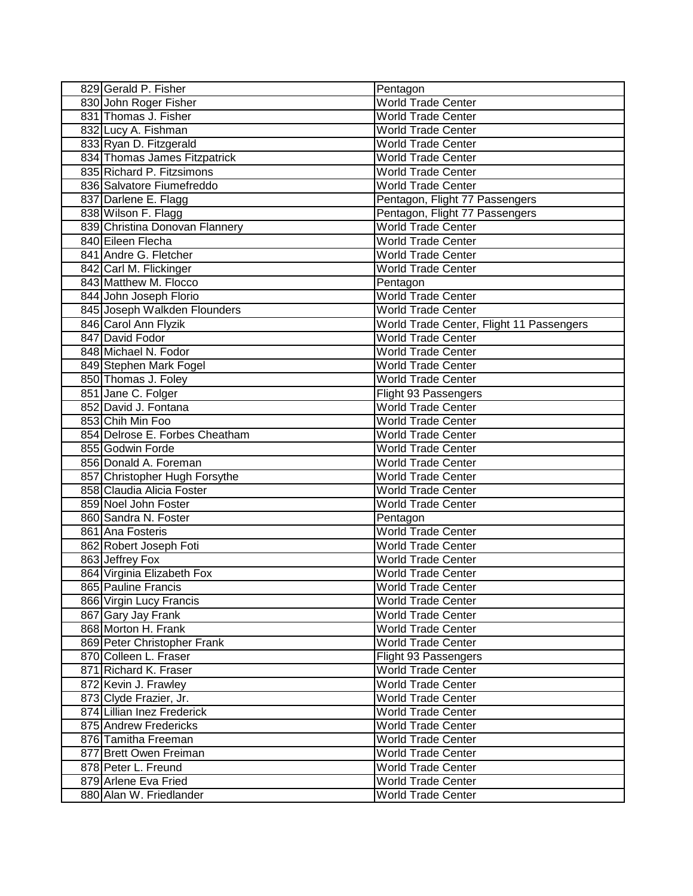| 829 Gerald P. Fisher           | Pentagon                                 |
|--------------------------------|------------------------------------------|
| 830 John Roger Fisher          | World Trade Center                       |
| 831 Thomas J. Fisher           | <b>World Trade Center</b>                |
| 832 Lucy A. Fishman            | <b>World Trade Center</b>                |
| 833 Ryan D. Fitzgerald         | <b>World Trade Center</b>                |
| 834 Thomas James Fitzpatrick   | <b>World Trade Center</b>                |
| 835 Richard P. Fitzsimons      | <b>World Trade Center</b>                |
| 836 Salvatore Fiumefreddo      | <b>World Trade Center</b>                |
| 837 Darlene E. Flagg           | Pentagon, Flight 77 Passengers           |
| 838 Wilson F. Flagg            | Pentagon, Flight 77 Passengers           |
| 839 Christina Donovan Flannery | <b>World Trade Center</b>                |
| 840 Eileen Flecha              | <b>World Trade Center</b>                |
| 841 Andre G. Fletcher          | <b>World Trade Center</b>                |
| 842 Carl M. Flickinger         | World Trade Center                       |
| 843 Matthew M. Flocco          | Pentagon                                 |
| 844 John Joseph Florio         | <b>World Trade Center</b>                |
| 845 Joseph Walkden Flounders   | <b>World Trade Center</b>                |
| 846 Carol Ann Flyzik           | World Trade Center, Flight 11 Passengers |
| 847 David Fodor                | <b>World Trade Center</b>                |
| 848 Michael N. Fodor           | <b>World Trade Center</b>                |
| 849 Stephen Mark Fogel         | <b>World Trade Center</b>                |
| 850 Thomas J. Foley            | <b>World Trade Center</b>                |
| 851 Jane C. Folger             | Flight 93 Passengers                     |
| 852 David J. Fontana           | <b>World Trade Center</b>                |
| 853 Chih Min Foo               | <b>World Trade Center</b>                |
| 854 Delrose E. Forbes Cheatham | <b>World Trade Center</b>                |
| 855 Godwin Forde               | <b>World Trade Center</b>                |
| 856 Donald A. Foreman          | <b>World Trade Center</b>                |
| 857 Christopher Hugh Forsythe  | <b>World Trade Center</b>                |
| 858 Claudia Alicia Foster      | <b>World Trade Center</b>                |
| 859 Noel John Foster           | <b>World Trade Center</b>                |
| 860 Sandra N. Foster           | Pentagon                                 |
| 861 Ana Fosteris               | <b>World Trade Center</b>                |
| 862 Robert Joseph Foti         | <b>World Trade Center</b>                |
| 863 Jeffrey Fox                | <b>World Trade Center</b>                |
| 864 Virginia Elizabeth Fox     | <b>World Trade Center</b>                |
| 865 Pauline Francis            | World Trade Center                       |
| 866 Virgin Lucy Francis        | <b>World Trade Center</b>                |
| 867 Gary Jay Frank             | <b>World Trade Center</b>                |
| 868 Morton H. Frank            | <b>World Trade Center</b>                |
| 869 Peter Christopher Frank    | <b>World Trade Center</b>                |
| 870 Colleen L. Fraser          | Flight 93 Passengers                     |
| 871 Richard K. Fraser          | <b>World Trade Center</b>                |
| 872 Kevin J. Frawley           | World Trade Center                       |
| 873 Clyde Frazier, Jr.         | <b>World Trade Center</b>                |
| 874 Lillian Inez Frederick     | <b>World Trade Center</b>                |
| 875 Andrew Fredericks          | <b>World Trade Center</b>                |
| 876 Tamitha Freeman            | <b>World Trade Center</b>                |
| 877 Brett Owen Freiman         | <b>World Trade Center</b>                |
| 878 Peter L. Freund            | <b>World Trade Center</b>                |
| 879 Arlene Eva Fried           | <b>World Trade Center</b>                |
| 880 Alan W. Friedlander        | <b>World Trade Center</b>                |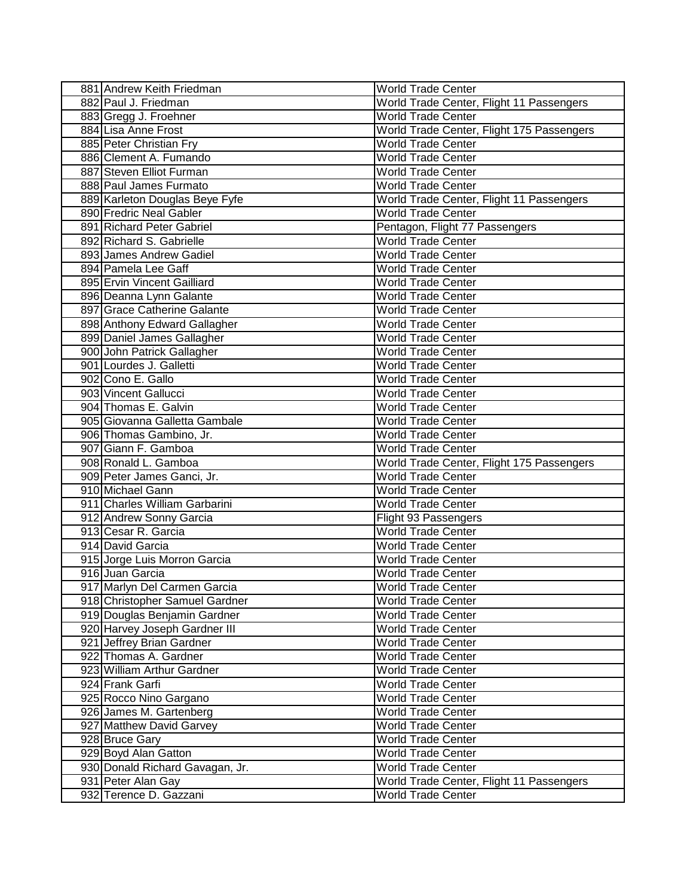| 881 Andrew Keith Friedman                    | World Trade Center                                                    |
|----------------------------------------------|-----------------------------------------------------------------------|
| 882 Paul J. Friedman                         | World Trade Center, Flight 11 Passengers                              |
| 883 Gregg J. Froehner                        | World Trade Center                                                    |
| 884 Lisa Anne Frost                          | World Trade Center, Flight 175 Passengers                             |
| 885 Peter Christian Fry                      | World Trade Center                                                    |
| 886 Clement A. Fumando                       | <b>World Trade Center</b>                                             |
| 887 Steven Elliot Furman                     | <b>World Trade Center</b>                                             |
| 888 Paul James Furmato                       | <b>World Trade Center</b>                                             |
| 889 Karleton Douglas Beye Fyfe               | World Trade Center, Flight 11 Passengers                              |
| 890 Fredric Neal Gabler                      | <b>World Trade Center</b>                                             |
| 891 Richard Peter Gabriel                    | Pentagon, Flight 77 Passengers                                        |
| 892 Richard S. Gabrielle                     | <b>World Trade Center</b>                                             |
| 893 James Andrew Gadiel                      | <b>World Trade Center</b>                                             |
| 894 Pamela Lee Gaff                          | <b>World Trade Center</b>                                             |
| 895 Ervin Vincent Gailliard                  | <b>World Trade Center</b>                                             |
| 896 Deanna Lynn Galante                      | <b>World Trade Center</b>                                             |
| 897 Grace Catherine Galante                  | <b>World Trade Center</b>                                             |
| 898 Anthony Edward Gallagher                 | <b>World Trade Center</b>                                             |
| 899 Daniel James Gallagher                   | <b>World Trade Center</b>                                             |
| 900 John Patrick Gallagher                   | <b>World Trade Center</b>                                             |
| 901 Lourdes J. Galletti                      | <b>World Trade Center</b>                                             |
| 902 Cono E. Gallo                            | <b>World Trade Center</b>                                             |
| 903 Vincent Gallucci                         | <b>World Trade Center</b>                                             |
| 904 Thomas E. Galvin                         | <b>World Trade Center</b>                                             |
| 905 Giovanna Galletta Gambale                | <b>World Trade Center</b>                                             |
| 906 Thomas Gambino, Jr.                      | <b>World Trade Center</b>                                             |
| 907 Giann F. Gamboa                          | <b>World Trade Center</b>                                             |
| 908 Ronald L. Gamboa                         | World Trade Center, Flight 175 Passengers                             |
| 909 Peter James Ganci, Jr.                   | <b>World Trade Center</b>                                             |
| 910 Michael Gann                             | <b>World Trade Center</b>                                             |
| 911 Charles William Garbarini                | <b>World Trade Center</b>                                             |
| 912 Andrew Sonny Garcia                      | Flight 93 Passengers                                                  |
| 913 Cesar R. Garcia                          | <b>World Trade Center</b>                                             |
| 914 David Garcia                             | <b>World Trade Center</b>                                             |
| 915 Jorge Luis Morron Garcia                 | <b>World Trade Center</b>                                             |
| 916 Juan Garcia                              | <b>World Trade Center</b>                                             |
| 917 Marlyn Del Carmen Garcia                 | <b>World Trade Center</b>                                             |
| 918 Christopher Samuel Gardner               | <b>World Trade Center</b>                                             |
| 919 Douglas Benjamin Gardner                 | <b>World Trade Center</b>                                             |
| 920 Harvey Joseph Gardner III                | World Trade Center                                                    |
| 921 Jeffrey Brian Gardner                    | World Trade Center                                                    |
| 922 Thomas A. Gardner                        | <b>World Trade Center</b>                                             |
| 923 William Arthur Gardner                   | <b>World Trade Center</b>                                             |
| 924 Frank Garfi                              | <b>World Trade Center</b>                                             |
| 925 Rocco Nino Gargano                       | <b>World Trade Center</b>                                             |
| 926 James M. Gartenberg                      | <b>World Trade Center</b>                                             |
| 927 Matthew David Garvey                     | <b>World Trade Center</b>                                             |
|                                              | <b>World Trade Center</b>                                             |
| 928 Bruce Gary                               |                                                                       |
| 929 Boyd Alan Gatton                         | <b>World Trade Center</b>                                             |
| 930 Donald Richard Gavagan, Jr.              | <b>World Trade Center</b>                                             |
| 931 Peter Alan Gay<br>932 Terence D. Gazzani | World Trade Center, Flight 11 Passengers<br><b>World Trade Center</b> |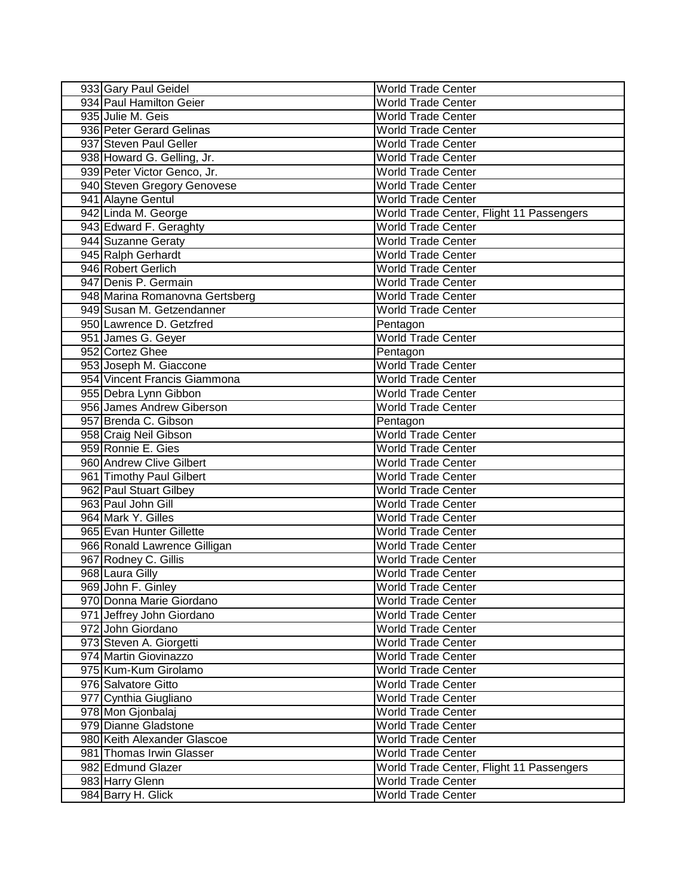| 933 Gary Paul Geidel           | <b>World Trade Center</b>                |
|--------------------------------|------------------------------------------|
| 934 Paul Hamilton Geier        | World Trade Center                       |
| 935 Julie M. Geis              | <b>World Trade Center</b>                |
| 936 Peter Gerard Gelinas       | <b>World Trade Center</b>                |
| 937 Steven Paul Geller         | <b>World Trade Center</b>                |
| 938 Howard G. Gelling, Jr.     | <b>World Trade Center</b>                |
| 939 Peter Victor Genco, Jr.    | <b>World Trade Center</b>                |
| 940 Steven Gregory Genovese    | <b>World Trade Center</b>                |
| 941 Alayne Gentul              | <b>World Trade Center</b>                |
| 942 Linda M. George            | World Trade Center, Flight 11 Passengers |
| 943 Edward F. Geraghty         | <b>World Trade Center</b>                |
| 944 Suzanne Geraty             | <b>World Trade Center</b>                |
| 945 Ralph Gerhardt             | World Trade Center                       |
| 946 Robert Gerlich             | <b>World Trade Center</b>                |
| 947 Denis P. Germain           | <b>World Trade Center</b>                |
| 948 Marina Romanovna Gertsberg | <b>World Trade Center</b>                |
| 949 Susan M. Getzendanner      | <b>World Trade Center</b>                |
| 950 Lawrence D. Getzfred       | Pentagon                                 |
| 951 James G. Geyer             | <b>World Trade Center</b>                |
| 952 Cortez Ghee                | Pentagon                                 |
| 953 Joseph M. Giaccone         | <b>World Trade Center</b>                |
| 954 Vincent Francis Giammona   | <b>World Trade Center</b>                |
| 955 Debra Lynn Gibbon          | <b>World Trade Center</b>                |
| 956 James Andrew Giberson      | <b>World Trade Center</b>                |
| 957 Brenda C. Gibson           | Pentagon                                 |
| 958 Craig Neil Gibson          | <b>World Trade Center</b>                |
| 959 Ronnie E. Gies             | <b>World Trade Center</b>                |
| 960 Andrew Clive Gilbert       | <b>World Trade Center</b>                |
| 961 Timothy Paul Gilbert       | <b>World Trade Center</b>                |
| 962 Paul Stuart Gilbey         | <b>World Trade Center</b>                |
| 963 Paul John Gill             | <b>World Trade Center</b>                |
| 964 Mark Y. Gilles             | <b>World Trade Center</b>                |
| 965 Evan Hunter Gillette       | <b>World Trade Center</b>                |
| 966 Ronald Lawrence Gilligan   | <b>World Trade Center</b>                |
| 967 Rodney C. Gillis           | <b>World Trade Center</b>                |
| 968 Laura Gilly                | <b>World Trade Center</b>                |
| 969 John F. Ginley             | World Trade Center                       |
| 970 Donna Marie Giordano       | <b>World Trade Center</b>                |
| 971 Jeffrey John Giordano      | <b>World Trade Center</b>                |
| 972 John Giordano              | World Trade Center                       |
| 973 Steven A. Giorgetti        | <b>World Trade Center</b>                |
| 974 Martin Giovinazzo          | <b>World Trade Center</b>                |
| 975 Kum-Kum Girolamo           | <b>World Trade Center</b>                |
| 976 Salvatore Gitto            | <b>World Trade Center</b>                |
| 977 Cynthia Giugliano          | <b>World Trade Center</b>                |
| 978 Mon Gjonbalaj              | <b>World Trade Center</b>                |
| 979 Dianne Gladstone           | <b>World Trade Center</b>                |
| 980 Keith Alexander Glascoe    | <b>World Trade Center</b>                |
| 981 Thomas Irwin Glasser       | <b>World Trade Center</b>                |
| 982 Edmund Glazer              | World Trade Center, Flight 11 Passengers |
| 983 Harry Glenn                | <b>World Trade Center</b>                |
| 984 Barry H. Glick             | <b>World Trade Center</b>                |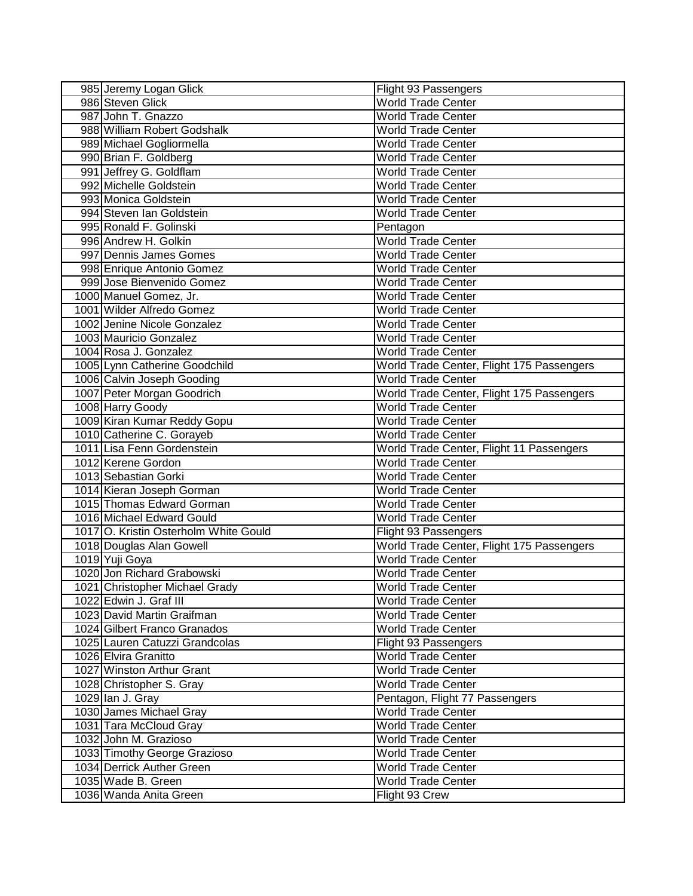| 985 Jeremy Logan Glick                | Flight 93 Passengers                      |
|---------------------------------------|-------------------------------------------|
| 986 Steven Glick                      | World Trade Center                        |
| 987 John T. Gnazzo                    | <b>World Trade Center</b>                 |
| 988 William Robert Godshalk           | <b>World Trade Center</b>                 |
| 989 Michael Gogliormella              | <b>World Trade Center</b>                 |
| 990 Brian F. Goldberg                 | <b>World Trade Center</b>                 |
| 991 Jeffrey G. Goldflam               | <b>World Trade Center</b>                 |
| 992 Michelle Goldstein                | <b>World Trade Center</b>                 |
| 993 Monica Goldstein                  | <b>World Trade Center</b>                 |
| 994 Steven Ian Goldstein              | <b>World Trade Center</b>                 |
| 995 Ronald F. Golinski                | Pentagon                                  |
| 996 Andrew H. Golkin                  | <b>World Trade Center</b>                 |
| 997 Dennis James Gomes                | World Trade Center                        |
| 998 Enrique Antonio Gomez             | <b>World Trade Center</b>                 |
| 999 Jose Bienvenido Gomez             | <b>World Trade Center</b>                 |
| 1000 Manuel Gomez, Jr.                | <b>World Trade Center</b>                 |
| 1001 Wilder Alfredo Gomez             | <b>World Trade Center</b>                 |
| 1002 Jenine Nicole Gonzalez           | <b>World Trade Center</b>                 |
| 1003 Mauricio Gonzalez                | <b>World Trade Center</b>                 |
| 1004 Rosa J. Gonzalez                 | <b>World Trade Center</b>                 |
| 1005 Lynn Catherine Goodchild         | World Trade Center, Flight 175 Passengers |
| 1006 Calvin Joseph Gooding            | <b>World Trade Center</b>                 |
| 1007 Peter Morgan Goodrich            | World Trade Center, Flight 175 Passengers |
| 1008 Harry Goody                      | <b>World Trade Center</b>                 |
| 1009 Kiran Kumar Reddy Gopu           | <b>World Trade Center</b>                 |
| 1010 Catherine C. Gorayeb             | <b>World Trade Center</b>                 |
| 1011 Lisa Fenn Gordenstein            | World Trade Center, Flight 11 Passengers  |
| 1012 Kerene Gordon                    | <b>World Trade Center</b>                 |
| 1013 Sebastian Gorki                  | <b>World Trade Center</b>                 |
| 1014 Kieran Joseph Gorman             | <b>World Trade Center</b>                 |
| 1015 Thomas Edward Gorman             | <b>World Trade Center</b>                 |
| 1016 Michael Edward Gould             | <b>World Trade Center</b>                 |
| 1017 O. Kristin Osterholm White Gould | Flight 93 Passengers                      |
| 1018 Douglas Alan Gowell              | World Trade Center, Flight 175 Passengers |
| 1019 Yuji Goya                        | <b>World Trade Center</b>                 |
| 1020 Jon Richard Grabowski            | <b>World Trade Center</b>                 |
| 1021 Christopher Michael Grady        | World Trade Center                        |
| 1022 Edwin J. Graf III                | <b>World Trade Center</b>                 |
| 1023 David Martin Graifman            | <b>World Trade Center</b>                 |
| 1024 Gilbert Franco Granados          | World Trade Center                        |
| 1025 Lauren Catuzzi Grandcolas        | Flight 93 Passengers                      |
| 1026 Elvira Granitto                  | <b>World Trade Center</b>                 |
| 1027 Winston Arthur Grant             | <b>World Trade Center</b>                 |
| 1028 Christopher S. Gray              | <b>World Trade Center</b>                 |
| 1029 lan J. Gray                      | Pentagon, Flight 77 Passengers            |
| 1030 James Michael Gray               | <b>World Trade Center</b>                 |
| 1031 Tara McCloud Gray                | <b>World Trade Center</b>                 |
| 1032 John M. Grazioso                 | <b>World Trade Center</b>                 |
| 1033 Timothy George Grazioso          | <b>World Trade Center</b>                 |
| 1034 Derrick Auther Green             | <b>World Trade Center</b>                 |
| 1035 Wade B. Green                    | <b>World Trade Center</b>                 |
| 1036 Wanda Anita Green                | Flight 93 Crew                            |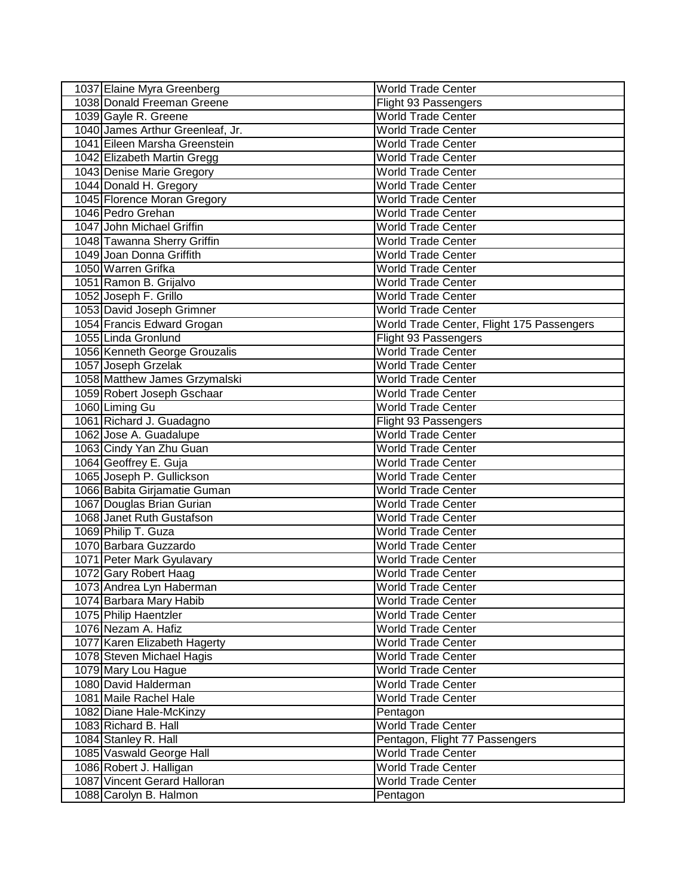| 1037 Elaine Myra Greenberg       | <b>World Trade Center</b>                 |
|----------------------------------|-------------------------------------------|
| 1038 Donald Freeman Greene       | Flight 93 Passengers                      |
| 1039 Gayle R. Greene             | World Trade Center                        |
| 1040 James Arthur Greenleaf, Jr. | <b>World Trade Center</b>                 |
| 1041 Eileen Marsha Greenstein    | <b>World Trade Center</b>                 |
| 1042 Elizabeth Martin Gregg      | <b>World Trade Center</b>                 |
| 1043 Denise Marie Gregory        | <b>World Trade Center</b>                 |
| 1044 Donald H. Gregory           | <b>World Trade Center</b>                 |
| 1045 Florence Moran Gregory      | <b>World Trade Center</b>                 |
| 1046 Pedro Grehan                | <b>World Trade Center</b>                 |
| 1047 John Michael Griffin        | <b>World Trade Center</b>                 |
| 1048 Tawanna Sherry Griffin      | <b>World Trade Center</b>                 |
| 1049 Joan Donna Griffith         | World Trade Center                        |
| 1050 Warren Grifka               | <b>World Trade Center</b>                 |
| 1051 Ramon B. Grijalvo           | <b>World Trade Center</b>                 |
| 1052 Joseph F. Grillo            | <b>World Trade Center</b>                 |
| 1053 David Joseph Grimner        | <b>World Trade Center</b>                 |
| 1054 Francis Edward Grogan       | World Trade Center, Flight 175 Passengers |
| 1055 Linda Gronlund              | Flight 93 Passengers                      |
| 1056 Kenneth George Grouzalis    | <b>World Trade Center</b>                 |
| 1057 Joseph Grzelak              | <b>World Trade Center</b>                 |
| 1058 Matthew James Grzymalski    | <b>World Trade Center</b>                 |
| 1059 Robert Joseph Gschaar       | <b>World Trade Center</b>                 |
| 1060 Liming Gu                   | <b>World Trade Center</b>                 |
| 1061 Richard J. Guadagno         | Flight 93 Passengers                      |
| 1062 Jose A. Guadalupe           | <b>World Trade Center</b>                 |
| 1063 Cindy Yan Zhu Guan          | <b>World Trade Center</b>                 |
| 1064 Geoffrey E. Guja            | <b>World Trade Center</b>                 |
| 1065 Joseph P. Gullickson        | <b>World Trade Center</b>                 |
| 1066 Babita Girjamatie Guman     | <b>World Trade Center</b>                 |
| 1067 Douglas Brian Gurian        | <b>World Trade Center</b>                 |
| 1068 Janet Ruth Gustafson        | <b>World Trade Center</b>                 |
| 1069 Philip T. Guza              | <b>World Trade Center</b>                 |
| 1070 Barbara Guzzardo            | <b>World Trade Center</b>                 |
| 1071 Peter Mark Gyulavary        | <b>World Trade Center</b>                 |
| 1072 Gary Robert Haag            | <b>World Trade Center</b>                 |
| 1073 Andrea Lyn Haberman         | <b>World Trade Center</b>                 |
| 1074 Barbara Mary Habib          | <b>World Trade Center</b>                 |
| 1075 Philip Haentzler            | <b>World Trade Center</b>                 |
| 1076 Nezam A. Hafiz              | <b>World Trade Center</b>                 |
| 1077 Karen Elizabeth Hagerty     | <b>World Trade Center</b>                 |
| 1078 Steven Michael Hagis        | <b>World Trade Center</b>                 |
| 1079 Mary Lou Hague              | World Trade Center                        |
| 1080 David Halderman             | <b>World Trade Center</b>                 |
| 1081 Maile Rachel Hale           | <b>World Trade Center</b>                 |
| 1082 Diane Hale-McKinzy          | Pentagon                                  |
| 1083 Richard B. Hall             | <b>World Trade Center</b>                 |
| 1084 Stanley R. Hall             | Pentagon, Flight 77 Passengers            |
| 1085 Vaswald George Hall         | <b>World Trade Center</b>                 |
| 1086 Robert J. Halligan          | <b>World Trade Center</b>                 |
| 1087 Vincent Gerard Halloran     | <b>World Trade Center</b>                 |
| 1088 Carolyn B. Halmon           | Pentagon                                  |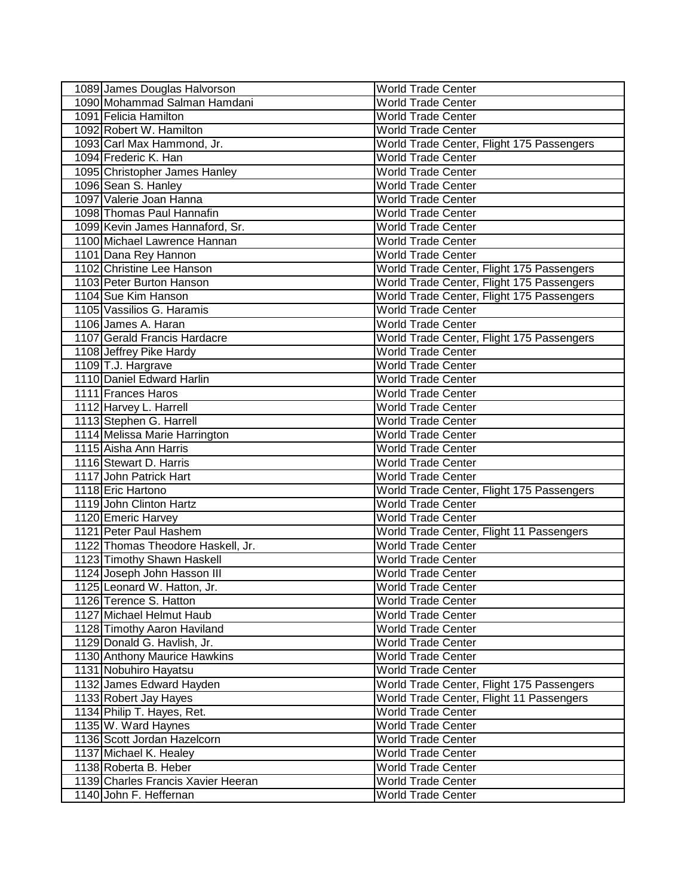| 1089 James Douglas Halvorson                    | <b>World Trade Center</b>                 |
|-------------------------------------------------|-------------------------------------------|
| 1090 Mohammad Salman Hamdani                    | <b>World Trade Center</b>                 |
| 1091 Felicia Hamilton                           | World Trade Center                        |
| 1092 Robert W. Hamilton                         | <b>World Trade Center</b>                 |
| 1093 Carl Max Hammond, Jr.                      | World Trade Center, Flight 175 Passengers |
| 1094 Frederic K. Han                            | <b>World Trade Center</b>                 |
| 1095 Christopher James Hanley                   | <b>World Trade Center</b>                 |
| 1096 Sean S. Hanley                             | <b>World Trade Center</b>                 |
| 1097 Valerie Joan Hanna                         | <b>World Trade Center</b>                 |
| 1098 Thomas Paul Hannafin                       | <b>World Trade Center</b>                 |
| 1099 Kevin James Hannaford, Sr.                 | <b>World Trade Center</b>                 |
| 1100 Michael Lawrence Hannan                    | <b>World Trade Center</b>                 |
| 1101 Dana Rey Hannon                            | <b>World Trade Center</b>                 |
| 1102 Christine Lee Hanson                       | World Trade Center, Flight 175 Passengers |
| 1103 Peter Burton Hanson                        | World Trade Center, Flight 175 Passengers |
| 1104 Sue Kim Hanson                             | World Trade Center, Flight 175 Passengers |
| 1105 Vassilios G. Haramis                       | <b>World Trade Center</b>                 |
| 1106 James A. Haran                             | <b>World Trade Center</b>                 |
| 1107 Gerald Francis Hardacre                    | World Trade Center, Flight 175 Passengers |
| 1108 Jeffrey Pike Hardy                         | <b>World Trade Center</b>                 |
| 1109 T.J. Hargrave                              | <b>World Trade Center</b>                 |
| 1110 Daniel Edward Harlin                       | <b>World Trade Center</b>                 |
| 1111 Frances Haros                              | <b>World Trade Center</b>                 |
| 1112 Harvey L. Harrell                          | <b>World Trade Center</b>                 |
| 1113 Stephen G. Harrell                         | <b>World Trade Center</b>                 |
| 1114 Melissa Marie Harrington                   | <b>World Trade Center</b>                 |
| 1115 Aisha Ann Harris                           | <b>World Trade Center</b>                 |
| 1116 Stewart D. Harris                          | <b>World Trade Center</b>                 |
| 1117 John Patrick Hart                          | <b>World Trade Center</b>                 |
| 1118 Eric Hartono                               | World Trade Center, Flight 175 Passengers |
| 1119 John Clinton Hartz                         | <b>World Trade Center</b>                 |
| 1120 Emeric Harvey                              | <b>World Trade Center</b>                 |
| 1121 Peter Paul Hashem                          | World Trade Center, Flight 11 Passengers  |
| 1122 Thomas Theodore Haskell, Jr.               | <b>World Trade Center</b>                 |
| 1123 Timothy Shawn Haskell                      | <b>World Trade Center</b>                 |
| 1124 Joseph John Hasson III                     | World Trade Center                        |
| 1125 Leonard W. Hatton, Jr.                     | World Trade Center                        |
| 1126 Terence S. Hatton                          | World Trade Center                        |
| 1127 Michael Helmut Haub                        | <b>World Trade Center</b>                 |
| 1128 Timothy Aaron Haviland                     | <b>World Trade Center</b>                 |
| 1129 Donald G. Havlish, Jr.                     | <b>World Trade Center</b>                 |
| 1130 Anthony Maurice Hawkins                    | <b>World Trade Center</b>                 |
| 1131 Nobuhiro Hayatsu                           | <b>World Trade Center</b>                 |
| 1132 James Edward Hayden                        | World Trade Center, Flight 175 Passengers |
| 1133 Robert Jay Hayes                           | World Trade Center, Flight 11 Passengers  |
| 1134 Philip T. Hayes, Ret.                      | <b>World Trade Center</b>                 |
| 1135 W. Ward Haynes                             | World Trade Center                        |
| 1136 Scott Jordan Hazelcorn                     | <b>World Trade Center</b>                 |
|                                                 | <b>World Trade Center</b>                 |
| 1137 Michael K. Healey<br>1138 Roberta B. Heber | <b>World Trade Center</b>                 |
|                                                 |                                           |
| 1139 Charles Francis Xavier Heeran              | <b>World Trade Center</b>                 |
| 1140 John F. Heffernan                          | <b>World Trade Center</b>                 |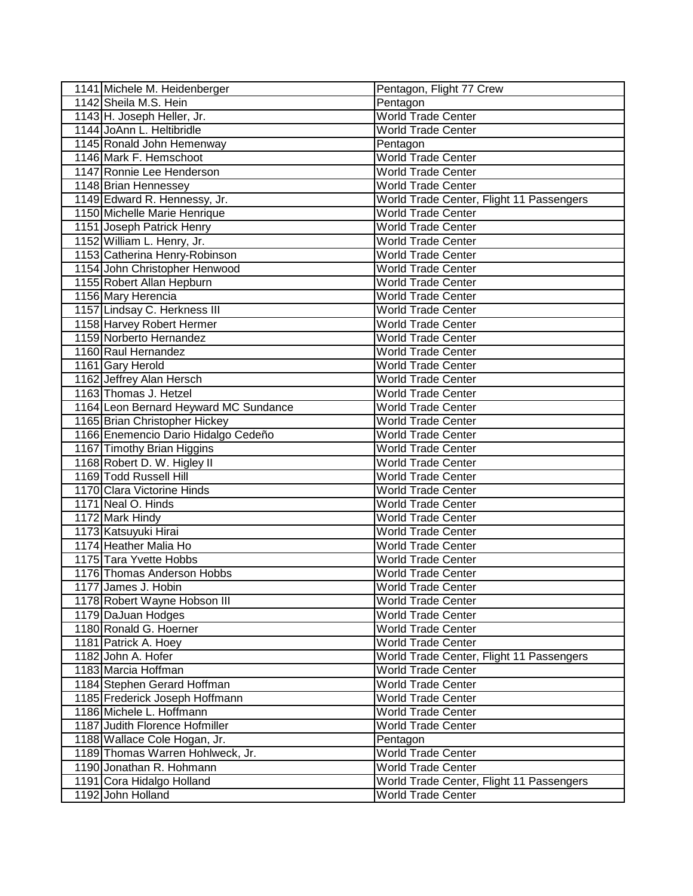| 1141 Michele M. Heidenberger          | Pentagon, Flight 77 Crew                 |
|---------------------------------------|------------------------------------------|
| 1142 Sheila M.S. Hein                 | Pentagon                                 |
| 1143 H. Joseph Heller, Jr.            | <b>World Trade Center</b>                |
| 1144 JoAnn L. Heltibridle             | World Trade Center                       |
| 1145 Ronald John Hemenway             | Pentagon                                 |
| 1146 Mark F. Hemschoot                | World Trade Center                       |
| 1147 Ronnie Lee Henderson             | <b>World Trade Center</b>                |
| 1148 Brian Hennessey                  | <b>World Trade Center</b>                |
| 1149 Edward R. Hennessy, Jr.          | World Trade Center, Flight 11 Passengers |
| 1150 Michelle Marie Henrique          | <b>World Trade Center</b>                |
| 1151 Joseph Patrick Henry             | <b>World Trade Center</b>                |
| 1152 William L. Henry, Jr.            | <b>World Trade Center</b>                |
| 1153 Catherina Henry-Robinson         | <b>World Trade Center</b>                |
| 1154 John Christopher Henwood         | <b>World Trade Center</b>                |
| 1155 Robert Allan Hepburn             | <b>World Trade Center</b>                |
| 1156 Mary Herencia                    | <b>World Trade Center</b>                |
| 1157 Lindsay C. Herkness III          | <b>World Trade Center</b>                |
| 1158 Harvey Robert Hermer             | <b>World Trade Center</b>                |
| 1159 Norberto Hernandez               | <b>World Trade Center</b>                |
| 1160 Raul Hernandez                   | <b>World Trade Center</b>                |
| 1161 Gary Herold                      | <b>World Trade Center</b>                |
| 1162 Jeffrey Alan Hersch              | <b>World Trade Center</b>                |
| 1163 Thomas J. Hetzel                 | <b>World Trade Center</b>                |
| 1164 Leon Bernard Heyward MC Sundance | <b>World Trade Center</b>                |
| 1165 Brian Christopher Hickey         | <b>World Trade Center</b>                |
| 1166 Enemencio Dario Hidalgo Cedeño   | <b>World Trade Center</b>                |
| 1167 Timothy Brian Higgins            | <b>World Trade Center</b>                |
| 1168 Robert D. W. Higley II           | <b>World Trade Center</b>                |
| 1169 Todd Russell Hill                | <b>World Trade Center</b>                |
| 1170 Clara Victorine Hinds            | <b>World Trade Center</b>                |
| 1171 Neal O. Hinds                    | <b>World Trade Center</b>                |
| 1172 Mark Hindy                       | <b>World Trade Center</b>                |
| 1173 Katsuyuki Hirai                  | <b>World Trade Center</b>                |
| 1174 Heather Malia Ho                 | <b>World Trade Center</b>                |
| 1175 Tara Yvette Hobbs                | <b>World Trade Center</b>                |
| 1176 Thomas Anderson Hobbs            | <b>World Trade Center</b>                |
| 1177 James J. Hobin                   | World Trade Center                       |
| 1178 Robert Wayne Hobson III          | <b>World Trade Center</b>                |
| 1179 DaJuan Hodges                    | <b>World Trade Center</b>                |
| 1180 Ronald G. Hoerner                | <b>World Trade Center</b>                |
|                                       | <b>World Trade Center</b>                |
| 1181 Patrick A. Hoey                  |                                          |
| 1182 John A. Hofer                    | World Trade Center, Flight 11 Passengers |
| 1183 Marcia Hoffman                   | <b>World Trade Center</b>                |
| 1184 Stephen Gerard Hoffman           | <b>World Trade Center</b>                |
| 1185 Frederick Joseph Hoffmann        | <b>World Trade Center</b>                |
| 1186 Michele L. Hoffmann              | <b>World Trade Center</b>                |
| 1187 Judith Florence Hofmiller        | World Trade Center                       |
| 1188 Wallace Cole Hogan, Jr.          | Pentagon                                 |
| 1189 Thomas Warren Hohlweck, Jr.      | <b>World Trade Center</b>                |
| 1190 Jonathan R. Hohmann              | <b>World Trade Center</b>                |
| 1191 Cora Hidalgo Holland             | World Trade Center, Flight 11 Passengers |
| 1192 John Holland                     | <b>World Trade Center</b>                |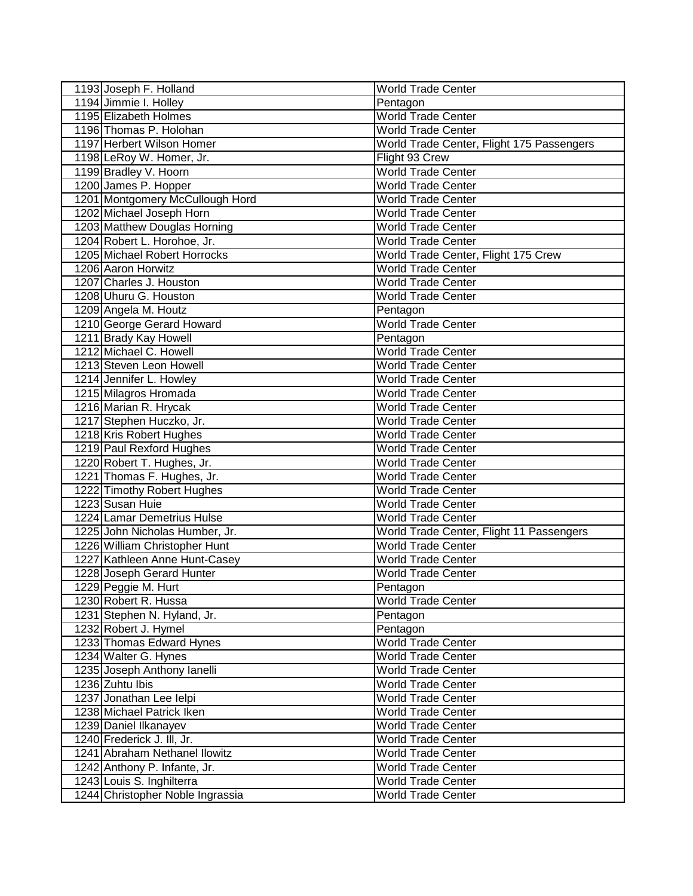| 1193 Joseph F. Holland           | <b>World Trade Center</b>                 |
|----------------------------------|-------------------------------------------|
| 1194 Jimmie I. Holley            | Pentagon                                  |
| 1195 Elizabeth Holmes            | <b>World Trade Center</b>                 |
| 1196 Thomas P. Holohan           | <b>World Trade Center</b>                 |
| 1197 Herbert Wilson Homer        | World Trade Center, Flight 175 Passengers |
| 1198 LeRoy W. Homer, Jr.         | Flight 93 Crew                            |
| 1199 Bradley V. Hoorn            | <b>World Trade Center</b>                 |
| 1200 James P. Hopper             | <b>World Trade Center</b>                 |
| 1201 Montgomery McCullough Hord  | <b>World Trade Center</b>                 |
| 1202 Michael Joseph Horn         | <b>World Trade Center</b>                 |
| 1203 Matthew Douglas Horning     | <b>World Trade Center</b>                 |
| 1204 Robert L. Horohoe, Jr.      | <b>World Trade Center</b>                 |
| 1205 Michael Robert Horrocks     | World Trade Center, Flight 175 Crew       |
| 1206 Aaron Horwitz               | <b>World Trade Center</b>                 |
| 1207 Charles J. Houston          | <b>World Trade Center</b>                 |
| 1208 Uhuru G. Houston            | World Trade Center                        |
| 1209 Angela M. Houtz             | Pentagon                                  |
| 1210 George Gerard Howard        | <b>World Trade Center</b>                 |
| 1211 Brady Kay Howell            | Pentagon                                  |
| 1212 Michael C. Howell           | <b>World Trade Center</b>                 |
| 1213 Steven Leon Howell          | <b>World Trade Center</b>                 |
| 1214 Jennifer L. Howley          | <b>World Trade Center</b>                 |
| 1215 Milagros Hromada            | <b>World Trade Center</b>                 |
| 1216 Marian R. Hrycak            | <b>World Trade Center</b>                 |
| 1217 Stephen Huczko, Jr.         | <b>World Trade Center</b>                 |
| 1218 Kris Robert Hughes          | <b>World Trade Center</b>                 |
| 1219 Paul Rexford Hughes         | <b>World Trade Center</b>                 |
| 1220 Robert T. Hughes, Jr.       | <b>World Trade Center</b>                 |
| 1221 Thomas F. Hughes, Jr.       | <b>World Trade Center</b>                 |
| 1222 Timothy Robert Hughes       | <b>World Trade Center</b>                 |
| 1223 Susan Huie                  | <b>World Trade Center</b>                 |
| 1224 Lamar Demetrius Hulse       | <b>World Trade Center</b>                 |
| 1225 John Nicholas Humber, Jr.   | World Trade Center, Flight 11 Passengers  |
| 1226 William Christopher Hunt    | <b>World Trade Center</b>                 |
| 1227 Kathleen Anne Hunt-Casey    | <b>World Trade Center</b>                 |
| 1228 Joseph Gerard Hunter        | <b>World Trade Center</b>                 |
| 1229 Peggie M. Hurt              | Pentagon                                  |
| 1230 Robert R. Hussa             | <b>World Trade Center</b>                 |
| 1231 Stephen N. Hyland, Jr.      | Pentagon                                  |
| 1232 Robert J. Hymel             | Pentagon                                  |
| 1233 Thomas Edward Hynes         | <b>World Trade Center</b>                 |
| 1234 Walter G. Hynes             | <b>World Trade Center</b>                 |
| 1235 Joseph Anthony lanelli      | <b>World Trade Center</b>                 |
| 1236 Zuhtu Ibis                  | <b>World Trade Center</b>                 |
| 1237 Jonathan Lee lelpi          | <b>World Trade Center</b>                 |
| 1238 Michael Patrick Iken        | <b>World Trade Center</b>                 |
| 1239 Daniel Ilkanayev            | <b>World Trade Center</b>                 |
| 1240 Frederick J. III, Jr.       | <b>World Trade Center</b>                 |
| 1241 Abraham Nethanel Ilowitz    | <b>World Trade Center</b>                 |
| 1242 Anthony P. Infante, Jr.     | <b>World Trade Center</b>                 |
| 1243 Louis S. Inghilterra        | <b>World Trade Center</b>                 |
| 1244 Christopher Noble Ingrassia | <b>World Trade Center</b>                 |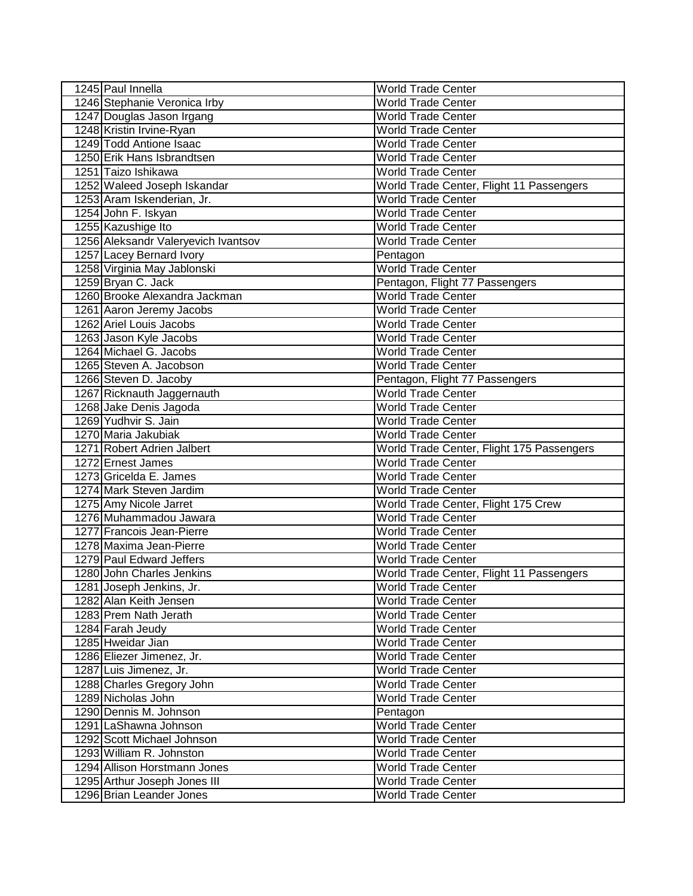| 1245 Paul Innella                                        | <b>World Trade Center</b>                 |
|----------------------------------------------------------|-------------------------------------------|
| 1246 Stephanie Veronica Irby                             | <b>World Trade Center</b>                 |
| 1247 Douglas Jason Irgang                                | <b>World Trade Center</b>                 |
| 1248 Kristin Irvine-Ryan                                 | <b>World Trade Center</b>                 |
| 1249 Todd Antione Isaac                                  | <b>World Trade Center</b>                 |
| 1250 Erik Hans Isbrandtsen                               | <b>World Trade Center</b>                 |
| 1251 Taizo Ishikawa                                      | <b>World Trade Center</b>                 |
|                                                          |                                           |
| 1252 Waleed Joseph Iskandar                              | World Trade Center, Flight 11 Passengers  |
| 1253 Aram Iskenderian, Jr.                               | <b>World Trade Center</b>                 |
| 1254 John F. Iskyan                                      | <b>World Trade Center</b>                 |
| 1255 Kazushige Ito                                       | <b>World Trade Center</b>                 |
| 1256 Aleksandr Valeryevich Ivantsov                      | <b>World Trade Center</b>                 |
| 1257 Lacey Bernard Ivory                                 | Pentagon                                  |
| 1258 Virginia May Jablonski                              | <b>World Trade Center</b>                 |
| 1259 Bryan C. Jack                                       | Pentagon, Flight 77 Passengers            |
| 1260 Brooke Alexandra Jackman                            | <b>World Trade Center</b>                 |
| 1261 Aaron Jeremy Jacobs                                 | <b>World Trade Center</b>                 |
| 1262 Ariel Louis Jacobs                                  | <b>World Trade Center</b>                 |
| 1263 Jason Kyle Jacobs                                   | <b>World Trade Center</b>                 |
| 1264 Michael G. Jacobs                                   | <b>World Trade Center</b>                 |
| 1265 Steven A. Jacobson                                  | <b>World Trade Center</b>                 |
| 1266 Steven D. Jacoby                                    | Pentagon, Flight 77 Passengers            |
| 1267 Ricknauth Jaggernauth                               | <b>World Trade Center</b>                 |
| 1268 Jake Denis Jagoda                                   | <b>World Trade Center</b>                 |
| 1269 Yudhvir S. Jain                                     | <b>World Trade Center</b>                 |
| 1270 Maria Jakubiak                                      | <b>World Trade Center</b>                 |
| 1271 Robert Adrien Jalbert                               | World Trade Center, Flight 175 Passengers |
| 1272 Ernest James                                        | <b>World Trade Center</b>                 |
| 1273 Gricelda E. James                                   | <b>World Trade Center</b>                 |
| 1274 Mark Steven Jardim                                  | <b>World Trade Center</b>                 |
| 1275 Amy Nicole Jarret                                   | World Trade Center, Flight 175 Crew       |
| 1276 Muhammadou Jawara                                   | <b>World Trade Center</b>                 |
| 1277 Francois Jean-Pierre                                | <b>World Trade Center</b>                 |
| 1278 Maxima Jean-Pierre                                  | <b>World Trade Center</b>                 |
| 1279 Paul Edward Jeffers                                 | <b>World Trade Center</b>                 |
| 1280 John Charles Jenkins                                | World Trade Center, Flight 11 Passengers  |
| 1281 Joseph Jenkins, Jr.                                 | <b>World Trade Center</b>                 |
| 1282 Alan Keith Jensen                                   | World Trade Center                        |
| 1283 Prem Nath Jerath                                    | <b>World Trade Center</b>                 |
| 1284 Farah Jeudy                                         | <b>World Trade Center</b>                 |
| 1285 Hweidar Jian                                        | <b>World Trade Center</b>                 |
| 1286 Eliezer Jimenez, Jr.                                | <b>World Trade Center</b>                 |
| 1287 Luis Jimenez, Jr.                                   | <b>World Trade Center</b>                 |
| 1288 Charles Gregory John                                | <b>World Trade Center</b>                 |
| 1289 Nicholas John                                       | <b>World Trade Center</b>                 |
| 1290 Dennis M. Johnson                                   | Pentagon                                  |
| 1291 LaShawna Johnson                                    | <b>World Trade Center</b>                 |
|                                                          |                                           |
| 1292 Scott Michael Johnson                               | <b>World Trade Center</b>                 |
| 1293 William R. Johnston                                 | <b>World Trade Center</b>                 |
| 1294 Allison Horstmann Jones                             | <b>World Trade Center</b>                 |
| 1295 Arthur Joseph Jones III<br>1296 Brian Leander Jones | <b>World Trade Center</b>                 |
|                                                          | World Trade Center                        |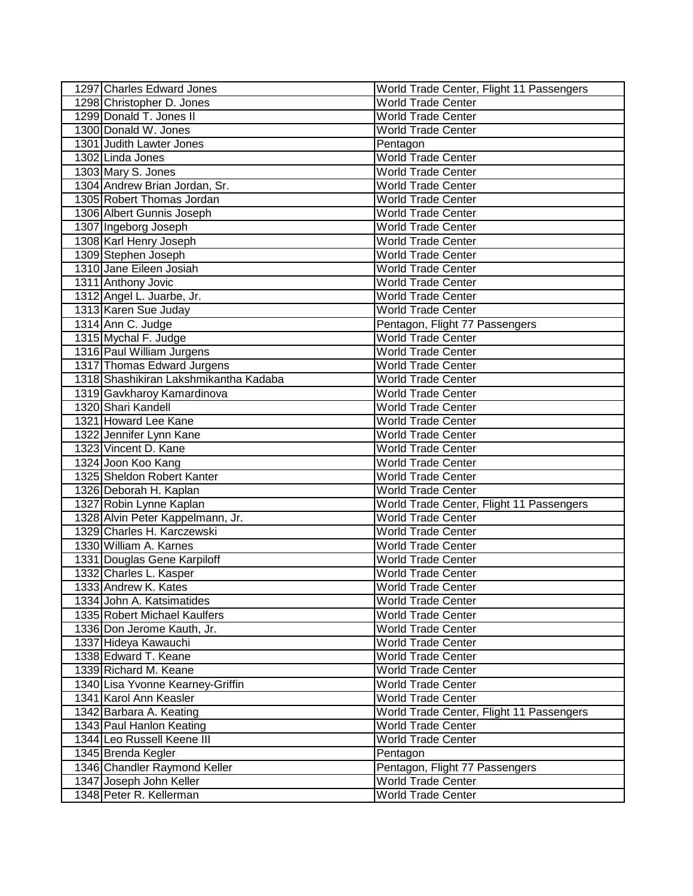| 1297 Charles Edward Jones             | World Trade Center, Flight 11 Passengers |
|---------------------------------------|------------------------------------------|
| 1298 Christopher D. Jones             | <b>World Trade Center</b>                |
| 1299 Donald T. Jones II               | <b>World Trade Center</b>                |
| 1300 Donald W. Jones                  | <b>World Trade Center</b>                |
| 1301 Judith Lawter Jones              | Pentagon                                 |
| 1302 Linda Jones                      | <b>World Trade Center</b>                |
| 1303 Mary S. Jones                    | <b>World Trade Center</b>                |
| 1304 Andrew Brian Jordan, Sr.         | <b>World Trade Center</b>                |
| 1305 Robert Thomas Jordan             | <b>World Trade Center</b>                |
| 1306 Albert Gunnis Joseph             | <b>World Trade Center</b>                |
| 1307 Ingeborg Joseph                  | <b>World Trade Center</b>                |
| 1308 Karl Henry Joseph                | <b>World Trade Center</b>                |
| 1309 Stephen Joseph                   | <b>World Trade Center</b>                |
| 1310 Jane Eileen Josiah               | <b>World Trade Center</b>                |
| 1311 Anthony Jovic                    | <b>World Trade Center</b>                |
| 1312 Angel L. Juarbe, Jr.             | <b>World Trade Center</b>                |
| 1313 Karen Sue Juday                  | <b>World Trade Center</b>                |
| 1314 Ann C. Judge                     | Pentagon, Flight 77 Passengers           |
| 1315 Mychal F. Judge                  | <b>World Trade Center</b>                |
| 1316 Paul William Jurgens             | <b>World Trade Center</b>                |
| 1317 Thomas Edward Jurgens            | <b>World Trade Center</b>                |
| 1318 Shashikiran Lakshmikantha Kadaba | <b>World Trade Center</b>                |
| 1319 Gavkharoy Kamardinova            | <b>World Trade Center</b>                |
| 1320 Shari Kandell                    | <b>World Trade Center</b>                |
| 1321 Howard Lee Kane                  | <b>World Trade Center</b>                |
| 1322 Jennifer Lynn Kane               | <b>World Trade Center</b>                |
| 1323 Vincent D. Kane                  | <b>World Trade Center</b>                |
| 1324 Joon Koo Kang                    | <b>World Trade Center</b>                |
| 1325 Sheldon Robert Kanter            | <b>World Trade Center</b>                |
| 1326 Deborah H. Kaplan                | <b>World Trade Center</b>                |
| 1327 Robin Lynne Kaplan               | World Trade Center, Flight 11 Passengers |
| 1328 Alvin Peter Kappelmann, Jr.      | <b>World Trade Center</b>                |
| 1329 Charles H. Karczewski            | <b>World Trade Center</b>                |
| 1330 William A. Karnes                | <b>World Trade Center</b>                |
| 1331 Douglas Gene Karpiloff           | <b>World Trade Center</b>                |
| 1332 Charles L. Kasper                | <b>World Trade Center</b>                |
| 1333 Andrew K. Kates                  | World Trade Center                       |
| 1334 John A. Katsimatides             | <b>World Trade Center</b>                |
| 1335 Robert Michael Kaulfers          | <b>World Trade Center</b>                |
| 1336 Don Jerome Kauth, Jr.            | <b>World Trade Center</b>                |
| 1337 Hideya Kawauchi                  | <b>World Trade Center</b>                |
| 1338 Edward T. Keane                  | <b>World Trade Center</b>                |
| 1339 Richard M. Keane                 | <b>World Trade Center</b>                |
| 1340 Lisa Yvonne Kearney-Griffin      | <b>World Trade Center</b>                |
| 1341 Karol Ann Keasler                | <b>World Trade Center</b>                |
| 1342 Barbara A. Keating               | World Trade Center, Flight 11 Passengers |
| 1343 Paul Hanlon Keating              | <b>World Trade Center</b>                |
| 1344 Leo Russell Keene III            | <b>World Trade Center</b>                |
| 1345 Brenda Kegler                    | Pentagon                                 |
| 1346 Chandler Raymond Keller          | Pentagon, Flight 77 Passengers           |
| 1347 Joseph John Keller               | World Trade Center                       |
| 1348 Peter R. Kellerman               | <b>World Trade Center</b>                |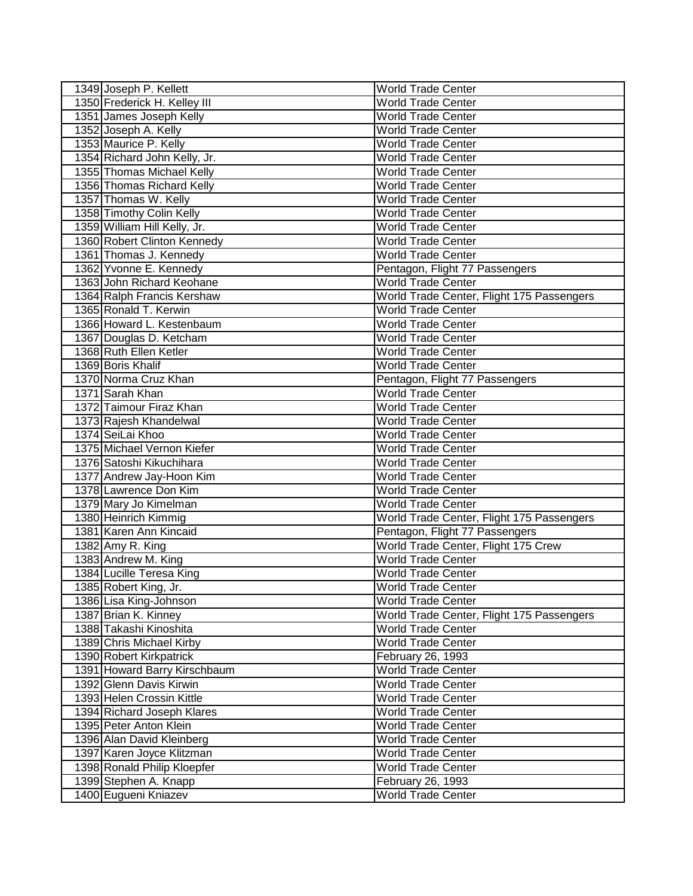| 1349 Joseph P. Kellett       | <b>World Trade Center</b>                 |
|------------------------------|-------------------------------------------|
| 1350 Frederick H. Kelley III | <b>World Trade Center</b>                 |
| 1351 James Joseph Kelly      | <b>World Trade Center</b>                 |
| 1352 Joseph A. Kelly         | <b>World Trade Center</b>                 |
| 1353 Maurice P. Kelly        | <b>World Trade Center</b>                 |
| 1354 Richard John Kelly, Jr. | <b>World Trade Center</b>                 |
| 1355 Thomas Michael Kelly    | <b>World Trade Center</b>                 |
| 1356 Thomas Richard Kelly    | <b>World Trade Center</b>                 |
| 1357 Thomas W. Kelly         | <b>World Trade Center</b>                 |
| 1358 Timothy Colin Kelly     | <b>World Trade Center</b>                 |
| 1359 William Hill Kelly, Jr. | <b>World Trade Center</b>                 |
| 1360 Robert Clinton Kennedy  | <b>World Trade Center</b>                 |
| 1361 Thomas J. Kennedy       | <b>World Trade Center</b>                 |
| 1362 Yvonne E. Kennedy       | Pentagon, Flight 77 Passengers            |
| 1363 John Richard Keohane    | <b>World Trade Center</b>                 |
| 1364 Ralph Francis Kershaw   | World Trade Center, Flight 175 Passengers |
| 1365 Ronald T. Kerwin        | <b>World Trade Center</b>                 |
| 1366 Howard L. Kestenbaum    | <b>World Trade Center</b>                 |
| 1367 Douglas D. Ketcham      | <b>World Trade Center</b>                 |
| 1368 Ruth Ellen Ketler       | <b>World Trade Center</b>                 |
| 1369 Boris Khalif            | <b>World Trade Center</b>                 |
| 1370 Norma Cruz Khan         | Pentagon, Flight 77 Passengers            |
| 1371 Sarah Khan              | <b>World Trade Center</b>                 |
| 1372 Taimour Firaz Khan      | <b>World Trade Center</b>                 |
| 1373 Rajesh Khandelwal       | <b>World Trade Center</b>                 |
| 1374 SeiLai Khoo             | <b>World Trade Center</b>                 |
| 1375 Michael Vernon Kiefer   | <b>World Trade Center</b>                 |
| 1376 Satoshi Kikuchihara     | <b>World Trade Center</b>                 |
| 1377 Andrew Jay-Hoon Kim     | <b>World Trade Center</b>                 |
| 1378 Lawrence Don Kim        | <b>World Trade Center</b>                 |
| 1379 Mary Jo Kimelman        | <b>World Trade Center</b>                 |
| 1380 Heinrich Kimmig         | World Trade Center, Flight 175 Passengers |
| 1381 Karen Ann Kincaid       | Pentagon, Flight 77 Passengers            |
| 1382 Amy R. King             | World Trade Center, Flight 175 Crew       |
| 1383 Andrew M. King          | <b>World Trade Center</b>                 |
| 1384 Lucille Teresa King     | <b>World Trade Center</b>                 |
| 1385 Robert King, Jr.        | World Trade Center                        |
| 1386 Lisa King-Johnson       | <b>World Trade Center</b>                 |
| 1387 Brian K. Kinney         | World Trade Center, Flight 175 Passengers |
| 1388 Takashi Kinoshita       | <b>World Trade Center</b>                 |
| 1389 Chris Michael Kirby     | <b>World Trade Center</b>                 |
| 1390 Robert Kirkpatrick      | February 26, 1993                         |
| 1391 Howard Barry Kirschbaum | <b>World Trade Center</b>                 |
| 1392 Glenn Davis Kirwin      | <b>World Trade Center</b>                 |
| 1393 Helen Crossin Kittle    | <b>World Trade Center</b>                 |
| 1394 Richard Joseph Klares   | <b>World Trade Center</b>                 |
| 1395 Peter Anton Klein       | <b>World Trade Center</b>                 |
| 1396 Alan David Kleinberg    | <b>World Trade Center</b>                 |
| 1397 Karen Joyce Klitzman    | <b>World Trade Center</b>                 |
| 1398 Ronald Philip Kloepfer  | <b>World Trade Center</b>                 |
| 1399 Stephen A. Knapp        | February 26, 1993                         |
| 1400 Eugueni Kniazev         | <b>World Trade Center</b>                 |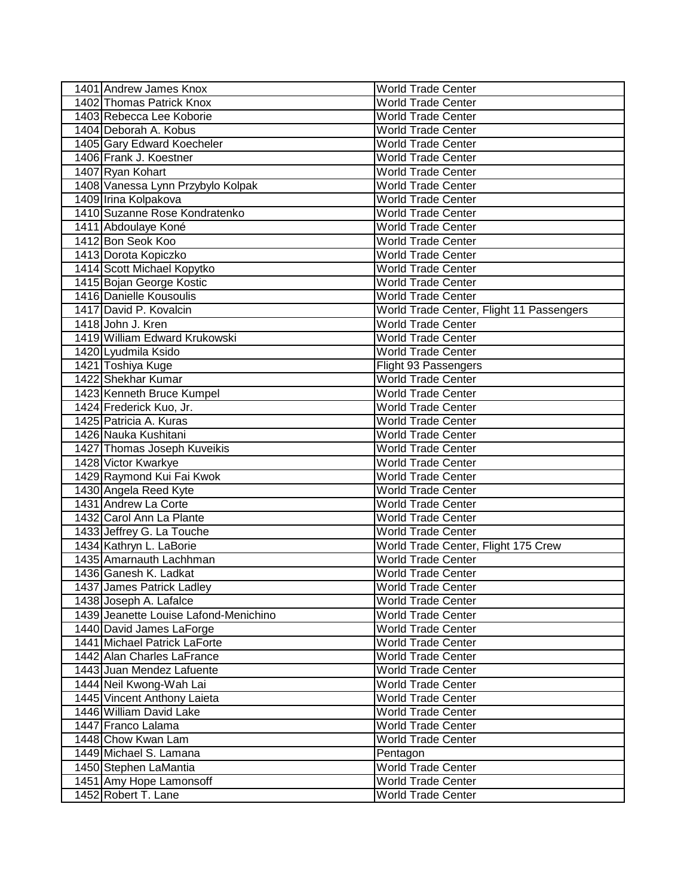| 1401 Andrew James Knox                | <b>World Trade Center</b>                |
|---------------------------------------|------------------------------------------|
| 1402 Thomas Patrick Knox              | World Trade Center                       |
| 1403 Rebecca Lee Koborie              | <b>World Trade Center</b>                |
| 1404 Deborah A. Kobus                 | <b>World Trade Center</b>                |
| 1405 Gary Edward Koecheler            | <b>World Trade Center</b>                |
| 1406 Frank J. Koestner                | <b>World Trade Center</b>                |
| 1407 Ryan Kohart                      | <b>World Trade Center</b>                |
| 1408 Vanessa Lynn Przybylo Kolpak     | <b>World Trade Center</b>                |
| 1409 Irina Kolpakova                  | <b>World Trade Center</b>                |
| 1410 Suzanne Rose Kondratenko         | <b>World Trade Center</b>                |
| 1411 Abdoulaye Koné                   | <b>World Trade Center</b>                |
| 1412 Bon Seok Koo                     | <b>World Trade Center</b>                |
| 1413 Dorota Kopiczko                  | World Trade Center                       |
| 1414 Scott Michael Kopytko            | <b>World Trade Center</b>                |
| 1415 Bojan George Kostic              | <b>World Trade Center</b>                |
| 1416 Danielle Kousoulis               | <b>World Trade Center</b>                |
| 1417 David P. Kovalcin                | World Trade Center, Flight 11 Passengers |
| 1418 John J. Kren                     | <b>World Trade Center</b>                |
| 1419 William Edward Krukowski         | <b>World Trade Center</b>                |
| 1420 Lyudmila Ksido                   | World Trade Center                       |
| 1421 Toshiya Kuge                     | Flight 93 Passengers                     |
| 1422 Shekhar Kumar                    | <b>World Trade Center</b>                |
| 1423 Kenneth Bruce Kumpel             | <b>World Trade Center</b>                |
| 1424 Frederick Kuo, Jr.               | <b>World Trade Center</b>                |
| 1425 Patricia A. Kuras                | <b>World Trade Center</b>                |
| 1426 Nauka Kushitani                  | <b>World Trade Center</b>                |
| 1427 Thomas Joseph Kuveikis           | <b>World Trade Center</b>                |
| 1428 Victor Kwarkye                   | <b>World Trade Center</b>                |
| 1429 Raymond Kui Fai Kwok             | <b>World Trade Center</b>                |
| 1430 Angela Reed Kyte                 | <b>World Trade Center</b>                |
| 1431 Andrew La Corte                  | <b>World Trade Center</b>                |
| 1432 Carol Ann La Plante              | <b>World Trade Center</b>                |
| 1433 Jeffrey G. La Touche             | <b>World Trade Center</b>                |
| 1434 Kathryn L. LaBorie               | World Trade Center, Flight 175 Crew      |
| 1435 Amarnauth Lachhman               | <b>World Trade Center</b>                |
| 1436 Ganesh K. Ladkat                 | <b>World Trade Center</b>                |
| 1437 James Patrick Ladley             | World Trade Center                       |
| 1438 Joseph A. Lafalce                | <b>World Trade Center</b>                |
| 1439 Jeanette Louise Lafond-Menichino | World Trade Center                       |
| 1440 David James LaForge              | <b>World Trade Center</b>                |
| 1441 Michael Patrick LaForte          | <b>World Trade Center</b>                |
| 1442 Alan Charles LaFrance            | <b>World Trade Center</b>                |
| 1443 Juan Mendez Lafuente             | <b>World Trade Center</b>                |
| 1444 Neil Kwong-Wah Lai               | <b>World Trade Center</b>                |
| 1445 Vincent Anthony Laieta           | <b>World Trade Center</b>                |
| 1446 William David Lake               | <b>World Trade Center</b>                |
| 1447 Franco Lalama                    | <b>World Trade Center</b>                |
| 1448 Chow Kwan Lam                    | <b>World Trade Center</b>                |
| 1449 Michael S. Lamana                | Pentagon                                 |
| 1450 Stephen LaMantia                 | <b>World Trade Center</b>                |
| 1451 Amy Hope Lamonsoff               | <b>World Trade Center</b>                |
| 1452 Robert T. Lane                   | <b>World Trade Center</b>                |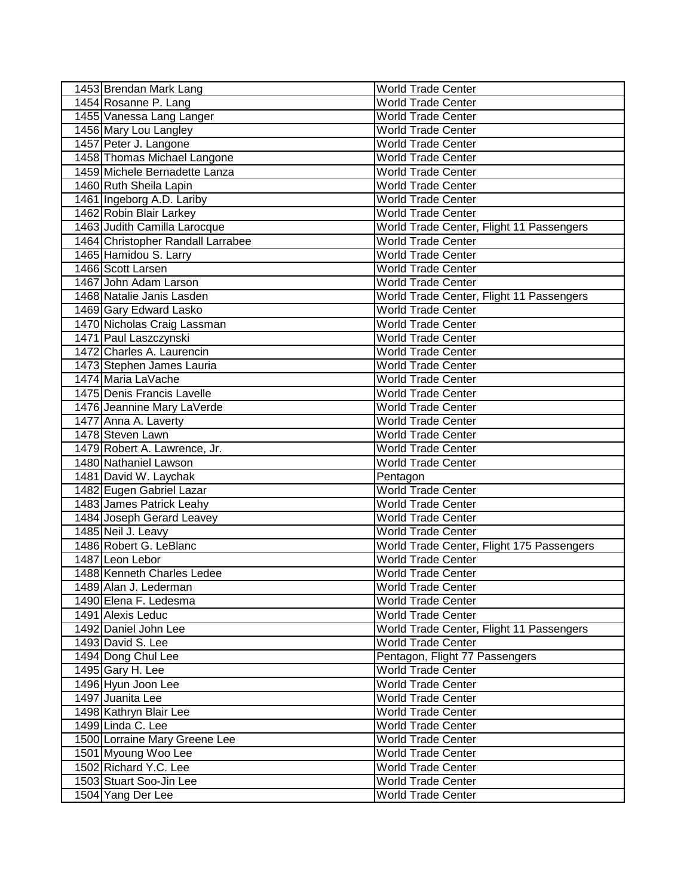| 1453 Brendan Mark Lang            | <b>World Trade Center</b>                 |
|-----------------------------------|-------------------------------------------|
| 1454 Rosanne P. Lang              | <b>World Trade Center</b>                 |
| 1455 Vanessa Lang Langer          | <b>World Trade Center</b>                 |
| 1456 Mary Lou Langley             | <b>World Trade Center</b>                 |
| 1457 Peter J. Langone             | <b>World Trade Center</b>                 |
| 1458 Thomas Michael Langone       | <b>World Trade Center</b>                 |
| 1459 Michele Bernadette Lanza     | <b>World Trade Center</b>                 |
| 1460 Ruth Sheila Lapin            | <b>World Trade Center</b>                 |
| 1461 Ingeborg A.D. Lariby         | <b>World Trade Center</b>                 |
| 1462 Robin Blair Larkey           | <b>World Trade Center</b>                 |
| 1463 Judith Camilla Larocque      | World Trade Center, Flight 11 Passengers  |
| 1464 Christopher Randall Larrabee | <b>World Trade Center</b>                 |
| 1465 Hamidou S. Larry             | <b>World Trade Center</b>                 |
| 1466 Scott Larsen                 | <b>World Trade Center</b>                 |
| 1467 John Adam Larson             | <b>World Trade Center</b>                 |
| 1468 Natalie Janis Lasden         | World Trade Center, Flight 11 Passengers  |
| 1469 Gary Edward Lasko            | <b>World Trade Center</b>                 |
| 1470 Nicholas Craig Lassman       | <b>World Trade Center</b>                 |
| 1471 Paul Laszczynski             | <b>World Trade Center</b>                 |
| 1472 Charles A. Laurencin         | <b>World Trade Center</b>                 |
| 1473 Stephen James Lauria         | <b>World Trade Center</b>                 |
| 1474 Maria LaVache                | <b>World Trade Center</b>                 |
| 1475 Denis Francis Lavelle        | <b>World Trade Center</b>                 |
| 1476 Jeannine Mary LaVerde        | <b>World Trade Center</b>                 |
| 1477 Anna A. Laverty              | <b>World Trade Center</b>                 |
| 1478 Steven Lawn                  | <b>World Trade Center</b>                 |
| 1479 Robert A. Lawrence, Jr.      | <b>World Trade Center</b>                 |
| 1480 Nathaniel Lawson             | <b>World Trade Center</b>                 |
| 1481 David W. Laychak             | Pentagon                                  |
| 1482 Eugen Gabriel Lazar          | <b>World Trade Center</b>                 |
| 1483 James Patrick Leahy          | <b>World Trade Center</b>                 |
| 1484 Joseph Gerard Leavey         | <b>World Trade Center</b>                 |
| 1485 Neil J. Leavy                | <b>World Trade Center</b>                 |
| 1486 Robert G. LeBlanc            | World Trade Center, Flight 175 Passengers |
| 1487 Leon Lebor                   | <b>World Trade Center</b>                 |
| 1488 Kenneth Charles Ledee        | <b>World Trade Center</b>                 |
| 1489 Alan J. Lederman             | World Trade Center                        |
| 1490 Elena F. Ledesma             | <b>World Trade Center</b>                 |
| 1491 Alexis Leduc                 | World Trade Center                        |
| 1492 Daniel John Lee              | World Trade Center, Flight 11 Passengers  |
| 1493 David S. Lee                 | <b>World Trade Center</b>                 |
| 1494 Dong Chul Lee                | Pentagon, Flight 77 Passengers            |
| 1495 Gary H. Lee                  | <b>World Trade Center</b>                 |
| 1496 Hyun Joon Lee                | <b>World Trade Center</b>                 |
| 1497 Juanita Lee                  | <b>World Trade Center</b>                 |
| 1498 Kathryn Blair Lee            | <b>World Trade Center</b>                 |
| 1499 Linda C. Lee                 | <b>World Trade Center</b>                 |
| 1500 Lorraine Mary Greene Lee     | World Trade Center                        |
| 1501 Myoung Woo Lee               | <b>World Trade Center</b>                 |
| 1502 Richard Y.C. Lee             | World Trade Center                        |
| 1503 Stuart Soo-Jin Lee           | World Trade Center                        |
| 1504 Yang Der Lee                 | World Trade Center                        |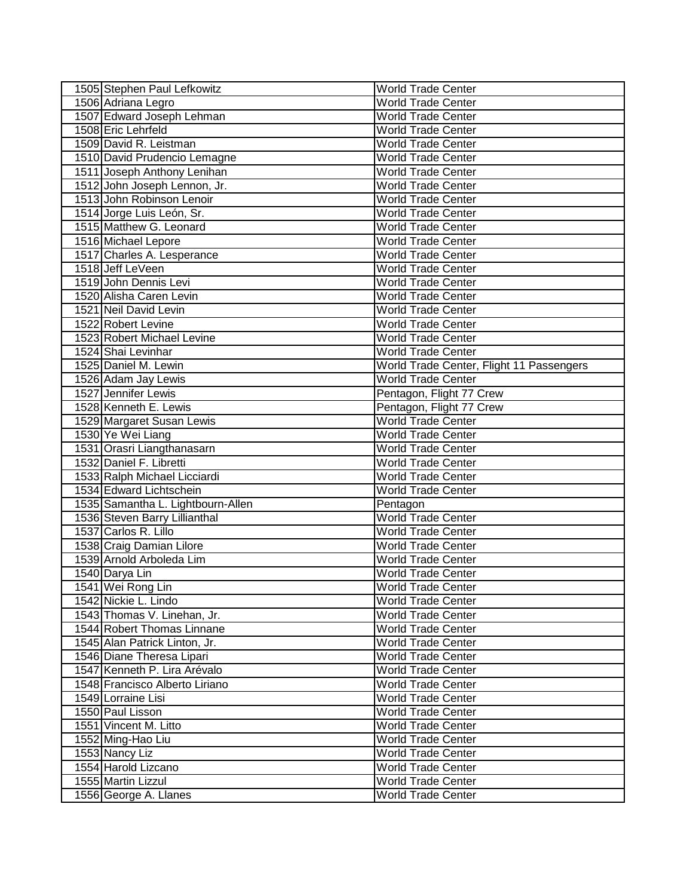| 1506 Adriana Legro<br><b>World Trade Center</b><br>1507 Edward Joseph Lehman<br><b>World Trade Center</b><br>1508 Eric Lehrfeld<br><b>World Trade Center</b><br>1509 David R. Leistman<br><b>World Trade Center</b><br>1510 David Prudencio Lemagne<br><b>World Trade Center</b><br>1511 Joseph Anthony Lenihan<br><b>World Trade Center</b><br>1512 John Joseph Lennon, Jr.<br><b>World Trade Center</b><br>1513 John Robinson Lenoir<br><b>World Trade Center</b><br>1514 Jorge Luis León, Sr.<br><b>World Trade Center</b><br>1515 Matthew G. Leonard<br><b>World Trade Center</b><br>1516 Michael Lepore<br><b>World Trade Center</b><br>1517 Charles A. Lesperance<br><b>World Trade Center</b><br>1518 Jeff LeVeen<br><b>World Trade Center</b><br>1519 John Dennis Levi<br><b>World Trade Center</b><br>1520 Alisha Caren Levin<br><b>World Trade Center</b><br>1521 Neil David Levin<br><b>World Trade Center</b><br>1522 Robert Levine<br><b>World Trade Center</b><br>1523 Robert Michael Levine<br><b>World Trade Center</b><br>1524 Shai Levinhar<br><b>World Trade Center</b><br>1525 Daniel M. Lewin<br>World Trade Center, Flight 11 Passengers<br><b>World Trade Center</b><br>1526 Adam Jay Lewis<br>1527 Jennifer Lewis<br>Pentagon, Flight 77 Crew<br>1528 Kenneth E. Lewis<br>Pentagon, Flight 77 Crew<br><b>World Trade Center</b><br>1529 Margaret Susan Lewis<br>1530 Ye Wei Liang<br><b>World Trade Center</b><br>1531 Orasri Liangthanasarn<br><b>World Trade Center</b><br>1532 Daniel F. Libretti<br><b>World Trade Center</b><br>1533 Ralph Michael Licciardi<br><b>World Trade Center</b><br>1534 Edward Lichtschein<br><b>World Trade Center</b><br>1535 Samantha L. Lightbourn-Allen<br>Pentagon<br><b>World Trade Center</b><br>1536 Steven Barry Lillianthal<br>1537 Carlos R. Lillo<br><b>World Trade Center</b><br>1538 Craig Damian Lilore<br><b>World Trade Center</b><br>1539 Arnold Arboleda Lim<br><b>World Trade Center</b><br>1540 Darya Lin<br><b>World Trade Center</b><br>1541 Wei Rong Lin<br><b>World Trade Center</b><br>1542 Nickie L. Lindo<br><b>World Trade Center</b><br>1543 Thomas V. Linehan, Jr.<br><b>World Trade Center</b><br>1544 Robert Thomas Linnane<br><b>World Trade Center</b><br>1545 Alan Patrick Linton, Jr.<br><b>World Trade Center</b><br>1546 Diane Theresa Lipari<br><b>World Trade Center</b><br><b>World Trade Center</b><br>1547 Kenneth P. Lira Arévalo<br>1548 Francisco Alberto Liriano<br><b>World Trade Center</b><br>1549 Lorraine Lisi<br><b>World Trade Center</b><br>1550 Paul Lisson<br><b>World Trade Center</b><br>1551 Vincent M. Litto<br><b>World Trade Center</b><br>1552 Ming-Hao Liu<br><b>World Trade Center</b><br>1553 Nancy Liz<br><b>World Trade Center</b><br>1554 Harold Lizcano<br><b>World Trade Center</b><br>1555 Martin Lizzul<br><b>World Trade Center</b> | 1505 Stephen Paul Lefkowitz | <b>World Trade Center</b> |
|-------------------------------------------------------------------------------------------------------------------------------------------------------------------------------------------------------------------------------------------------------------------------------------------------------------------------------------------------------------------------------------------------------------------------------------------------------------------------------------------------------------------------------------------------------------------------------------------------------------------------------------------------------------------------------------------------------------------------------------------------------------------------------------------------------------------------------------------------------------------------------------------------------------------------------------------------------------------------------------------------------------------------------------------------------------------------------------------------------------------------------------------------------------------------------------------------------------------------------------------------------------------------------------------------------------------------------------------------------------------------------------------------------------------------------------------------------------------------------------------------------------------------------------------------------------------------------------------------------------------------------------------------------------------------------------------------------------------------------------------------------------------------------------------------------------------------------------------------------------------------------------------------------------------------------------------------------------------------------------------------------------------------------------------------------------------------------------------------------------------------------------------------------------------------------------------------------------------------------------------------------------------------------------------------------------------------------------------------------------------------------------------------------------------------------------------------------------------------------------------------------------------------------------------------------------------------------------------------------------------------------------------------------------------------------------------------------------------------------------------------------------------------------------------------------------------------------------------------------------------------|-----------------------------|---------------------------|
|                                                                                                                                                                                                                                                                                                                                                                                                                                                                                                                                                                                                                                                                                                                                                                                                                                                                                                                                                                                                                                                                                                                                                                                                                                                                                                                                                                                                                                                                                                                                                                                                                                                                                                                                                                                                                                                                                                                                                                                                                                                                                                                                                                                                                                                                                                                                                                                                                                                                                                                                                                                                                                                                                                                                                                                                                                                                         |                             |                           |
|                                                                                                                                                                                                                                                                                                                                                                                                                                                                                                                                                                                                                                                                                                                                                                                                                                                                                                                                                                                                                                                                                                                                                                                                                                                                                                                                                                                                                                                                                                                                                                                                                                                                                                                                                                                                                                                                                                                                                                                                                                                                                                                                                                                                                                                                                                                                                                                                                                                                                                                                                                                                                                                                                                                                                                                                                                                                         |                             |                           |
|                                                                                                                                                                                                                                                                                                                                                                                                                                                                                                                                                                                                                                                                                                                                                                                                                                                                                                                                                                                                                                                                                                                                                                                                                                                                                                                                                                                                                                                                                                                                                                                                                                                                                                                                                                                                                                                                                                                                                                                                                                                                                                                                                                                                                                                                                                                                                                                                                                                                                                                                                                                                                                                                                                                                                                                                                                                                         |                             |                           |
|                                                                                                                                                                                                                                                                                                                                                                                                                                                                                                                                                                                                                                                                                                                                                                                                                                                                                                                                                                                                                                                                                                                                                                                                                                                                                                                                                                                                                                                                                                                                                                                                                                                                                                                                                                                                                                                                                                                                                                                                                                                                                                                                                                                                                                                                                                                                                                                                                                                                                                                                                                                                                                                                                                                                                                                                                                                                         |                             |                           |
|                                                                                                                                                                                                                                                                                                                                                                                                                                                                                                                                                                                                                                                                                                                                                                                                                                                                                                                                                                                                                                                                                                                                                                                                                                                                                                                                                                                                                                                                                                                                                                                                                                                                                                                                                                                                                                                                                                                                                                                                                                                                                                                                                                                                                                                                                                                                                                                                                                                                                                                                                                                                                                                                                                                                                                                                                                                                         |                             |                           |
|                                                                                                                                                                                                                                                                                                                                                                                                                                                                                                                                                                                                                                                                                                                                                                                                                                                                                                                                                                                                                                                                                                                                                                                                                                                                                                                                                                                                                                                                                                                                                                                                                                                                                                                                                                                                                                                                                                                                                                                                                                                                                                                                                                                                                                                                                                                                                                                                                                                                                                                                                                                                                                                                                                                                                                                                                                                                         |                             |                           |
|                                                                                                                                                                                                                                                                                                                                                                                                                                                                                                                                                                                                                                                                                                                                                                                                                                                                                                                                                                                                                                                                                                                                                                                                                                                                                                                                                                                                                                                                                                                                                                                                                                                                                                                                                                                                                                                                                                                                                                                                                                                                                                                                                                                                                                                                                                                                                                                                                                                                                                                                                                                                                                                                                                                                                                                                                                                                         |                             |                           |
|                                                                                                                                                                                                                                                                                                                                                                                                                                                                                                                                                                                                                                                                                                                                                                                                                                                                                                                                                                                                                                                                                                                                                                                                                                                                                                                                                                                                                                                                                                                                                                                                                                                                                                                                                                                                                                                                                                                                                                                                                                                                                                                                                                                                                                                                                                                                                                                                                                                                                                                                                                                                                                                                                                                                                                                                                                                                         |                             |                           |
|                                                                                                                                                                                                                                                                                                                                                                                                                                                                                                                                                                                                                                                                                                                                                                                                                                                                                                                                                                                                                                                                                                                                                                                                                                                                                                                                                                                                                                                                                                                                                                                                                                                                                                                                                                                                                                                                                                                                                                                                                                                                                                                                                                                                                                                                                                                                                                                                                                                                                                                                                                                                                                                                                                                                                                                                                                                                         |                             |                           |
|                                                                                                                                                                                                                                                                                                                                                                                                                                                                                                                                                                                                                                                                                                                                                                                                                                                                                                                                                                                                                                                                                                                                                                                                                                                                                                                                                                                                                                                                                                                                                                                                                                                                                                                                                                                                                                                                                                                                                                                                                                                                                                                                                                                                                                                                                                                                                                                                                                                                                                                                                                                                                                                                                                                                                                                                                                                                         |                             |                           |
|                                                                                                                                                                                                                                                                                                                                                                                                                                                                                                                                                                                                                                                                                                                                                                                                                                                                                                                                                                                                                                                                                                                                                                                                                                                                                                                                                                                                                                                                                                                                                                                                                                                                                                                                                                                                                                                                                                                                                                                                                                                                                                                                                                                                                                                                                                                                                                                                                                                                                                                                                                                                                                                                                                                                                                                                                                                                         |                             |                           |
|                                                                                                                                                                                                                                                                                                                                                                                                                                                                                                                                                                                                                                                                                                                                                                                                                                                                                                                                                                                                                                                                                                                                                                                                                                                                                                                                                                                                                                                                                                                                                                                                                                                                                                                                                                                                                                                                                                                                                                                                                                                                                                                                                                                                                                                                                                                                                                                                                                                                                                                                                                                                                                                                                                                                                                                                                                                                         |                             |                           |
|                                                                                                                                                                                                                                                                                                                                                                                                                                                                                                                                                                                                                                                                                                                                                                                                                                                                                                                                                                                                                                                                                                                                                                                                                                                                                                                                                                                                                                                                                                                                                                                                                                                                                                                                                                                                                                                                                                                                                                                                                                                                                                                                                                                                                                                                                                                                                                                                                                                                                                                                                                                                                                                                                                                                                                                                                                                                         |                             |                           |
|                                                                                                                                                                                                                                                                                                                                                                                                                                                                                                                                                                                                                                                                                                                                                                                                                                                                                                                                                                                                                                                                                                                                                                                                                                                                                                                                                                                                                                                                                                                                                                                                                                                                                                                                                                                                                                                                                                                                                                                                                                                                                                                                                                                                                                                                                                                                                                                                                                                                                                                                                                                                                                                                                                                                                                                                                                                                         |                             |                           |
|                                                                                                                                                                                                                                                                                                                                                                                                                                                                                                                                                                                                                                                                                                                                                                                                                                                                                                                                                                                                                                                                                                                                                                                                                                                                                                                                                                                                                                                                                                                                                                                                                                                                                                                                                                                                                                                                                                                                                                                                                                                                                                                                                                                                                                                                                                                                                                                                                                                                                                                                                                                                                                                                                                                                                                                                                                                                         |                             |                           |
|                                                                                                                                                                                                                                                                                                                                                                                                                                                                                                                                                                                                                                                                                                                                                                                                                                                                                                                                                                                                                                                                                                                                                                                                                                                                                                                                                                                                                                                                                                                                                                                                                                                                                                                                                                                                                                                                                                                                                                                                                                                                                                                                                                                                                                                                                                                                                                                                                                                                                                                                                                                                                                                                                                                                                                                                                                                                         |                             |                           |
|                                                                                                                                                                                                                                                                                                                                                                                                                                                                                                                                                                                                                                                                                                                                                                                                                                                                                                                                                                                                                                                                                                                                                                                                                                                                                                                                                                                                                                                                                                                                                                                                                                                                                                                                                                                                                                                                                                                                                                                                                                                                                                                                                                                                                                                                                                                                                                                                                                                                                                                                                                                                                                                                                                                                                                                                                                                                         |                             |                           |
|                                                                                                                                                                                                                                                                                                                                                                                                                                                                                                                                                                                                                                                                                                                                                                                                                                                                                                                                                                                                                                                                                                                                                                                                                                                                                                                                                                                                                                                                                                                                                                                                                                                                                                                                                                                                                                                                                                                                                                                                                                                                                                                                                                                                                                                                                                                                                                                                                                                                                                                                                                                                                                                                                                                                                                                                                                                                         |                             |                           |
|                                                                                                                                                                                                                                                                                                                                                                                                                                                                                                                                                                                                                                                                                                                                                                                                                                                                                                                                                                                                                                                                                                                                                                                                                                                                                                                                                                                                                                                                                                                                                                                                                                                                                                                                                                                                                                                                                                                                                                                                                                                                                                                                                                                                                                                                                                                                                                                                                                                                                                                                                                                                                                                                                                                                                                                                                                                                         |                             |                           |
|                                                                                                                                                                                                                                                                                                                                                                                                                                                                                                                                                                                                                                                                                                                                                                                                                                                                                                                                                                                                                                                                                                                                                                                                                                                                                                                                                                                                                                                                                                                                                                                                                                                                                                                                                                                                                                                                                                                                                                                                                                                                                                                                                                                                                                                                                                                                                                                                                                                                                                                                                                                                                                                                                                                                                                                                                                                                         |                             |                           |
|                                                                                                                                                                                                                                                                                                                                                                                                                                                                                                                                                                                                                                                                                                                                                                                                                                                                                                                                                                                                                                                                                                                                                                                                                                                                                                                                                                                                                                                                                                                                                                                                                                                                                                                                                                                                                                                                                                                                                                                                                                                                                                                                                                                                                                                                                                                                                                                                                                                                                                                                                                                                                                                                                                                                                                                                                                                                         |                             |                           |
|                                                                                                                                                                                                                                                                                                                                                                                                                                                                                                                                                                                                                                                                                                                                                                                                                                                                                                                                                                                                                                                                                                                                                                                                                                                                                                                                                                                                                                                                                                                                                                                                                                                                                                                                                                                                                                                                                                                                                                                                                                                                                                                                                                                                                                                                                                                                                                                                                                                                                                                                                                                                                                                                                                                                                                                                                                                                         |                             |                           |
|                                                                                                                                                                                                                                                                                                                                                                                                                                                                                                                                                                                                                                                                                                                                                                                                                                                                                                                                                                                                                                                                                                                                                                                                                                                                                                                                                                                                                                                                                                                                                                                                                                                                                                                                                                                                                                                                                                                                                                                                                                                                                                                                                                                                                                                                                                                                                                                                                                                                                                                                                                                                                                                                                                                                                                                                                                                                         |                             |                           |
|                                                                                                                                                                                                                                                                                                                                                                                                                                                                                                                                                                                                                                                                                                                                                                                                                                                                                                                                                                                                                                                                                                                                                                                                                                                                                                                                                                                                                                                                                                                                                                                                                                                                                                                                                                                                                                                                                                                                                                                                                                                                                                                                                                                                                                                                                                                                                                                                                                                                                                                                                                                                                                                                                                                                                                                                                                                                         |                             |                           |
|                                                                                                                                                                                                                                                                                                                                                                                                                                                                                                                                                                                                                                                                                                                                                                                                                                                                                                                                                                                                                                                                                                                                                                                                                                                                                                                                                                                                                                                                                                                                                                                                                                                                                                                                                                                                                                                                                                                                                                                                                                                                                                                                                                                                                                                                                                                                                                                                                                                                                                                                                                                                                                                                                                                                                                                                                                                                         |                             |                           |
|                                                                                                                                                                                                                                                                                                                                                                                                                                                                                                                                                                                                                                                                                                                                                                                                                                                                                                                                                                                                                                                                                                                                                                                                                                                                                                                                                                                                                                                                                                                                                                                                                                                                                                                                                                                                                                                                                                                                                                                                                                                                                                                                                                                                                                                                                                                                                                                                                                                                                                                                                                                                                                                                                                                                                                                                                                                                         |                             |                           |
|                                                                                                                                                                                                                                                                                                                                                                                                                                                                                                                                                                                                                                                                                                                                                                                                                                                                                                                                                                                                                                                                                                                                                                                                                                                                                                                                                                                                                                                                                                                                                                                                                                                                                                                                                                                                                                                                                                                                                                                                                                                                                                                                                                                                                                                                                                                                                                                                                                                                                                                                                                                                                                                                                                                                                                                                                                                                         |                             |                           |
|                                                                                                                                                                                                                                                                                                                                                                                                                                                                                                                                                                                                                                                                                                                                                                                                                                                                                                                                                                                                                                                                                                                                                                                                                                                                                                                                                                                                                                                                                                                                                                                                                                                                                                                                                                                                                                                                                                                                                                                                                                                                                                                                                                                                                                                                                                                                                                                                                                                                                                                                                                                                                                                                                                                                                                                                                                                                         |                             |                           |
|                                                                                                                                                                                                                                                                                                                                                                                                                                                                                                                                                                                                                                                                                                                                                                                                                                                                                                                                                                                                                                                                                                                                                                                                                                                                                                                                                                                                                                                                                                                                                                                                                                                                                                                                                                                                                                                                                                                                                                                                                                                                                                                                                                                                                                                                                                                                                                                                                                                                                                                                                                                                                                                                                                                                                                                                                                                                         |                             |                           |
|                                                                                                                                                                                                                                                                                                                                                                                                                                                                                                                                                                                                                                                                                                                                                                                                                                                                                                                                                                                                                                                                                                                                                                                                                                                                                                                                                                                                                                                                                                                                                                                                                                                                                                                                                                                                                                                                                                                                                                                                                                                                                                                                                                                                                                                                                                                                                                                                                                                                                                                                                                                                                                                                                                                                                                                                                                                                         |                             |                           |
|                                                                                                                                                                                                                                                                                                                                                                                                                                                                                                                                                                                                                                                                                                                                                                                                                                                                                                                                                                                                                                                                                                                                                                                                                                                                                                                                                                                                                                                                                                                                                                                                                                                                                                                                                                                                                                                                                                                                                                                                                                                                                                                                                                                                                                                                                                                                                                                                                                                                                                                                                                                                                                                                                                                                                                                                                                                                         |                             |                           |
|                                                                                                                                                                                                                                                                                                                                                                                                                                                                                                                                                                                                                                                                                                                                                                                                                                                                                                                                                                                                                                                                                                                                                                                                                                                                                                                                                                                                                                                                                                                                                                                                                                                                                                                                                                                                                                                                                                                                                                                                                                                                                                                                                                                                                                                                                                                                                                                                                                                                                                                                                                                                                                                                                                                                                                                                                                                                         |                             |                           |
|                                                                                                                                                                                                                                                                                                                                                                                                                                                                                                                                                                                                                                                                                                                                                                                                                                                                                                                                                                                                                                                                                                                                                                                                                                                                                                                                                                                                                                                                                                                                                                                                                                                                                                                                                                                                                                                                                                                                                                                                                                                                                                                                                                                                                                                                                                                                                                                                                                                                                                                                                                                                                                                                                                                                                                                                                                                                         |                             |                           |
|                                                                                                                                                                                                                                                                                                                                                                                                                                                                                                                                                                                                                                                                                                                                                                                                                                                                                                                                                                                                                                                                                                                                                                                                                                                                                                                                                                                                                                                                                                                                                                                                                                                                                                                                                                                                                                                                                                                                                                                                                                                                                                                                                                                                                                                                                                                                                                                                                                                                                                                                                                                                                                                                                                                                                                                                                                                                         |                             |                           |
|                                                                                                                                                                                                                                                                                                                                                                                                                                                                                                                                                                                                                                                                                                                                                                                                                                                                                                                                                                                                                                                                                                                                                                                                                                                                                                                                                                                                                                                                                                                                                                                                                                                                                                                                                                                                                                                                                                                                                                                                                                                                                                                                                                                                                                                                                                                                                                                                                                                                                                                                                                                                                                                                                                                                                                                                                                                                         |                             |                           |
|                                                                                                                                                                                                                                                                                                                                                                                                                                                                                                                                                                                                                                                                                                                                                                                                                                                                                                                                                                                                                                                                                                                                                                                                                                                                                                                                                                                                                                                                                                                                                                                                                                                                                                                                                                                                                                                                                                                                                                                                                                                                                                                                                                                                                                                                                                                                                                                                                                                                                                                                                                                                                                                                                                                                                                                                                                                                         |                             |                           |
|                                                                                                                                                                                                                                                                                                                                                                                                                                                                                                                                                                                                                                                                                                                                                                                                                                                                                                                                                                                                                                                                                                                                                                                                                                                                                                                                                                                                                                                                                                                                                                                                                                                                                                                                                                                                                                                                                                                                                                                                                                                                                                                                                                                                                                                                                                                                                                                                                                                                                                                                                                                                                                                                                                                                                                                                                                                                         |                             |                           |
|                                                                                                                                                                                                                                                                                                                                                                                                                                                                                                                                                                                                                                                                                                                                                                                                                                                                                                                                                                                                                                                                                                                                                                                                                                                                                                                                                                                                                                                                                                                                                                                                                                                                                                                                                                                                                                                                                                                                                                                                                                                                                                                                                                                                                                                                                                                                                                                                                                                                                                                                                                                                                                                                                                                                                                                                                                                                         |                             |                           |
|                                                                                                                                                                                                                                                                                                                                                                                                                                                                                                                                                                                                                                                                                                                                                                                                                                                                                                                                                                                                                                                                                                                                                                                                                                                                                                                                                                                                                                                                                                                                                                                                                                                                                                                                                                                                                                                                                                                                                                                                                                                                                                                                                                                                                                                                                                                                                                                                                                                                                                                                                                                                                                                                                                                                                                                                                                                                         |                             |                           |
|                                                                                                                                                                                                                                                                                                                                                                                                                                                                                                                                                                                                                                                                                                                                                                                                                                                                                                                                                                                                                                                                                                                                                                                                                                                                                                                                                                                                                                                                                                                                                                                                                                                                                                                                                                                                                                                                                                                                                                                                                                                                                                                                                                                                                                                                                                                                                                                                                                                                                                                                                                                                                                                                                                                                                                                                                                                                         |                             |                           |
|                                                                                                                                                                                                                                                                                                                                                                                                                                                                                                                                                                                                                                                                                                                                                                                                                                                                                                                                                                                                                                                                                                                                                                                                                                                                                                                                                                                                                                                                                                                                                                                                                                                                                                                                                                                                                                                                                                                                                                                                                                                                                                                                                                                                                                                                                                                                                                                                                                                                                                                                                                                                                                                                                                                                                                                                                                                                         |                             |                           |
|                                                                                                                                                                                                                                                                                                                                                                                                                                                                                                                                                                                                                                                                                                                                                                                                                                                                                                                                                                                                                                                                                                                                                                                                                                                                                                                                                                                                                                                                                                                                                                                                                                                                                                                                                                                                                                                                                                                                                                                                                                                                                                                                                                                                                                                                                                                                                                                                                                                                                                                                                                                                                                                                                                                                                                                                                                                                         |                             |                           |
|                                                                                                                                                                                                                                                                                                                                                                                                                                                                                                                                                                                                                                                                                                                                                                                                                                                                                                                                                                                                                                                                                                                                                                                                                                                                                                                                                                                                                                                                                                                                                                                                                                                                                                                                                                                                                                                                                                                                                                                                                                                                                                                                                                                                                                                                                                                                                                                                                                                                                                                                                                                                                                                                                                                                                                                                                                                                         |                             |                           |
|                                                                                                                                                                                                                                                                                                                                                                                                                                                                                                                                                                                                                                                                                                                                                                                                                                                                                                                                                                                                                                                                                                                                                                                                                                                                                                                                                                                                                                                                                                                                                                                                                                                                                                                                                                                                                                                                                                                                                                                                                                                                                                                                                                                                                                                                                                                                                                                                                                                                                                                                                                                                                                                                                                                                                                                                                                                                         |                             |                           |
|                                                                                                                                                                                                                                                                                                                                                                                                                                                                                                                                                                                                                                                                                                                                                                                                                                                                                                                                                                                                                                                                                                                                                                                                                                                                                                                                                                                                                                                                                                                                                                                                                                                                                                                                                                                                                                                                                                                                                                                                                                                                                                                                                                                                                                                                                                                                                                                                                                                                                                                                                                                                                                                                                                                                                                                                                                                                         |                             |                           |
|                                                                                                                                                                                                                                                                                                                                                                                                                                                                                                                                                                                                                                                                                                                                                                                                                                                                                                                                                                                                                                                                                                                                                                                                                                                                                                                                                                                                                                                                                                                                                                                                                                                                                                                                                                                                                                                                                                                                                                                                                                                                                                                                                                                                                                                                                                                                                                                                                                                                                                                                                                                                                                                                                                                                                                                                                                                                         |                             |                           |
|                                                                                                                                                                                                                                                                                                                                                                                                                                                                                                                                                                                                                                                                                                                                                                                                                                                                                                                                                                                                                                                                                                                                                                                                                                                                                                                                                                                                                                                                                                                                                                                                                                                                                                                                                                                                                                                                                                                                                                                                                                                                                                                                                                                                                                                                                                                                                                                                                                                                                                                                                                                                                                                                                                                                                                                                                                                                         |                             |                           |
|                                                                                                                                                                                                                                                                                                                                                                                                                                                                                                                                                                                                                                                                                                                                                                                                                                                                                                                                                                                                                                                                                                                                                                                                                                                                                                                                                                                                                                                                                                                                                                                                                                                                                                                                                                                                                                                                                                                                                                                                                                                                                                                                                                                                                                                                                                                                                                                                                                                                                                                                                                                                                                                                                                                                                                                                                                                                         |                             |                           |
|                                                                                                                                                                                                                                                                                                                                                                                                                                                                                                                                                                                                                                                                                                                                                                                                                                                                                                                                                                                                                                                                                                                                                                                                                                                                                                                                                                                                                                                                                                                                                                                                                                                                                                                                                                                                                                                                                                                                                                                                                                                                                                                                                                                                                                                                                                                                                                                                                                                                                                                                                                                                                                                                                                                                                                                                                                                                         |                             |                           |
|                                                                                                                                                                                                                                                                                                                                                                                                                                                                                                                                                                                                                                                                                                                                                                                                                                                                                                                                                                                                                                                                                                                                                                                                                                                                                                                                                                                                                                                                                                                                                                                                                                                                                                                                                                                                                                                                                                                                                                                                                                                                                                                                                                                                                                                                                                                                                                                                                                                                                                                                                                                                                                                                                                                                                                                                                                                                         |                             |                           |
|                                                                                                                                                                                                                                                                                                                                                                                                                                                                                                                                                                                                                                                                                                                                                                                                                                                                                                                                                                                                                                                                                                                                                                                                                                                                                                                                                                                                                                                                                                                                                                                                                                                                                                                                                                                                                                                                                                                                                                                                                                                                                                                                                                                                                                                                                                                                                                                                                                                                                                                                                                                                                                                                                                                                                                                                                                                                         | 1556 George A. Llanes       | World Trade Center        |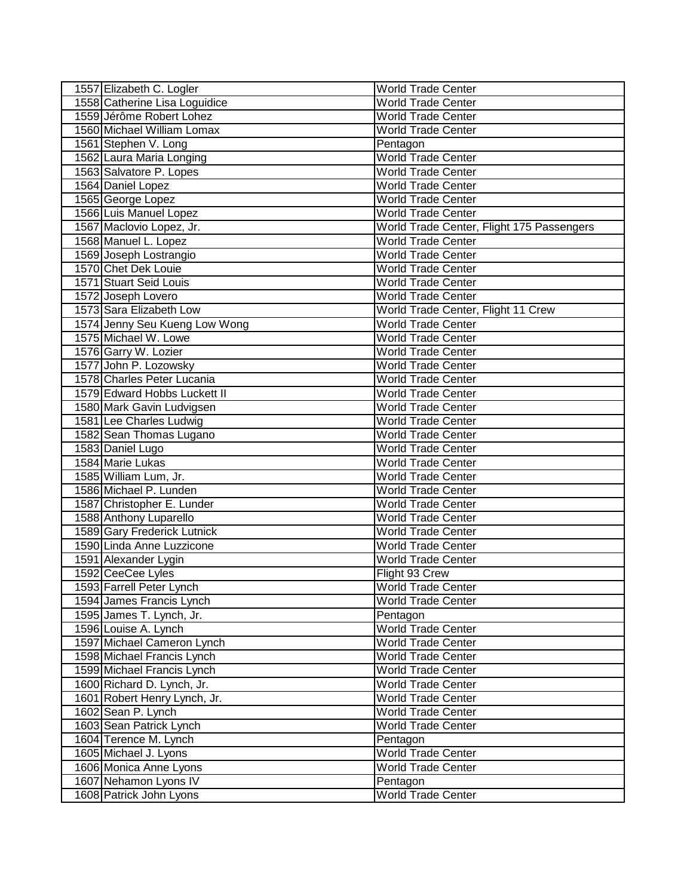| 1557 Elizabeth C. Logler      | <b>World Trade Center</b>                 |
|-------------------------------|-------------------------------------------|
| 1558 Catherine Lisa Loguidice | <b>World Trade Center</b>                 |
| 1559 Jérôme Robert Lohez      | <b>World Trade Center</b>                 |
| 1560 Michael William Lomax    | World Trade Center                        |
| 1561 Stephen V. Long          | Pentagon                                  |
| 1562 Laura Maria Longing      | <b>World Trade Center</b>                 |
| 1563 Salvatore P. Lopes       | <b>World Trade Center</b>                 |
| 1564 Daniel Lopez             | <b>World Trade Center</b>                 |
| 1565 George Lopez             | <b>World Trade Center</b>                 |
| 1566 Luis Manuel Lopez        | <b>World Trade Center</b>                 |
| 1567 Maclovio Lopez, Jr.      | World Trade Center, Flight 175 Passengers |
| 1568 Manuel L. Lopez          | <b>World Trade Center</b>                 |
| 1569 Joseph Lostrangio        | <b>World Trade Center</b>                 |
| 1570 Chet Dek Louie           | <b>World Trade Center</b>                 |
| 1571 Stuart Seid Louis        | <b>World Trade Center</b>                 |
| 1572 Joseph Lovero            | <b>World Trade Center</b>                 |
| 1573 Sara Elizabeth Low       | World Trade Center, Flight 11 Crew        |
| 1574 Jenny Seu Kueng Low Wong | <b>World Trade Center</b>                 |
| 1575 Michael W. Lowe          | <b>World Trade Center</b>                 |
| 1576 Garry W. Lozier          | <b>World Trade Center</b>                 |
| 1577 John P. Lozowsky         | <b>World Trade Center</b>                 |
| 1578 Charles Peter Lucania    | <b>World Trade Center</b>                 |
| 1579 Edward Hobbs Luckett II  | <b>World Trade Center</b>                 |
| 1580 Mark Gavin Ludvigsen     | <b>World Trade Center</b>                 |
| 1581 Lee Charles Ludwig       | <b>World Trade Center</b>                 |
| 1582 Sean Thomas Lugano       | <b>World Trade Center</b>                 |
| 1583 Daniel Lugo              | <b>World Trade Center</b>                 |
| 1584 Marie Lukas              | <b>World Trade Center</b>                 |
| 1585 William Lum, Jr.         | <b>World Trade Center</b>                 |
| 1586 Michael P. Lunden        | <b>World Trade Center</b>                 |
| 1587 Christopher E. Lunder    | <b>World Trade Center</b>                 |
| 1588 Anthony Luparello        | <b>World Trade Center</b>                 |
| 1589 Gary Frederick Lutnick   | <b>World Trade Center</b>                 |
| 1590 Linda Anne Luzzicone     | <b>World Trade Center</b>                 |
| 1591 Alexander Lygin          | <b>World Trade Center</b>                 |
| 1592 CeeCee Lyles             | Flight 93 Crew                            |
| 1593 Farrell Peter Lynch      | World Trade Center                        |
| 1594 James Francis Lynch      | <b>World Trade Center</b>                 |
| 1595 James T. Lynch, Jr.      | Pentagon                                  |
| 1596 Louise A. Lynch          | <b>World Trade Center</b>                 |
| 1597 Michael Cameron Lynch    | <b>World Trade Center</b>                 |
| 1598 Michael Francis Lynch    | <b>World Trade Center</b>                 |
| 1599 Michael Francis Lynch    | <b>World Trade Center</b>                 |
| 1600 Richard D. Lynch, Jr.    | <b>World Trade Center</b>                 |
| 1601 Robert Henry Lynch, Jr.  | <b>World Trade Center</b>                 |
| 1602 Sean P. Lynch            | <b>World Trade Center</b>                 |
| 1603 Sean Patrick Lynch       | <b>World Trade Center</b>                 |
| 1604 Terence M. Lynch         | Pentagon                                  |
| 1605 Michael J. Lyons         | <b>World Trade Center</b>                 |
| 1606 Monica Anne Lyons        | <b>World Trade Center</b>                 |
| 1607 Nehamon Lyons IV         | Pentagon                                  |
| 1608 Patrick John Lyons       | <b>World Trade Center</b>                 |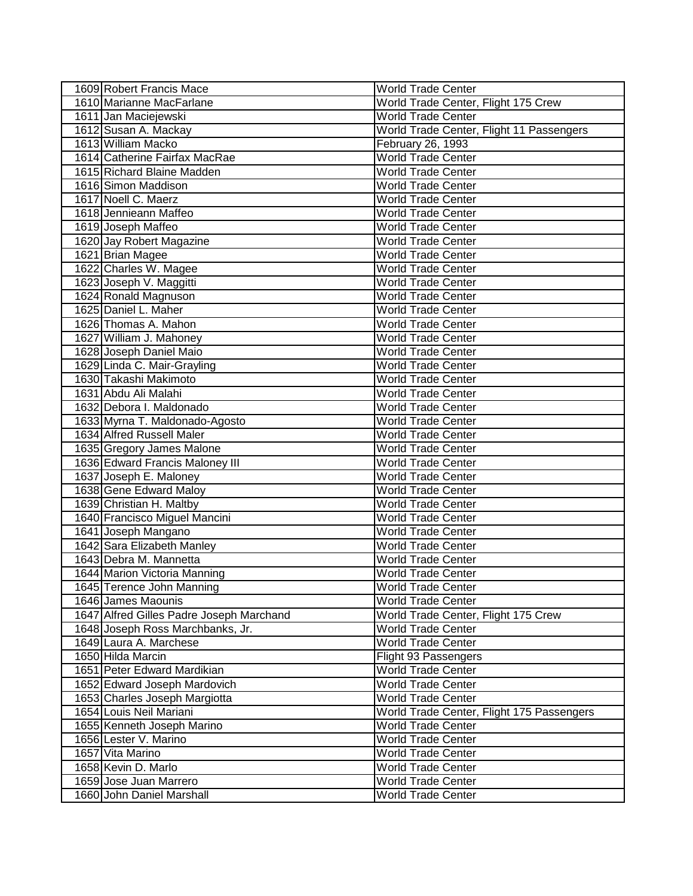| 1609 Robert Francis Mace                 | <b>World Trade Center</b>                 |
|------------------------------------------|-------------------------------------------|
| 1610 Marianne MacFarlane                 | World Trade Center, Flight 175 Crew       |
| 1611 Jan Maciejewski                     | <b>World Trade Center</b>                 |
| 1612 Susan A. Mackay                     | World Trade Center, Flight 11 Passengers  |
| 1613 William Macko                       | February 26, 1993                         |
| 1614 Catherine Fairfax MacRae            | World Trade Center                        |
| 1615 Richard Blaine Madden               | <b>World Trade Center</b>                 |
| 1616 Simon Maddison                      | <b>World Trade Center</b>                 |
| 1617 Noell C. Maerz                      | <b>World Trade Center</b>                 |
| 1618 Jennieann Maffeo                    | <b>World Trade Center</b>                 |
| 1619 Joseph Maffeo                       | <b>World Trade Center</b>                 |
| 1620 Jay Robert Magazine                 | <b>World Trade Center</b>                 |
| 1621 Brian Magee                         | <b>World Trade Center</b>                 |
| 1622 Charles W. Magee                    | <b>World Trade Center</b>                 |
| 1623 Joseph V. Maggitti                  | <b>World Trade Center</b>                 |
| 1624 Ronald Magnuson                     | <b>World Trade Center</b>                 |
| 1625 Daniel L. Maher                     | <b>World Trade Center</b>                 |
| 1626 Thomas A. Mahon                     | <b>World Trade Center</b>                 |
| 1627 William J. Mahoney                  | <b>World Trade Center</b>                 |
| 1628 Joseph Daniel Maio                  | <b>World Trade Center</b>                 |
| 1629 Linda C. Mair-Grayling              | <b>World Trade Center</b>                 |
| 1630 Takashi Makimoto                    | <b>World Trade Center</b>                 |
| 1631 Abdu Ali Malahi                     | <b>World Trade Center</b>                 |
| 1632 Debora I. Maldonado                 | <b>World Trade Center</b>                 |
| 1633 Myrna T. Maldonado-Agosto           | <b>World Trade Center</b>                 |
| 1634 Alfred Russell Maler                | <b>World Trade Center</b>                 |
| 1635 Gregory James Malone                | <b>World Trade Center</b>                 |
| 1636 Edward Francis Maloney III          | <b>World Trade Center</b>                 |
| 1637 Joseph E. Maloney                   | <b>World Trade Center</b>                 |
| 1638 Gene Edward Maloy                   | <b>World Trade Center</b>                 |
| 1639 Christian H. Maltby                 | <b>World Trade Center</b>                 |
| 1640 Francisco Miguel Mancini            | <b>World Trade Center</b>                 |
| 1641 Joseph Mangano                      | <b>World Trade Center</b>                 |
| 1642 Sara Elizabeth Manley               | <b>World Trade Center</b>                 |
| 1643 Debra M. Mannetta                   | <b>World Trade Center</b>                 |
| 1644 Marion Victoria Manning             | <b>World Trade Center</b>                 |
| 1645 Terence John Manning                | <b>World Trade Center</b>                 |
| 1646 James Maounis                       | <b>World Trade Center</b>                 |
| 1647 Alfred Gilles Padre Joseph Marchand | World Trade Center, Flight 175 Crew       |
| 1648 Joseph Ross Marchbanks, Jr.         | <b>World Trade Center</b>                 |
| 1649 Laura A. Marchese                   | <b>World Trade Center</b>                 |
| 1650 Hilda Marcin                        | Flight 93 Passengers                      |
| 1651 Peter Edward Mardikian              | <b>World Trade Center</b>                 |
| 1652 Edward Joseph Mardovich             | <b>World Trade Center</b>                 |
| 1653 Charles Joseph Margiotta            | <b>World Trade Center</b>                 |
| 1654 Louis Neil Mariani                  | World Trade Center, Flight 175 Passengers |
| 1655 Kenneth Joseph Marino               | <b>World Trade Center</b>                 |
| 1656 Lester V. Marino                    | <b>World Trade Center</b>                 |
| 1657 Vita Marino                         | <b>World Trade Center</b>                 |
| 1658 Kevin D. Marlo                      | <b>World Trade Center</b>                 |
| 1659 Jose Juan Marrero                   | <b>World Trade Center</b>                 |
| 1660 John Daniel Marshall                | <b>World Trade Center</b>                 |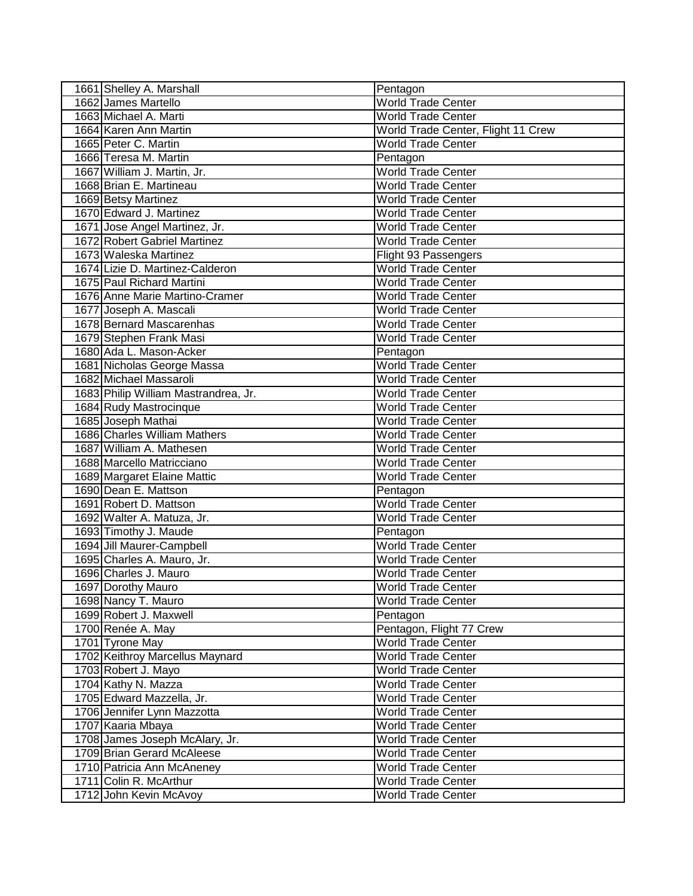| 1661 Shelley A. Marshall             | Pentagon                           |
|--------------------------------------|------------------------------------|
| 1662 James Martello                  | <b>World Trade Center</b>          |
| 1663 Michael A. Marti                | <b>World Trade Center</b>          |
| 1664 Karen Ann Martin                | World Trade Center, Flight 11 Crew |
| 1665 Peter C. Martin                 | <b>World Trade Center</b>          |
| 1666 Teresa M. Martin                | Pentagon                           |
| 1667 William J. Martin, Jr.          | <b>World Trade Center</b>          |
| 1668 Brian E. Martineau              | <b>World Trade Center</b>          |
| 1669 Betsy Martinez                  | <b>World Trade Center</b>          |
| 1670 Edward J. Martinez              | <b>World Trade Center</b>          |
| 1671 Jose Angel Martinez, Jr.        | <b>World Trade Center</b>          |
| 1672 Robert Gabriel Martinez         | <b>World Trade Center</b>          |
| 1673 Waleska Martinez                | Flight 93 Passengers               |
| 1674 Lizie D. Martinez-Calderon      | <b>World Trade Center</b>          |
| 1675 Paul Richard Martini            | <b>World Trade Center</b>          |
| 1676 Anne Marie Martino-Cramer       | <b>World Trade Center</b>          |
| 1677 Joseph A. Mascali               | <b>World Trade Center</b>          |
| 1678 Bernard Mascarenhas             | <b>World Trade Center</b>          |
| 1679 Stephen Frank Masi              | <b>World Trade Center</b>          |
| 1680 Ada L. Mason-Acker              | Pentagon                           |
| 1681 Nicholas George Massa           | <b>World Trade Center</b>          |
| 1682 Michael Massaroli               | <b>World Trade Center</b>          |
| 1683 Philip William Mastrandrea, Jr. | <b>World Trade Center</b>          |
| 1684 Rudy Mastrocinque               | <b>World Trade Center</b>          |
| 1685 Joseph Mathai                   | <b>World Trade Center</b>          |
| 1686 Charles William Mathers         | <b>World Trade Center</b>          |
| 1687 William A. Mathesen             | <b>World Trade Center</b>          |
| 1688 Marcello Matricciano            | <b>World Trade Center</b>          |
| 1689 Margaret Elaine Mattic          | <b>World Trade Center</b>          |
| 1690 Dean E. Mattson                 | Pentagon                           |
| 1691 Robert D. Mattson               | <b>World Trade Center</b>          |
| 1692 Walter A. Matuza, Jr.           | <b>World Trade Center</b>          |
| 1693 Timothy J. Maude                | Pentagon                           |
| 1694 Jill Maurer-Campbell            | <b>World Trade Center</b>          |
| 1695 Charles A. Mauro, Jr.           | <b>World Trade Center</b>          |
| 1696 Charles J. Mauro                | <b>World Trade Center</b>          |
| 1697 Dorothy Mauro                   | <b>World Trade Center</b>          |
| 1698 Nancy T. Mauro                  | <b>World Trade Center</b>          |
| 1699 Robert J. Maxwell               | Pentagon                           |
| 1700 Renée A. May                    | Pentagon, Flight 77 Crew           |
| 1701 Tyrone May                      | <b>World Trade Center</b>          |
| 1702 Keithroy Marcellus Maynard      | <b>World Trade Center</b>          |
| 1703 Robert J. Mayo                  | <b>World Trade Center</b>          |
| 1704 Kathy N. Mazza                  | <b>World Trade Center</b>          |
| 1705 Edward Mazzella, Jr.            | <b>World Trade Center</b>          |
| 1706 Jennifer Lynn Mazzotta          | <b>World Trade Center</b>          |
| 1707 Kaaria Mbaya                    | <b>World Trade Center</b>          |
| 1708 James Joseph McAlary, Jr.       | <b>World Trade Center</b>          |
| 1709 Brian Gerard McAleese           | <b>World Trade Center</b>          |
| 1710 Patricia Ann McAneney           | <b>World Trade Center</b>          |
| 1711 Colin R. McArthur               | <b>World Trade Center</b>          |
| 1712 John Kevin McAvoy               | <b>World Trade Center</b>          |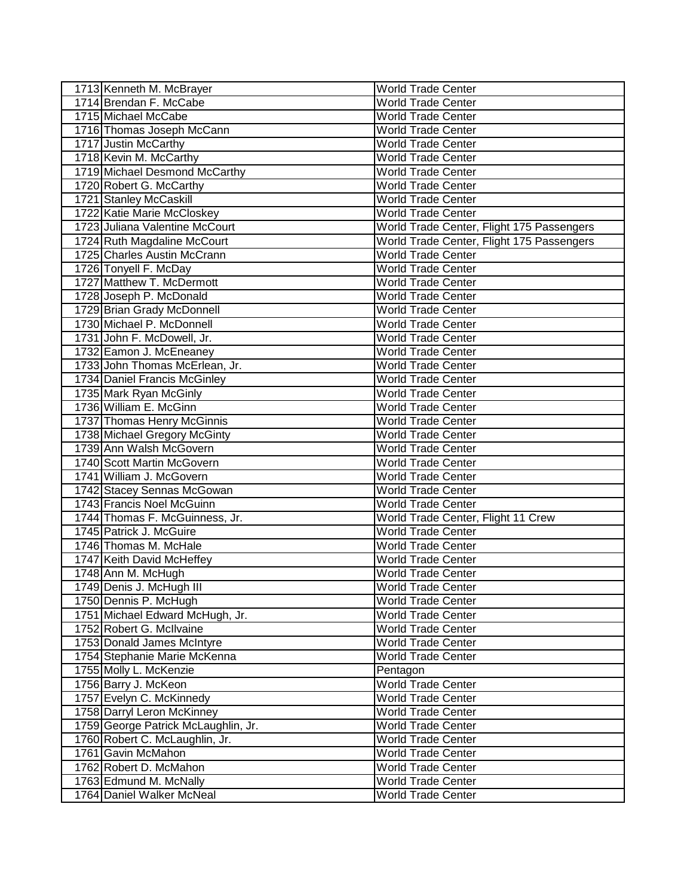| 1713 Kenneth M. McBrayer            | <b>World Trade Center</b>                 |
|-------------------------------------|-------------------------------------------|
| 1714 Brendan F. McCabe              | <b>World Trade Center</b>                 |
| 1715 Michael McCabe                 | <b>World Trade Center</b>                 |
| 1716 Thomas Joseph McCann           | <b>World Trade Center</b>                 |
| 1717 Justin McCarthy                | <b>World Trade Center</b>                 |
| 1718 Kevin M. McCarthy              | <b>World Trade Center</b>                 |
| 1719 Michael Desmond McCarthy       | <b>World Trade Center</b>                 |
| 1720 Robert G. McCarthy             | <b>World Trade Center</b>                 |
| 1721 Stanley McCaskill              | <b>World Trade Center</b>                 |
| 1722 Katie Marie McCloskey          | <b>World Trade Center</b>                 |
| 1723 Juliana Valentine McCourt      | World Trade Center, Flight 175 Passengers |
| 1724 Ruth Magdaline McCourt         | World Trade Center, Flight 175 Passengers |
| 1725 Charles Austin McCrann         | <b>World Trade Center</b>                 |
| 1726 Tonyell F. McDay               | <b>World Trade Center</b>                 |
| 1727 Matthew T. McDermott           | <b>World Trade Center</b>                 |
| 1728 Joseph P. McDonald             | <b>World Trade Center</b>                 |
| 1729 Brian Grady McDonnell          | <b>World Trade Center</b>                 |
| 1730 Michael P. McDonnell           | <b>World Trade Center</b>                 |
| 1731 John F. McDowell, Jr.          | <b>World Trade Center</b>                 |
| 1732 Eamon J. McEneaney             | <b>World Trade Center</b>                 |
| 1733 John Thomas McErlean, Jr.      | <b>World Trade Center</b>                 |
| 1734 Daniel Francis McGinley        | <b>World Trade Center</b>                 |
| 1735 Mark Ryan McGinly              | <b>World Trade Center</b>                 |
| 1736 William E. McGinn              | <b>World Trade Center</b>                 |
| 1737 Thomas Henry McGinnis          | <b>World Trade Center</b>                 |
| 1738 Michael Gregory McGinty        | <b>World Trade Center</b>                 |
| 1739 Ann Walsh McGovern             | <b>World Trade Center</b>                 |
| 1740 Scott Martin McGovern          | <b>World Trade Center</b>                 |
| 1741 William J. McGovern            | <b>World Trade Center</b>                 |
| 1742 Stacey Sennas McGowan          | <b>World Trade Center</b>                 |
| 1743 Francis Noel McGuinn           | <b>World Trade Center</b>                 |
| 1744 Thomas F. McGuinness, Jr.      | World Trade Center, Flight 11 Crew        |
| 1745 Patrick J. McGuire             | <b>World Trade Center</b>                 |
| 1746 Thomas M. McHale               | <b>World Trade Center</b>                 |
| 1747 Keith David McHeffey           | <b>World Trade Center</b>                 |
| 1748 Ann M. McHugh                  | <b>World Trade Center</b>                 |
| 1749 Denis J. McHugh III            | World Trade Center                        |
| 1750 Dennis P. McHugh               | World Trade Center                        |
| 1751 Michael Edward McHugh, Jr.     | <b>World Trade Center</b>                 |
| 1752 Robert G. McIlvaine            | <b>World Trade Center</b>                 |
| 1753 Donald James McIntyre          | <b>World Trade Center</b>                 |
| 1754 Stephanie Marie McKenna        | <b>World Trade Center</b>                 |
| 1755 Molly L. McKenzie              | Pentagon                                  |
| 1756 Barry J. McKeon                | <b>World Trade Center</b>                 |
| 1757 Evelyn C. McKinnedy            | <b>World Trade Center</b>                 |
| 1758 Darryl Leron McKinney          | <b>World Trade Center</b>                 |
| 1759 George Patrick McLaughlin, Jr. | World Trade Center                        |
| 1760 Robert C. McLaughlin, Jr.      | <b>World Trade Center</b>                 |
| 1761 Gavin McMahon                  | <b>World Trade Center</b>                 |
| 1762 Robert D. McMahon              | <b>World Trade Center</b>                 |
|                                     |                                           |
| 1763 Edmund M. McNally              | <b>World Trade Center</b>                 |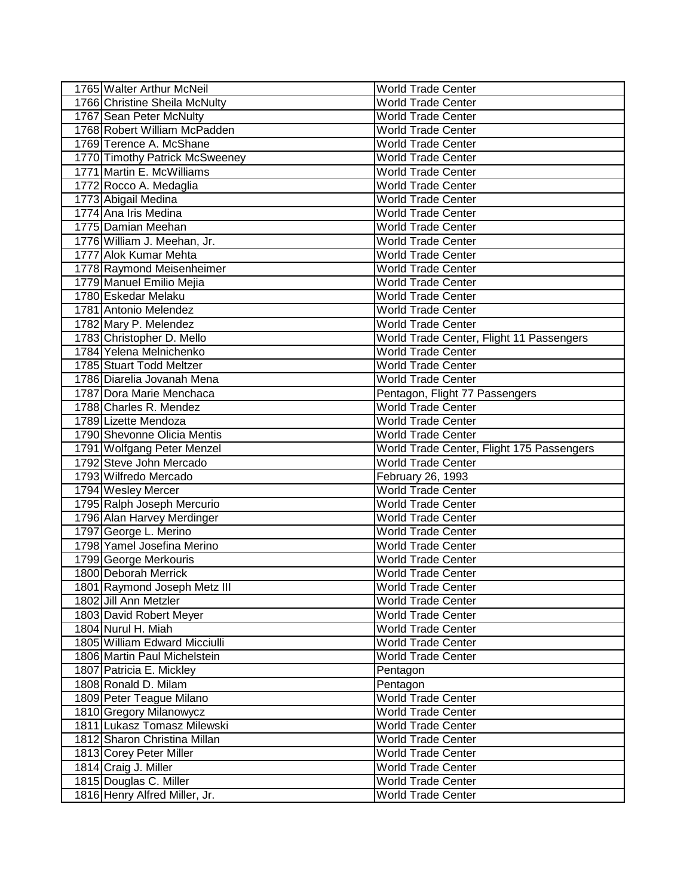| 1766 Christine Sheila McNulty<br><b>World Trade Center</b><br>1767 Sean Peter McNulty<br><b>World Trade Center</b><br>1768 Robert William McPadden<br><b>World Trade Center</b><br>1769 Terence A. McShane<br><b>World Trade Center</b><br>1770 Timothy Patrick McSweeney<br><b>World Trade Center</b><br>1771 Martin E. McWilliams<br><b>World Trade Center</b><br>1772 Rocco A. Medaglia<br><b>World Trade Center</b><br>1773 Abigail Medina<br><b>World Trade Center</b><br>1774 Ana Iris Medina<br><b>World Trade Center</b><br>1775 Damian Meehan<br><b>World Trade Center</b><br>1776 William J. Meehan, Jr.<br><b>World Trade Center</b><br>1777 Alok Kumar Mehta<br>World Trade Center<br>1778 Raymond Meisenheimer<br><b>World Trade Center</b><br>1779 Manuel Emilio Mejia<br><b>World Trade Center</b><br>1780 Eskedar Melaku<br><b>World Trade Center</b><br>1781 Antonio Melendez<br><b>World Trade Center</b><br>1782 Mary P. Melendez<br><b>World Trade Center</b><br>1783 Christopher D. Mello<br>World Trade Center, Flight 11 Passengers<br>1784 Yelena Melnichenko<br>World Trade Center<br>1785 Stuart Todd Meltzer<br><b>World Trade Center</b><br>1786 Diarelia Jovanah Mena<br><b>World Trade Center</b><br>1787 Dora Marie Menchaca<br>Pentagon, Flight 77 Passengers<br><b>World Trade Center</b><br>1788 Charles R. Mendez<br>1789 Lizette Mendoza<br><b>World Trade Center</b><br>1790 Shevonne Olicia Mentis<br><b>World Trade Center</b><br>1791 Wolfgang Peter Menzel<br>World Trade Center, Flight 175 Passengers<br>1792 Steve John Mercado<br><b>World Trade Center</b><br>1793 Wilfredo Mercado<br>February 26, 1993<br>1794 Wesley Mercer<br><b>World Trade Center</b> |
|-----------------------------------------------------------------------------------------------------------------------------------------------------------------------------------------------------------------------------------------------------------------------------------------------------------------------------------------------------------------------------------------------------------------------------------------------------------------------------------------------------------------------------------------------------------------------------------------------------------------------------------------------------------------------------------------------------------------------------------------------------------------------------------------------------------------------------------------------------------------------------------------------------------------------------------------------------------------------------------------------------------------------------------------------------------------------------------------------------------------------------------------------------------------------------------------------------------------------------------------------------------------------------------------------------------------------------------------------------------------------------------------------------------------------------------------------------------------------------------------------------------------------------------------------------------------------------------------------------------------------------------------------------------------------------------------------------------|
|                                                                                                                                                                                                                                                                                                                                                                                                                                                                                                                                                                                                                                                                                                                                                                                                                                                                                                                                                                                                                                                                                                                                                                                                                                                                                                                                                                                                                                                                                                                                                                                                                                                                                                           |
|                                                                                                                                                                                                                                                                                                                                                                                                                                                                                                                                                                                                                                                                                                                                                                                                                                                                                                                                                                                                                                                                                                                                                                                                                                                                                                                                                                                                                                                                                                                                                                                                                                                                                                           |
|                                                                                                                                                                                                                                                                                                                                                                                                                                                                                                                                                                                                                                                                                                                                                                                                                                                                                                                                                                                                                                                                                                                                                                                                                                                                                                                                                                                                                                                                                                                                                                                                                                                                                                           |
|                                                                                                                                                                                                                                                                                                                                                                                                                                                                                                                                                                                                                                                                                                                                                                                                                                                                                                                                                                                                                                                                                                                                                                                                                                                                                                                                                                                                                                                                                                                                                                                                                                                                                                           |
|                                                                                                                                                                                                                                                                                                                                                                                                                                                                                                                                                                                                                                                                                                                                                                                                                                                                                                                                                                                                                                                                                                                                                                                                                                                                                                                                                                                                                                                                                                                                                                                                                                                                                                           |
|                                                                                                                                                                                                                                                                                                                                                                                                                                                                                                                                                                                                                                                                                                                                                                                                                                                                                                                                                                                                                                                                                                                                                                                                                                                                                                                                                                                                                                                                                                                                                                                                                                                                                                           |
|                                                                                                                                                                                                                                                                                                                                                                                                                                                                                                                                                                                                                                                                                                                                                                                                                                                                                                                                                                                                                                                                                                                                                                                                                                                                                                                                                                                                                                                                                                                                                                                                                                                                                                           |
|                                                                                                                                                                                                                                                                                                                                                                                                                                                                                                                                                                                                                                                                                                                                                                                                                                                                                                                                                                                                                                                                                                                                                                                                                                                                                                                                                                                                                                                                                                                                                                                                                                                                                                           |
|                                                                                                                                                                                                                                                                                                                                                                                                                                                                                                                                                                                                                                                                                                                                                                                                                                                                                                                                                                                                                                                                                                                                                                                                                                                                                                                                                                                                                                                                                                                                                                                                                                                                                                           |
|                                                                                                                                                                                                                                                                                                                                                                                                                                                                                                                                                                                                                                                                                                                                                                                                                                                                                                                                                                                                                                                                                                                                                                                                                                                                                                                                                                                                                                                                                                                                                                                                                                                                                                           |
|                                                                                                                                                                                                                                                                                                                                                                                                                                                                                                                                                                                                                                                                                                                                                                                                                                                                                                                                                                                                                                                                                                                                                                                                                                                                                                                                                                                                                                                                                                                                                                                                                                                                                                           |
|                                                                                                                                                                                                                                                                                                                                                                                                                                                                                                                                                                                                                                                                                                                                                                                                                                                                                                                                                                                                                                                                                                                                                                                                                                                                                                                                                                                                                                                                                                                                                                                                                                                                                                           |
|                                                                                                                                                                                                                                                                                                                                                                                                                                                                                                                                                                                                                                                                                                                                                                                                                                                                                                                                                                                                                                                                                                                                                                                                                                                                                                                                                                                                                                                                                                                                                                                                                                                                                                           |
|                                                                                                                                                                                                                                                                                                                                                                                                                                                                                                                                                                                                                                                                                                                                                                                                                                                                                                                                                                                                                                                                                                                                                                                                                                                                                                                                                                                                                                                                                                                                                                                                                                                                                                           |
|                                                                                                                                                                                                                                                                                                                                                                                                                                                                                                                                                                                                                                                                                                                                                                                                                                                                                                                                                                                                                                                                                                                                                                                                                                                                                                                                                                                                                                                                                                                                                                                                                                                                                                           |
|                                                                                                                                                                                                                                                                                                                                                                                                                                                                                                                                                                                                                                                                                                                                                                                                                                                                                                                                                                                                                                                                                                                                                                                                                                                                                                                                                                                                                                                                                                                                                                                                                                                                                                           |
|                                                                                                                                                                                                                                                                                                                                                                                                                                                                                                                                                                                                                                                                                                                                                                                                                                                                                                                                                                                                                                                                                                                                                                                                                                                                                                                                                                                                                                                                                                                                                                                                                                                                                                           |
|                                                                                                                                                                                                                                                                                                                                                                                                                                                                                                                                                                                                                                                                                                                                                                                                                                                                                                                                                                                                                                                                                                                                                                                                                                                                                                                                                                                                                                                                                                                                                                                                                                                                                                           |
|                                                                                                                                                                                                                                                                                                                                                                                                                                                                                                                                                                                                                                                                                                                                                                                                                                                                                                                                                                                                                                                                                                                                                                                                                                                                                                                                                                                                                                                                                                                                                                                                                                                                                                           |
|                                                                                                                                                                                                                                                                                                                                                                                                                                                                                                                                                                                                                                                                                                                                                                                                                                                                                                                                                                                                                                                                                                                                                                                                                                                                                                                                                                                                                                                                                                                                                                                                                                                                                                           |
|                                                                                                                                                                                                                                                                                                                                                                                                                                                                                                                                                                                                                                                                                                                                                                                                                                                                                                                                                                                                                                                                                                                                                                                                                                                                                                                                                                                                                                                                                                                                                                                                                                                                                                           |
|                                                                                                                                                                                                                                                                                                                                                                                                                                                                                                                                                                                                                                                                                                                                                                                                                                                                                                                                                                                                                                                                                                                                                                                                                                                                                                                                                                                                                                                                                                                                                                                                                                                                                                           |
|                                                                                                                                                                                                                                                                                                                                                                                                                                                                                                                                                                                                                                                                                                                                                                                                                                                                                                                                                                                                                                                                                                                                                                                                                                                                                                                                                                                                                                                                                                                                                                                                                                                                                                           |
|                                                                                                                                                                                                                                                                                                                                                                                                                                                                                                                                                                                                                                                                                                                                                                                                                                                                                                                                                                                                                                                                                                                                                                                                                                                                                                                                                                                                                                                                                                                                                                                                                                                                                                           |
|                                                                                                                                                                                                                                                                                                                                                                                                                                                                                                                                                                                                                                                                                                                                                                                                                                                                                                                                                                                                                                                                                                                                                                                                                                                                                                                                                                                                                                                                                                                                                                                                                                                                                                           |
|                                                                                                                                                                                                                                                                                                                                                                                                                                                                                                                                                                                                                                                                                                                                                                                                                                                                                                                                                                                                                                                                                                                                                                                                                                                                                                                                                                                                                                                                                                                                                                                                                                                                                                           |
|                                                                                                                                                                                                                                                                                                                                                                                                                                                                                                                                                                                                                                                                                                                                                                                                                                                                                                                                                                                                                                                                                                                                                                                                                                                                                                                                                                                                                                                                                                                                                                                                                                                                                                           |
|                                                                                                                                                                                                                                                                                                                                                                                                                                                                                                                                                                                                                                                                                                                                                                                                                                                                                                                                                                                                                                                                                                                                                                                                                                                                                                                                                                                                                                                                                                                                                                                                                                                                                                           |
|                                                                                                                                                                                                                                                                                                                                                                                                                                                                                                                                                                                                                                                                                                                                                                                                                                                                                                                                                                                                                                                                                                                                                                                                                                                                                                                                                                                                                                                                                                                                                                                                                                                                                                           |
| 1795 Ralph Joseph Mercurio<br><b>World Trade Center</b>                                                                                                                                                                                                                                                                                                                                                                                                                                                                                                                                                                                                                                                                                                                                                                                                                                                                                                                                                                                                                                                                                                                                                                                                                                                                                                                                                                                                                                                                                                                                                                                                                                                   |
| 1796 Alan Harvey Merdinger<br><b>World Trade Center</b>                                                                                                                                                                                                                                                                                                                                                                                                                                                                                                                                                                                                                                                                                                                                                                                                                                                                                                                                                                                                                                                                                                                                                                                                                                                                                                                                                                                                                                                                                                                                                                                                                                                   |
| 1797 George L. Merino<br><b>World Trade Center</b>                                                                                                                                                                                                                                                                                                                                                                                                                                                                                                                                                                                                                                                                                                                                                                                                                                                                                                                                                                                                                                                                                                                                                                                                                                                                                                                                                                                                                                                                                                                                                                                                                                                        |
| 1798 Yamel Josefina Merino<br><b>World Trade Center</b>                                                                                                                                                                                                                                                                                                                                                                                                                                                                                                                                                                                                                                                                                                                                                                                                                                                                                                                                                                                                                                                                                                                                                                                                                                                                                                                                                                                                                                                                                                                                                                                                                                                   |
| 1799 George Merkouris<br>World Trade Center                                                                                                                                                                                                                                                                                                                                                                                                                                                                                                                                                                                                                                                                                                                                                                                                                                                                                                                                                                                                                                                                                                                                                                                                                                                                                                                                                                                                                                                                                                                                                                                                                                                               |
| 1800 Deborah Merrick<br><b>World Trade Center</b>                                                                                                                                                                                                                                                                                                                                                                                                                                                                                                                                                                                                                                                                                                                                                                                                                                                                                                                                                                                                                                                                                                                                                                                                                                                                                                                                                                                                                                                                                                                                                                                                                                                         |
| 1801 Raymond Joseph Metz III<br>World Trade Center                                                                                                                                                                                                                                                                                                                                                                                                                                                                                                                                                                                                                                                                                                                                                                                                                                                                                                                                                                                                                                                                                                                                                                                                                                                                                                                                                                                                                                                                                                                                                                                                                                                        |
| 1802 Jill Ann Metzler<br>World Trade Center                                                                                                                                                                                                                                                                                                                                                                                                                                                                                                                                                                                                                                                                                                                                                                                                                                                                                                                                                                                                                                                                                                                                                                                                                                                                                                                                                                                                                                                                                                                                                                                                                                                               |
| 1803 David Robert Meyer<br><b>World Trade Center</b>                                                                                                                                                                                                                                                                                                                                                                                                                                                                                                                                                                                                                                                                                                                                                                                                                                                                                                                                                                                                                                                                                                                                                                                                                                                                                                                                                                                                                                                                                                                                                                                                                                                      |
| 1804 Nurul H. Miah<br><b>World Trade Center</b>                                                                                                                                                                                                                                                                                                                                                                                                                                                                                                                                                                                                                                                                                                                                                                                                                                                                                                                                                                                                                                                                                                                                                                                                                                                                                                                                                                                                                                                                                                                                                                                                                                                           |
| 1805 William Edward Micciulli<br><b>World Trade Center</b>                                                                                                                                                                                                                                                                                                                                                                                                                                                                                                                                                                                                                                                                                                                                                                                                                                                                                                                                                                                                                                                                                                                                                                                                                                                                                                                                                                                                                                                                                                                                                                                                                                                |
| 1806 Martin Paul Michelstein<br><b>World Trade Center</b>                                                                                                                                                                                                                                                                                                                                                                                                                                                                                                                                                                                                                                                                                                                                                                                                                                                                                                                                                                                                                                                                                                                                                                                                                                                                                                                                                                                                                                                                                                                                                                                                                                                 |
| 1807 Patricia E. Mickley<br>Pentagon                                                                                                                                                                                                                                                                                                                                                                                                                                                                                                                                                                                                                                                                                                                                                                                                                                                                                                                                                                                                                                                                                                                                                                                                                                                                                                                                                                                                                                                                                                                                                                                                                                                                      |
| 1808 Ronald D. Milam<br>Pentagon                                                                                                                                                                                                                                                                                                                                                                                                                                                                                                                                                                                                                                                                                                                                                                                                                                                                                                                                                                                                                                                                                                                                                                                                                                                                                                                                                                                                                                                                                                                                                                                                                                                                          |
| 1809 Peter Teague Milano<br><b>World Trade Center</b>                                                                                                                                                                                                                                                                                                                                                                                                                                                                                                                                                                                                                                                                                                                                                                                                                                                                                                                                                                                                                                                                                                                                                                                                                                                                                                                                                                                                                                                                                                                                                                                                                                                     |
| 1810 Gregory Milanowycz<br>World Trade Center                                                                                                                                                                                                                                                                                                                                                                                                                                                                                                                                                                                                                                                                                                                                                                                                                                                                                                                                                                                                                                                                                                                                                                                                                                                                                                                                                                                                                                                                                                                                                                                                                                                             |
| 1811 Lukasz Tomasz Milewski<br><b>World Trade Center</b>                                                                                                                                                                                                                                                                                                                                                                                                                                                                                                                                                                                                                                                                                                                                                                                                                                                                                                                                                                                                                                                                                                                                                                                                                                                                                                                                                                                                                                                                                                                                                                                                                                                  |
| 1812 Sharon Christina Millan<br><b>World Trade Center</b>                                                                                                                                                                                                                                                                                                                                                                                                                                                                                                                                                                                                                                                                                                                                                                                                                                                                                                                                                                                                                                                                                                                                                                                                                                                                                                                                                                                                                                                                                                                                                                                                                                                 |
| 1813 Corey Peter Miller<br><b>World Trade Center</b>                                                                                                                                                                                                                                                                                                                                                                                                                                                                                                                                                                                                                                                                                                                                                                                                                                                                                                                                                                                                                                                                                                                                                                                                                                                                                                                                                                                                                                                                                                                                                                                                                                                      |
| 1814 Craig J. Miller<br><b>World Trade Center</b>                                                                                                                                                                                                                                                                                                                                                                                                                                                                                                                                                                                                                                                                                                                                                                                                                                                                                                                                                                                                                                                                                                                                                                                                                                                                                                                                                                                                                                                                                                                                                                                                                                                         |
| 1815 Douglas C. Miller<br><b>World Trade Center</b>                                                                                                                                                                                                                                                                                                                                                                                                                                                                                                                                                                                                                                                                                                                                                                                                                                                                                                                                                                                                                                                                                                                                                                                                                                                                                                                                                                                                                                                                                                                                                                                                                                                       |
| 1816 Henry Alfred Miller, Jr.<br><b>World Trade Center</b>                                                                                                                                                                                                                                                                                                                                                                                                                                                                                                                                                                                                                                                                                                                                                                                                                                                                                                                                                                                                                                                                                                                                                                                                                                                                                                                                                                                                                                                                                                                                                                                                                                                |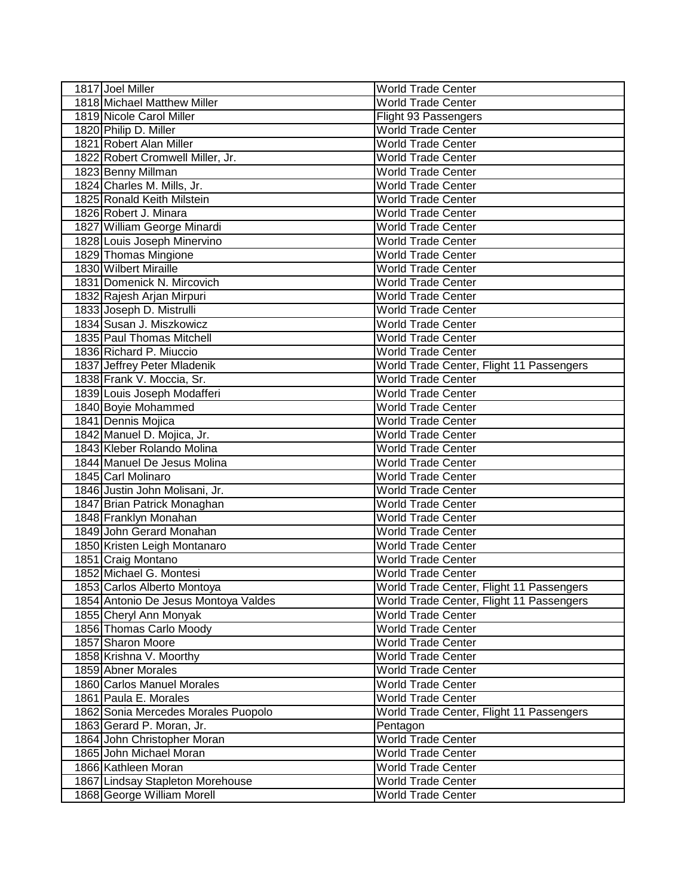| 1817 Joel Miller                     | World Trade Center                       |
|--------------------------------------|------------------------------------------|
| 1818 Michael Matthew Miller          | <b>World Trade Center</b>                |
| 1819 Nicole Carol Miller             | Flight 93 Passengers                     |
| 1820 Philip D. Miller                | <b>World Trade Center</b>                |
| 1821 Robert Alan Miller              | <b>World Trade Center</b>                |
| 1822 Robert Cromwell Miller, Jr.     | <b>World Trade Center</b>                |
| 1823 Benny Millman                   | <b>World Trade Center</b>                |
| 1824 Charles M. Mills, Jr.           | <b>World Trade Center</b>                |
| 1825 Ronald Keith Milstein           | <b>World Trade Center</b>                |
| 1826 Robert J. Minara                | <b>World Trade Center</b>                |
| 1827 William George Minardi          | <b>World Trade Center</b>                |
| 1828 Louis Joseph Minervino          | <b>World Trade Center</b>                |
| 1829 Thomas Mingione                 | World Trade Center                       |
| 1830 Wilbert Miraille                | <b>World Trade Center</b>                |
| 1831 Domenick N. Mircovich           | <b>World Trade Center</b>                |
| 1832 Rajesh Arjan Mirpuri            | <b>World Trade Center</b>                |
| 1833 Joseph D. Mistrulli             | <b>World Trade Center</b>                |
| 1834 Susan J. Miszkowicz             | <b>World Trade Center</b>                |
| 1835 Paul Thomas Mitchell            | <b>World Trade Center</b>                |
| 1836 Richard P. Miuccio              | <b>World Trade Center</b>                |
| 1837 Jeffrey Peter Mladenik          | World Trade Center, Flight 11 Passengers |
| 1838 Frank V. Moccia, Sr.            | <b>World Trade Center</b>                |
| 1839 Louis Joseph Modafferi          | <b>World Trade Center</b>                |
| 1840 Boyie Mohammed                  | <b>World Trade Center</b>                |
| 1841 Dennis Mojica                   | <b>World Trade Center</b>                |
| 1842 Manuel D. Mojica, Jr.           | <b>World Trade Center</b>                |
| 1843 Kleber Rolando Molina           | <b>World Trade Center</b>                |
| 1844 Manuel De Jesus Molina          | <b>World Trade Center</b>                |
| 1845 Carl Molinaro                   | <b>World Trade Center</b>                |
| 1846 Justin John Molisani, Jr.       | <b>World Trade Center</b>                |
| 1847 Brian Patrick Monaghan          | <b>World Trade Center</b>                |
| 1848 Franklyn Monahan                | <b>World Trade Center</b>                |
| 1849 John Gerard Monahan             | <b>World Trade Center</b>                |
| 1850 Kristen Leigh Montanaro         | <b>World Trade Center</b>                |
| 1851 Craig Montano                   | <b>World Trade Center</b>                |
| 1852 Michael G. Montesi              | <b>World Trade Center</b>                |
| 1853 Carlos Alberto Montoya          | World Trade Center, Flight 11 Passengers |
| 1854 Antonio De Jesus Montoya Valdes | World Trade Center, Flight 11 Passengers |
| 1855 Cheryl Ann Monyak               | <b>World Trade Center</b>                |
| 1856 Thomas Carlo Moody              | <b>World Trade Center</b>                |
| 1857 Sharon Moore                    | <b>World Trade Center</b>                |
| 1858 Krishna V. Moorthy              | <b>World Trade Center</b>                |
| 1859 Abner Morales                   | <b>World Trade Center</b>                |
| 1860 Carlos Manuel Morales           | <b>World Trade Center</b>                |
| 1861 Paula E. Morales                | World Trade Center                       |
| 1862 Sonia Mercedes Morales Puopolo  | World Trade Center, Flight 11 Passengers |
| 1863 Gerard P. Moran, Jr.            | Pentagon                                 |
| 1864 John Christopher Moran          | <b>World Trade Center</b>                |
| 1865 John Michael Moran              | <b>World Trade Center</b>                |
| 1866 Kathleen Moran                  | <b>World Trade Center</b>                |
| 1867 Lindsay Stapleton Morehouse     | <b>World Trade Center</b>                |
| 1868 George William Morell           | <b>World Trade Center</b>                |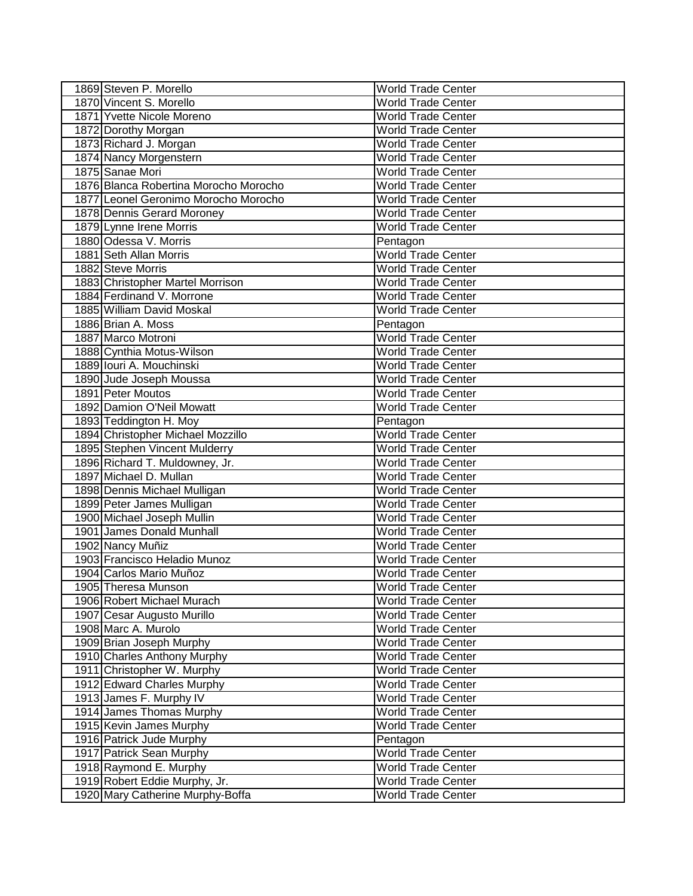| 1869 Steven P. Morello                | World Trade Center        |
|---------------------------------------|---------------------------|
| 1870 Vincent S. Morello               | <b>World Trade Center</b> |
| 1871 Yvette Nicole Moreno             | <b>World Trade Center</b> |
| 1872 Dorothy Morgan                   | <b>World Trade Center</b> |
| 1873 Richard J. Morgan                | <b>World Trade Center</b> |
| 1874 Nancy Morgenstern                | <b>World Trade Center</b> |
| 1875 Sanae Mori                       | <b>World Trade Center</b> |
| 1876 Blanca Robertina Morocho Morocho | <b>World Trade Center</b> |
| 1877 Leonel Geronimo Morocho Morocho  | <b>World Trade Center</b> |
| 1878 Dennis Gerard Moroney            | <b>World Trade Center</b> |
| 1879 Lynne Irene Morris               | <b>World Trade Center</b> |
| 1880 Odessa V. Morris                 | Pentagon                  |
| 1881 Seth Allan Morris                | World Trade Center        |
| 1882 Steve Morris                     | <b>World Trade Center</b> |
| 1883 Christopher Martel Morrison      | <b>World Trade Center</b> |
| 1884 Ferdinand V. Morrone             | <b>World Trade Center</b> |
| 1885 William David Moskal             | <b>World Trade Center</b> |
| 1886 Brian A. Moss                    | Pentagon                  |
| 1887 Marco Motroni                    | <b>World Trade Center</b> |
| 1888 Cynthia Motus-Wilson             | <b>World Trade Center</b> |
| 1889 Iouri A. Mouchinski              | <b>World Trade Center</b> |
| 1890 Jude Joseph Moussa               | <b>World Trade Center</b> |
| 1891 Peter Moutos                     | <b>World Trade Center</b> |
| 1892 Damion O'Neil Mowatt             | <b>World Trade Center</b> |
| 1893 Teddington H. Moy                | Pentagon                  |
| 1894 Christopher Michael Mozzillo     | <b>World Trade Center</b> |
| 1895 Stephen Vincent Mulderry         | <b>World Trade Center</b> |
| 1896 Richard T. Muldowney, Jr.        | <b>World Trade Center</b> |
| 1897 Michael D. Mullan                | <b>World Trade Center</b> |
| 1898 Dennis Michael Mulligan          | <b>World Trade Center</b> |
| 1899 Peter James Mulligan             | <b>World Trade Center</b> |
| 1900 Michael Joseph Mullin            | <b>World Trade Center</b> |
| 1901 James Donald Munhall             | <b>World Trade Center</b> |
| 1902 Nancy Muñiz                      | <b>World Trade Center</b> |
| 1903 Francisco Heladio Munoz          | <b>World Trade Center</b> |
| 1904 Carlos Mario Muñoz               | <b>World Trade Center</b> |
| 1905 Theresa Munson                   | <b>World Trade Center</b> |
| 1906 Robert Michael Murach            | <b>World Trade Center</b> |
| 1907 Cesar Augusto Murillo            | <b>World Trade Center</b> |
| 1908 Marc A. Murolo                   | <b>World Trade Center</b> |
| 1909 Brian Joseph Murphy              | <b>World Trade Center</b> |
| 1910 Charles Anthony Murphy           | <b>World Trade Center</b> |
| 1911 Christopher W. Murphy            | <b>World Trade Center</b> |
| 1912 Edward Charles Murphy            | <b>World Trade Center</b> |
| 1913 James F. Murphy IV               | <b>World Trade Center</b> |
| 1914 James Thomas Murphy              | <b>World Trade Center</b> |
| 1915 Kevin James Murphy               | <b>World Trade Center</b> |
| 1916 Patrick Jude Murphy              | Pentagon                  |
| 1917 Patrick Sean Murphy              | <b>World Trade Center</b> |
| 1918 Raymond E. Murphy                | <b>World Trade Center</b> |
| 1919 Robert Eddie Murphy, Jr.         | <b>World Trade Center</b> |
| 1920 Mary Catherine Murphy-Boffa      | <b>World Trade Center</b> |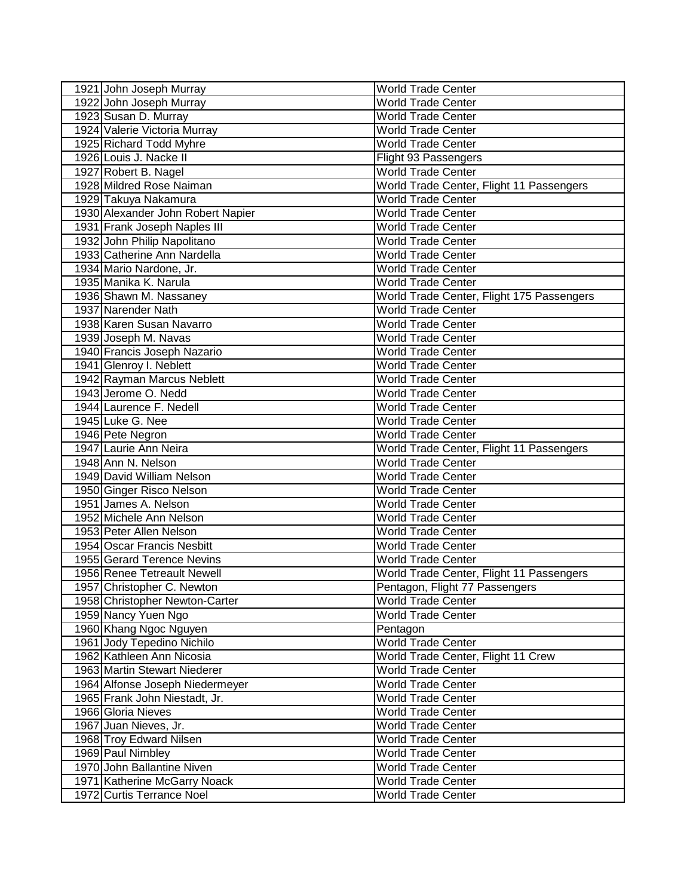| World Trade Center<br>1921 John Joseph Murray                           |  |
|-------------------------------------------------------------------------|--|
| 1922 John Joseph Murray<br><b>World Trade Center</b>                    |  |
| 1923 Susan D. Murray<br><b>World Trade Center</b>                       |  |
| 1924 Valerie Victoria Murray<br><b>World Trade Center</b>               |  |
| 1925 Richard Todd Myhre<br><b>World Trade Center</b>                    |  |
| 1926 Louis J. Nacke II<br>Flight 93 Passengers                          |  |
| <b>World Trade Center</b><br>1927 Robert B. Nagel                       |  |
| 1928 Mildred Rose Naiman<br>World Trade Center, Flight 11 Passengers    |  |
| 1929 Takuya Nakamura<br><b>World Trade Center</b>                       |  |
| 1930 Alexander John Robert Napier<br><b>World Trade Center</b>          |  |
| 1931 Frank Joseph Naples III<br><b>World Trade Center</b>               |  |
| 1932 John Philip Napolitano<br><b>World Trade Center</b>                |  |
| 1933 Catherine Ann Nardella<br><b>World Trade Center</b>                |  |
| 1934 Mario Nardone, Jr.<br><b>World Trade Center</b>                    |  |
| 1935 Manika K. Narula<br><b>World Trade Center</b>                      |  |
| 1936 Shawn M. Nassaney<br>World Trade Center, Flight 175 Passengers     |  |
| 1937 Narender Nath<br><b>World Trade Center</b>                         |  |
| 1938 Karen Susan Navarro<br><b>World Trade Center</b>                   |  |
| 1939 Joseph M. Navas<br><b>World Trade Center</b>                       |  |
| 1940 Francis Joseph Nazario<br><b>World Trade Center</b>                |  |
| 1941 Glenroy I. Neblett<br><b>World Trade Center</b>                    |  |
| 1942 Rayman Marcus Neblett<br><b>World Trade Center</b>                 |  |
| 1943 Jerome O. Nedd<br><b>World Trade Center</b>                        |  |
| 1944 Laurence F. Nedell<br><b>World Trade Center</b>                    |  |
| 1945 Luke G. Nee<br><b>World Trade Center</b>                           |  |
| 1946 Pete Negron<br><b>World Trade Center</b>                           |  |
| 1947 Laurie Ann Neira<br>World Trade Center, Flight 11 Passengers       |  |
| 1948 Ann N. Nelson<br><b>World Trade Center</b>                         |  |
| 1949 David William Nelson<br><b>World Trade Center</b>                  |  |
| 1950 Ginger Risco Nelson<br><b>World Trade Center</b>                   |  |
| 1951 James A. Nelson<br><b>World Trade Center</b>                       |  |
| 1952 Michele Ann Nelson<br><b>World Trade Center</b>                    |  |
| 1953 Peter Allen Nelson<br><b>World Trade Center</b>                    |  |
| 1954 Oscar Francis Nesbitt<br><b>World Trade Center</b>                 |  |
| 1955 Gerard Terence Nevins<br><b>World Trade Center</b>                 |  |
| 1956 Renee Tetreault Newell<br>World Trade Center, Flight 11 Passengers |  |
| 1957 Christopher C. Newton<br>Pentagon, Flight 77 Passengers            |  |
| 1958 Christopher Newton-Carter<br>World Trade Center                    |  |
| 1959 Nancy Yuen Ngo<br><b>World Trade Center</b>                        |  |
| 1960 Khang Ngoc Nguyen<br>Pentagon                                      |  |
| World Trade Center<br>1961 Jody Tepedino Nichilo                        |  |
| 1962 Kathleen Ann Nicosia<br>World Trade Center, Flight 11 Crew         |  |
| 1963 Martin Stewart Niederer<br><b>World Trade Center</b>               |  |
| <b>World Trade Center</b><br>1964 Alfonse Joseph Niedermeyer            |  |
| 1965 Frank John Niestadt, Jr.<br><b>World Trade Center</b>              |  |
| 1966 Gloria Nieves<br><b>World Trade Center</b>                         |  |
| 1967 Juan Nieves, Jr.<br><b>World Trade Center</b>                      |  |
| 1968 Troy Edward Nilsen<br>World Trade Center                           |  |
| 1969 Paul Nimbley<br><b>World Trade Center</b>                          |  |
| 1970 John Ballantine Niven<br><b>World Trade Center</b>                 |  |
| 1971 Katherine McGarry Noack<br><b>World Trade Center</b>               |  |
|                                                                         |  |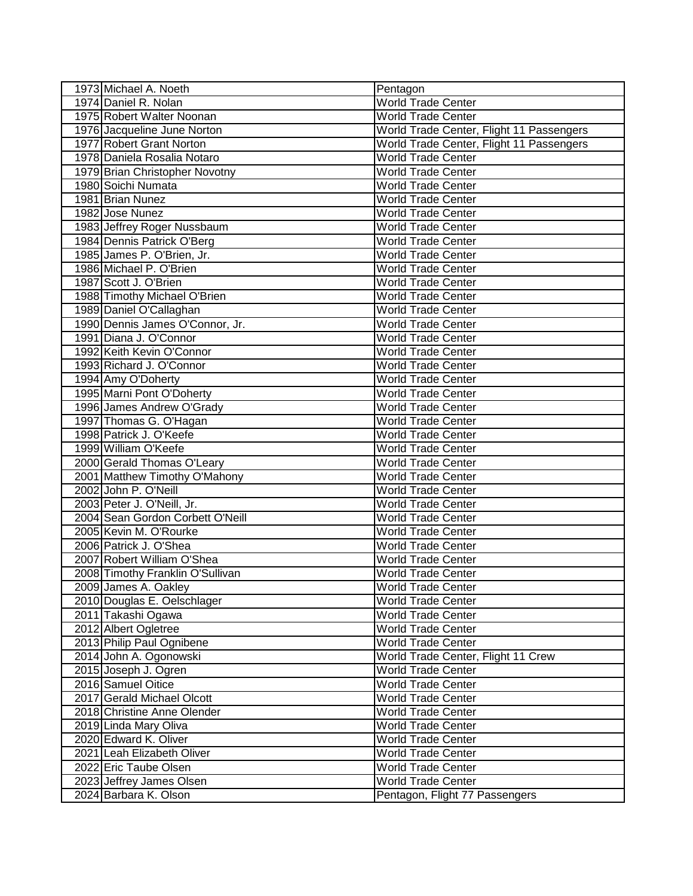| 1973 Michael A. Noeth            | Pentagon                                 |
|----------------------------------|------------------------------------------|
| 1974 Daniel R. Nolan             | <b>World Trade Center</b>                |
| 1975 Robert Walter Noonan        | <b>World Trade Center</b>                |
| 1976 Jacqueline June Norton      | World Trade Center, Flight 11 Passengers |
| 1977 Robert Grant Norton         | World Trade Center, Flight 11 Passengers |
| 1978 Daniela Rosalia Notaro      | <b>World Trade Center</b>                |
| 1979 Brian Christopher Novotny   | <b>World Trade Center</b>                |
| 1980 Soichi Numata               | <b>World Trade Center</b>                |
| 1981 Brian Nunez                 | <b>World Trade Center</b>                |
| 1982 Jose Nunez                  | <b>World Trade Center</b>                |
| 1983 Jeffrey Roger Nussbaum      | <b>World Trade Center</b>                |
| 1984 Dennis Patrick O'Berg       | <b>World Trade Center</b>                |
| 1985 James P. O'Brien, Jr.       | <b>World Trade Center</b>                |
| 1986 Michael P. O'Brien          | <b>World Trade Center</b>                |
| 1987 Scott J. O'Brien            | <b>World Trade Center</b>                |
| 1988 Timothy Michael O'Brien     | <b>World Trade Center</b>                |
| 1989 Daniel O'Callaghan          | <b>World Trade Center</b>                |
| 1990 Dennis James O'Connor, Jr.  | <b>World Trade Center</b>                |
| 1991 Diana J. O'Connor           | <b>World Trade Center</b>                |
| 1992 Keith Kevin O'Connor        | <b>World Trade Center</b>                |
| 1993 Richard J. O'Connor         | <b>World Trade Center</b>                |
| 1994 Amy O'Doherty               | <b>World Trade Center</b>                |
| 1995 Marni Pont O'Doherty        | <b>World Trade Center</b>                |
| 1996 James Andrew O'Grady        | <b>World Trade Center</b>                |
| 1997 Thomas G. O'Hagan           | <b>World Trade Center</b>                |
| 1998 Patrick J. O'Keefe          | <b>World Trade Center</b>                |
| 1999 William O'Keefe             | <b>World Trade Center</b>                |
| 2000 Gerald Thomas O'Leary       | <b>World Trade Center</b>                |
| 2001 Matthew Timothy O'Mahony    | <b>World Trade Center</b>                |
| 2002 John P. O'Neill             | <b>World Trade Center</b>                |
| 2003 Peter J. O'Neill, Jr.       | <b>World Trade Center</b>                |
| 2004 Sean Gordon Corbett O'Neill | <b>World Trade Center</b>                |
| 2005 Kevin M. O'Rourke           | <b>World Trade Center</b>                |
| 2006 Patrick J. O'Shea           | <b>World Trade Center</b>                |
| 2007 Robert William O'Shea       | <b>World Trade Center</b>                |
| 2008 Timothy Franklin O'Sullivan | <b>World Trade Center</b>                |
| 2009 James A. Oakley             | <b>World Trade Center</b>                |
| 2010 Douglas E. Oelschlager      | <b>World Trade Center</b>                |
| 2011 Takashi Ogawa               | World Trade Center                       |
| 2012 Albert Ogletree             | <b>World Trade Center</b>                |
| 2013 Philip Paul Ognibene        | <b>World Trade Center</b>                |
| 2014 John A. Ogonowski           | World Trade Center, Flight 11 Crew       |
| 2015 Joseph J. Ogren             | <b>World Trade Center</b>                |
| 2016 Samuel Oitice               | <b>World Trade Center</b>                |
| 2017 Gerald Michael Olcott       | <b>World Trade Center</b>                |
| 2018 Christine Anne Olender      | <b>World Trade Center</b>                |
| 2019 Linda Mary Oliva            | <b>World Trade Center</b>                |
| 2020 Edward K. Oliver            | <b>World Trade Center</b>                |
| 2021 Leah Elizabeth Oliver       | <b>World Trade Center</b>                |
| 2022 Eric Taube Olsen            | <b>World Trade Center</b>                |
| 2023 Jeffrey James Olsen         | <b>World Trade Center</b>                |
| 2024 Barbara K. Olson            | Pentagon, Flight 77 Passengers           |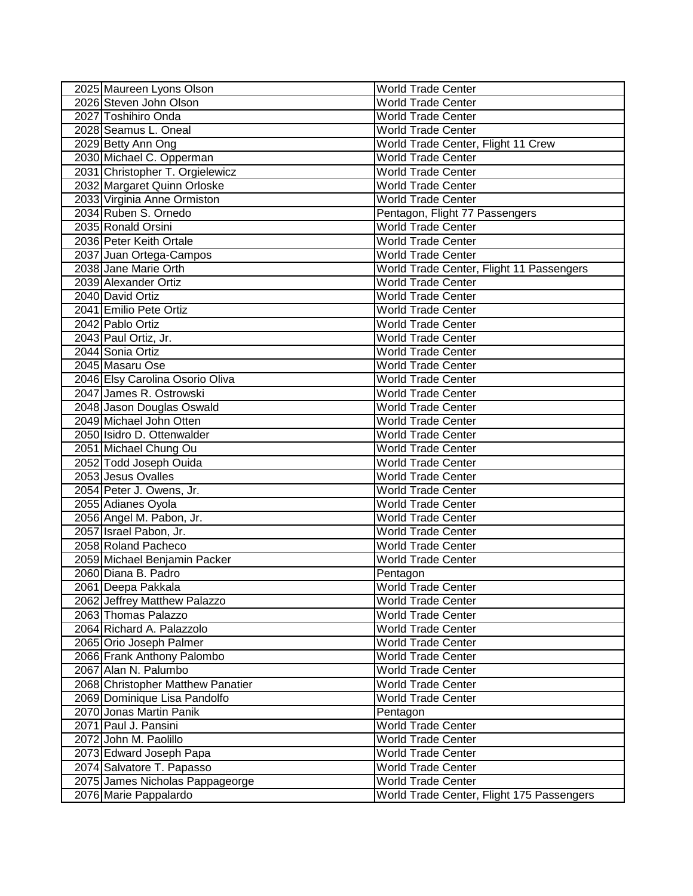| 2025 Maureen Lyons Olson          | World Trade Center                        |
|-----------------------------------|-------------------------------------------|
| 2026 Steven John Olson            | <b>World Trade Center</b>                 |
| 2027 Toshihiro Onda               | <b>World Trade Center</b>                 |
| 2028 Seamus L. Oneal              | <b>World Trade Center</b>                 |
| 2029 Betty Ann Ong                | World Trade Center, Flight 11 Crew        |
| 2030 Michael C. Opperman          | <b>World Trade Center</b>                 |
| 2031 Christopher T. Orgielewicz   | <b>World Trade Center</b>                 |
| 2032 Margaret Quinn Orloske       | <b>World Trade Center</b>                 |
| 2033 Virginia Anne Ormiston       | <b>World Trade Center</b>                 |
| 2034 Ruben S. Ornedo              | Pentagon, Flight 77 Passengers            |
| 2035 Ronald Orsini                | <b>World Trade Center</b>                 |
| 2036 Peter Keith Ortale           | <b>World Trade Center</b>                 |
| 2037 Juan Ortega-Campos           | <b>World Trade Center</b>                 |
| 2038 Jane Marie Orth              | World Trade Center, Flight 11 Passengers  |
| 2039 Alexander Ortiz              | <b>World Trade Center</b>                 |
| 2040 David Ortiz                  | <b>World Trade Center</b>                 |
| 2041 Emilio Pete Ortiz            | <b>World Trade Center</b>                 |
| 2042 Pablo Ortiz                  | <b>World Trade Center</b>                 |
| 2043 Paul Ortiz, Jr.              | <b>World Trade Center</b>                 |
| 2044 Sonia Ortiz                  | <b>World Trade Center</b>                 |
| 2045 Masaru Ose                   | <b>World Trade Center</b>                 |
| 2046 Elsy Carolina Osorio Oliva   | <b>World Trade Center</b>                 |
| 2047 James R. Ostrowski           | <b>World Trade Center</b>                 |
| 2048 Jason Douglas Oswald         | <b>World Trade Center</b>                 |
| 2049 Michael John Otten           | <b>World Trade Center</b>                 |
| 2050 Isidro D. Ottenwalder        | <b>World Trade Center</b>                 |
| 2051 Michael Chung Ou             | <b>World Trade Center</b>                 |
| 2052 Todd Joseph Ouida            | <b>World Trade Center</b>                 |
| 2053 Jesus Ovalles                | <b>World Trade Center</b>                 |
| 2054 Peter J. Owens, Jr.          | <b>World Trade Center</b>                 |
| 2055 Adianes Oyola                | <b>World Trade Center</b>                 |
| 2056 Angel M. Pabon, Jr.          | <b>World Trade Center</b>                 |
| 2057 Israel Pabon, Jr.            | <b>World Trade Center</b>                 |
| 2058 Roland Pacheco               | <b>World Trade Center</b>                 |
| 2059 Michael Benjamin Packer      | <b>World Trade Center</b>                 |
| 2060 Diana B. Padro               | Pentagon                                  |
| 2061 Deepa Pakkala                | World Trade Center                        |
| 2062 Jeffrey Matthew Palazzo      | <b>World Trade Center</b>                 |
| 2063 Thomas Palazzo               | <b>World Trade Center</b>                 |
| 2064 Richard A. Palazzolo         | <b>World Trade Center</b>                 |
| 2065 Orio Joseph Palmer           | <b>World Trade Center</b>                 |
| 2066 Frank Anthony Palombo        | <b>World Trade Center</b>                 |
| 2067 Alan N. Palumbo              | <b>World Trade Center</b>                 |
| 2068 Christopher Matthew Panatier | <b>World Trade Center</b>                 |
| 2069 Dominique Lisa Pandolfo      | <b>World Trade Center</b>                 |
| 2070 Jonas Martin Panik           | Pentagon                                  |
| 2071 Paul J. Pansini              | <b>World Trade Center</b>                 |
| 2072 John M. Paolillo             | <b>World Trade Center</b>                 |
| 2073 Edward Joseph Papa           | World Trade Center                        |
| 2074 Salvatore T. Papasso         | <b>World Trade Center</b>                 |
| 2075 James Nicholas Pappageorge   | <b>World Trade Center</b>                 |
| 2076 Marie Pappalardo             | World Trade Center, Flight 175 Passengers |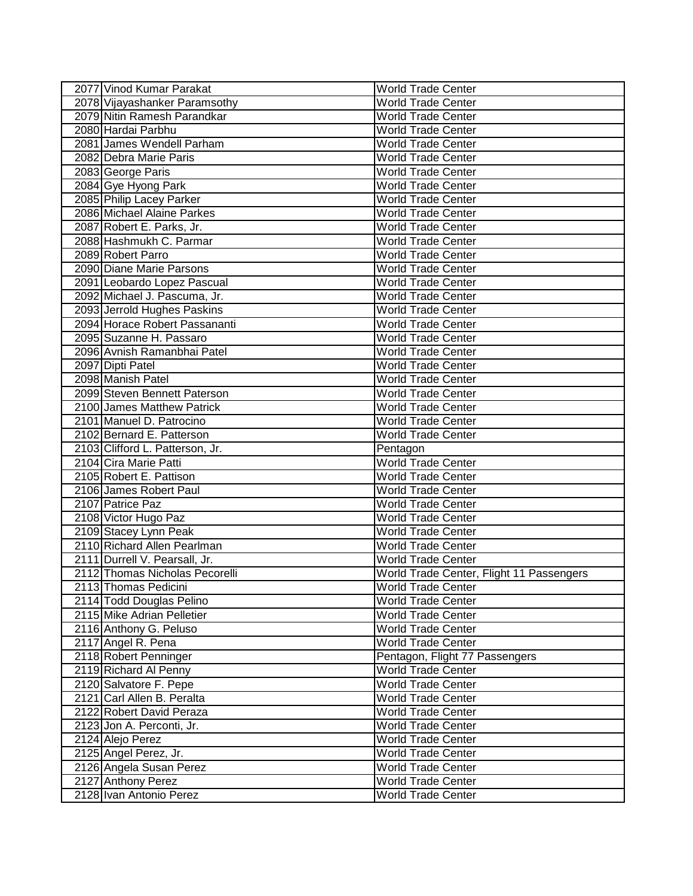| 2077 Vinod Kumar Parakat        | <b>World Trade Center</b>                |
|---------------------------------|------------------------------------------|
| 2078 Vijayashanker Paramsothy   | <b>World Trade Center</b>                |
| 2079 Nitin Ramesh Parandkar     | <b>World Trade Center</b>                |
| 2080 Hardai Parbhu              | <b>World Trade Center</b>                |
| 2081 James Wendell Parham       | <b>World Trade Center</b>                |
| 2082 Debra Marie Paris          | <b>World Trade Center</b>                |
| 2083 George Paris               | <b>World Trade Center</b>                |
| 2084 Gye Hyong Park             | <b>World Trade Center</b>                |
| 2085 Philip Lacey Parker        | <b>World Trade Center</b>                |
| 2086 Michael Alaine Parkes      | <b>World Trade Center</b>                |
| 2087 Robert E. Parks, Jr.       | <b>World Trade Center</b>                |
| 2088 Hashmukh C. Parmar         | <b>World Trade Center</b>                |
| 2089 Robert Parro               | World Trade Center                       |
| 2090 Diane Marie Parsons        | <b>World Trade Center</b>                |
| 2091 Leobardo Lopez Pascual     | <b>World Trade Center</b>                |
| 2092 Michael J. Pascuma, Jr.    | <b>World Trade Center</b>                |
| 2093 Jerrold Hughes Paskins     | <b>World Trade Center</b>                |
| 2094 Horace Robert Passananti   | <b>World Trade Center</b>                |
| 2095 Suzanne H. Passaro         | <b>World Trade Center</b>                |
| 2096 Avnish Ramanbhai Patel     | <b>World Trade Center</b>                |
| 2097 Dipti Patel                | <b>World Trade Center</b>                |
| 2098 Manish Patel               | <b>World Trade Center</b>                |
| 2099 Steven Bennett Paterson    | <b>World Trade Center</b>                |
| 2100 James Matthew Patrick      | <b>World Trade Center</b>                |
| 2101 Manuel D. Patrocino        | <b>World Trade Center</b>                |
| 2102 Bernard E. Patterson       | <b>World Trade Center</b>                |
| 2103 Clifford L. Patterson, Jr. | Pentagon                                 |
| 2104 Cira Marie Patti           | <b>World Trade Center</b>                |
| 2105 Robert E. Pattison         | <b>World Trade Center</b>                |
| 2106 James Robert Paul          | <b>World Trade Center</b>                |
| 2107 Patrice Paz                | <b>World Trade Center</b>                |
| 2108 Victor Hugo Paz            | <b>World Trade Center</b>                |
| 2109 Stacey Lynn Peak           | <b>World Trade Center</b>                |
| 2110 Richard Allen Pearlman     | <b>World Trade Center</b>                |
| 2111 Durrell V. Pearsall, Jr.   | <b>World Trade Center</b>                |
| 2112 Thomas Nicholas Pecorelli  | World Trade Center, Flight 11 Passengers |
| 2113 Thomas Pedicini            | World Trade Center                       |
| 2114 Todd Douglas Pelino        | <b>World Trade Center</b>                |
| 2115 Mike Adrian Pelletier      | <b>World Trade Center</b>                |
| 2116 Anthony G. Peluso          | <b>World Trade Center</b>                |
| 2117 Angel R. Pena              | <b>World Trade Center</b>                |
| 2118 Robert Penninger           | Pentagon, Flight 77 Passengers           |
| 2119 Richard Al Penny           | <b>World Trade Center</b>                |
| 2120 Salvatore F. Pepe          | <b>World Trade Center</b>                |
| 2121 Carl Allen B. Peralta      | <b>World Trade Center</b>                |
| 2122 Robert David Peraza        | <b>World Trade Center</b>                |
| 2123 Jon A. Perconti, Jr.       | <b>World Trade Center</b>                |
| 2124 Alejo Perez                | <b>World Trade Center</b>                |
| 2125 Angel Perez, Jr.           | <b>World Trade Center</b>                |
| 2126 Angela Susan Perez         | <b>World Trade Center</b>                |
| 2127 Anthony Perez              | <b>World Trade Center</b>                |
| 2128 Ivan Antonio Perez         | <b>World Trade Center</b>                |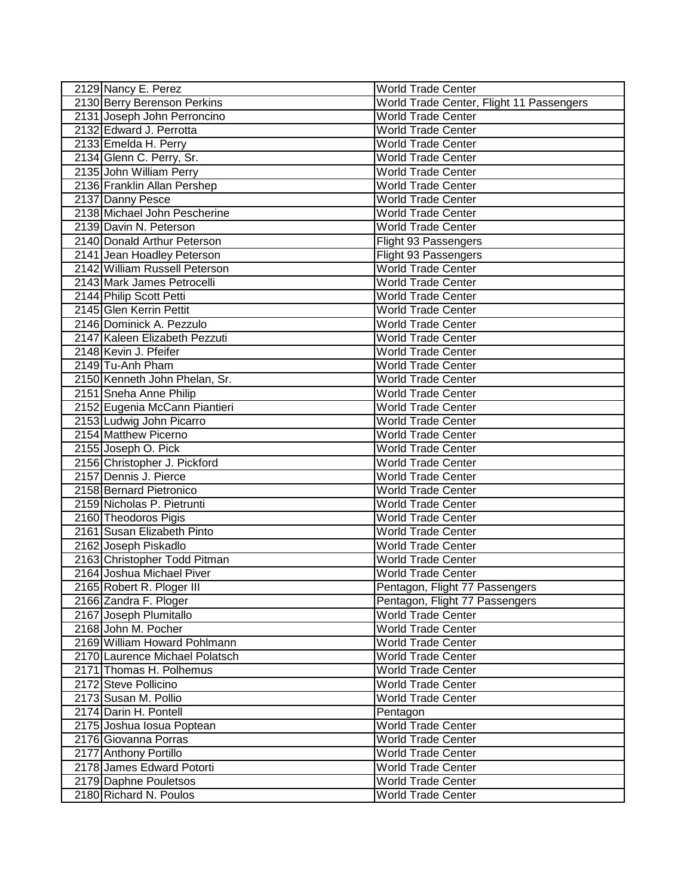| 2129 Nancy E. Perez            | <b>World Trade Center</b>                |
|--------------------------------|------------------------------------------|
| 2130 Berry Berenson Perkins    | World Trade Center, Flight 11 Passengers |
| 2131 Joseph John Perroncino    | <b>World Trade Center</b>                |
| 2132 Edward J. Perrotta        | <b>World Trade Center</b>                |
| 2133 Emelda H. Perry           | <b>World Trade Center</b>                |
| 2134 Glenn C. Perry, Sr.       | <b>World Trade Center</b>                |
| 2135 John William Perry        | <b>World Trade Center</b>                |
| 2136 Franklin Allan Pershep    | <b>World Trade Center</b>                |
| 2137 Danny Pesce               | <b>World Trade Center</b>                |
| 2138 Michael John Pescherine   | <b>World Trade Center</b>                |
| 2139 Davin N. Peterson         | <b>World Trade Center</b>                |
| 2140 Donald Arthur Peterson    | Flight 93 Passengers                     |
| 2141 Jean Hoadley Peterson     | Flight 93 Passengers                     |
| 2142 William Russell Peterson  | <b>World Trade Center</b>                |
| 2143 Mark James Petrocelli     | <b>World Trade Center</b>                |
| 2144 Philip Scott Petti        | <b>World Trade Center</b>                |
| 2145 Glen Kerrin Pettit        | <b>World Trade Center</b>                |
| 2146 Dominick A. Pezzulo       | <b>World Trade Center</b>                |
| 2147 Kaleen Elizabeth Pezzuti  | <b>World Trade Center</b>                |
| 2148 Kevin J. Pfeifer          | <b>World Trade Center</b>                |
| 2149 Tu-Anh Pham               | <b>World Trade Center</b>                |
| 2150 Kenneth John Phelan, Sr.  | <b>World Trade Center</b>                |
| 2151 Sneha Anne Philip         | <b>World Trade Center</b>                |
| 2152 Eugenia McCann Piantieri  | <b>World Trade Center</b>                |
| 2153 Ludwig John Picarro       | <b>World Trade Center</b>                |
| 2154 Matthew Picerno           | <b>World Trade Center</b>                |
| 2155 Joseph O. Pick            | <b>World Trade Center</b>                |
| 2156 Christopher J. Pickford   | <b>World Trade Center</b>                |
| 2157 Dennis J. Pierce          | <b>World Trade Center</b>                |
| 2158 Bernard Pietronico        | <b>World Trade Center</b>                |
| 2159 Nicholas P. Pietrunti     | <b>World Trade Center</b>                |
| 2160 Theodoros Pigis           | <b>World Trade Center</b>                |
| 2161 Susan Elizabeth Pinto     | <b>World Trade Center</b>                |
| 2162 Joseph Piskadlo           | <b>World Trade Center</b>                |
| 2163 Christopher Todd Pitman   | <b>World Trade Center</b>                |
| 2164 Joshua Michael Piver      | <b>World Trade Center</b>                |
| 2165 Robert R. Ploger III      | Pentagon, Flight 77 Passengers           |
| 2166 Zandra F. Ploger          | Pentagon, Flight 77 Passengers           |
| 2167 Joseph Plumitallo         | <b>World Trade Center</b>                |
| 2168 John M. Pocher            | <b>World Trade Center</b>                |
| 2169 William Howard Pohlmann   | <b>World Trade Center</b>                |
| 2170 Laurence Michael Polatsch | World Trade Center                       |
| 2171 Thomas H. Polhemus        | World Trade Center                       |
| 2172 Steve Pollicino           | <b>World Trade Center</b>                |
| 2173 Susan M. Pollio           | <b>World Trade Center</b>                |
| 2174 Darin H. Pontell          | Pentagon                                 |
| 2175 Joshua Iosua Poptean      | <b>World Trade Center</b>                |
| 2176 Giovanna Porras           | <b>World Trade Center</b>                |
| 2177 Anthony Portillo          | <b>World Trade Center</b>                |
| 2178 James Edward Potorti      | <b>World Trade Center</b>                |
| 2179 Daphne Pouletsos          | <b>World Trade Center</b>                |
| 2180 Richard N. Poulos         | <b>World Trade Center</b>                |
|                                |                                          |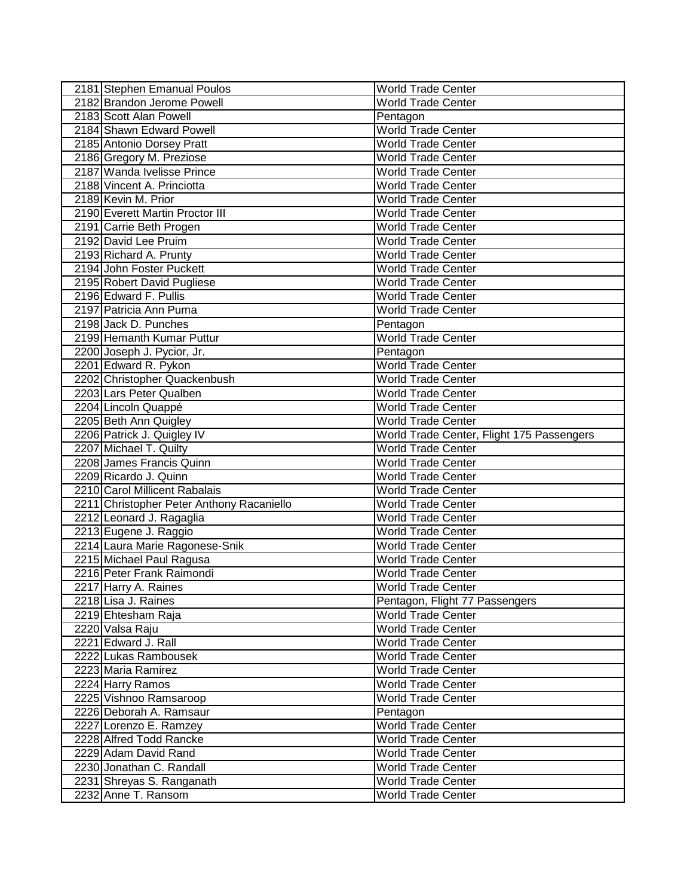| 2181 Stephen Emanual Poulos               | <b>World Trade Center</b>                 |
|-------------------------------------------|-------------------------------------------|
| 2182 Brandon Jerome Powell                | <b>World Trade Center</b>                 |
| 2183 Scott Alan Powell                    | Pentagon                                  |
| 2184 Shawn Edward Powell                  | <b>World Trade Center</b>                 |
| 2185 Antonio Dorsey Pratt                 | <b>World Trade Center</b>                 |
| 2186 Gregory M. Preziose                  | <b>World Trade Center</b>                 |
| 2187 Wanda Ivelisse Prince                | <b>World Trade Center</b>                 |
| 2188 Vincent A. Princiotta                | <b>World Trade Center</b>                 |
| 2189 Kevin M. Prior                       | <b>World Trade Center</b>                 |
| 2190 Everett Martin Proctor III           | <b>World Trade Center</b>                 |
| 2191 Carrie Beth Progen                   | <b>World Trade Center</b>                 |
| 2192 David Lee Pruim                      | <b>World Trade Center</b>                 |
| 2193 Richard A. Prunty                    | <b>World Trade Center</b>                 |
| 2194 John Foster Puckett                  | <b>World Trade Center</b>                 |
| 2195 Robert David Pugliese                | <b>World Trade Center</b>                 |
| 2196 Edward F. Pullis                     | <b>World Trade Center</b>                 |
| 2197 Patricia Ann Puma                    | <b>World Trade Center</b>                 |
| 2198 Jack D. Punches                      | Pentagon                                  |
| 2199 Hemanth Kumar Puttur                 | <b>World Trade Center</b>                 |
| 2200 Joseph J. Pycior, Jr.                | Pentagon                                  |
| 2201 Edward R. Pykon                      | <b>World Trade Center</b>                 |
| 2202 Christopher Quackenbush              | <b>World Trade Center</b>                 |
| 2203 Lars Peter Qualben                   | <b>World Trade Center</b>                 |
| 2204 Lincoln Quappé                       | <b>World Trade Center</b>                 |
| 2205 Beth Ann Quigley                     | <b>World Trade Center</b>                 |
| 2206 Patrick J. Quigley IV                | World Trade Center, Flight 175 Passengers |
| 2207 Michael T. Quilty                    | <b>World Trade Center</b>                 |
| 2208 James Francis Quinn                  | <b>World Trade Center</b>                 |
| 2209 Ricardo J. Quinn                     | <b>World Trade Center</b>                 |
| 2210 Carol Millicent Rabalais             | <b>World Trade Center</b>                 |
| 2211 Christopher Peter Anthony Racaniello | <b>World Trade Center</b>                 |
| 2212 Leonard J. Ragaglia                  | <b>World Trade Center</b>                 |
| 2213 Eugene J. Raggio                     | <b>World Trade Center</b>                 |
| 2214 Laura Marie Ragonese-Snik            | <b>World Trade Center</b>                 |
| 2215 Michael Paul Ragusa                  | <b>World Trade Center</b>                 |
| 2216 Peter Frank Raimondi                 | <b>World Trade Center</b>                 |
| 2217 Harry A. Raines                      | World Trade Center                        |
| 2218 Lisa J. Raines                       | Pentagon, Flight 77 Passengers            |
| 2219 Ehtesham Raja                        | World Trade Center                        |
| 2220 Valsa Raju                           | <b>World Trade Center</b>                 |
| 2221 Edward J. Rall                       | <b>World Trade Center</b>                 |
| 2222 Lukas Rambousek                      | <b>World Trade Center</b>                 |
| 2223 Maria Ramirez                        | <b>World Trade Center</b>                 |
| 2224 Harry Ramos                          | <b>World Trade Center</b>                 |
| 2225 Vishnoo Ramsaroop                    | <b>World Trade Center</b>                 |
| 2226 Deborah A. Ramsaur                   | Pentagon                                  |
| 2227 Lorenzo E. Ramzey                    | <b>World Trade Center</b>                 |
| 2228 Alfred Todd Rancke                   | <b>World Trade Center</b>                 |
| 2229 Adam David Rand                      | <b>World Trade Center</b>                 |
| 2230 Jonathan C. Randall                  | <b>World Trade Center</b>                 |
| 2231 Shreyas S. Ranganath                 | <b>World Trade Center</b>                 |
| 2232 Anne T. Ransom                       | <b>World Trade Center</b>                 |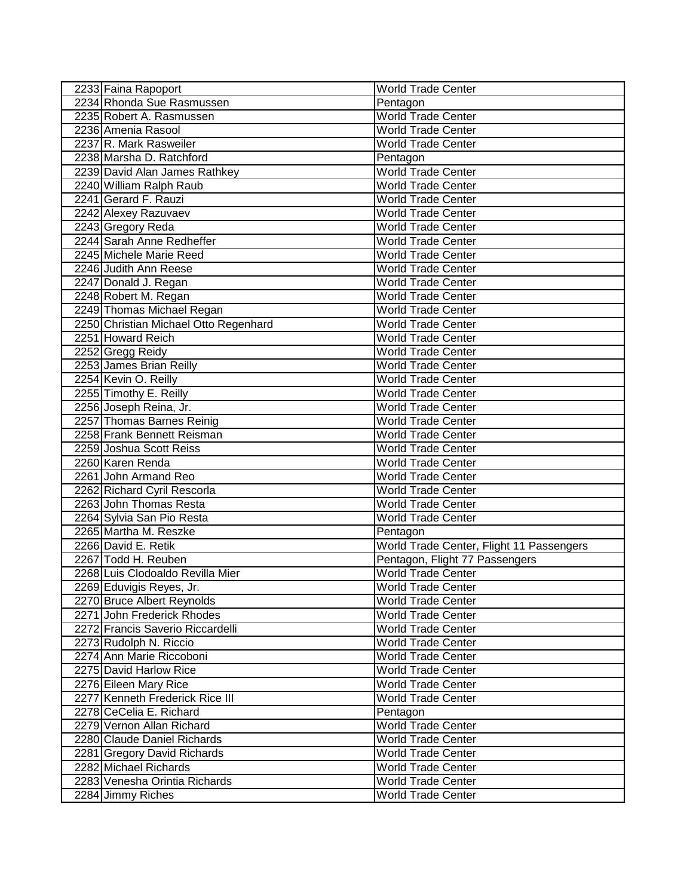| 2233 Faina Rapoport                   | <b>World Trade Center</b>                |
|---------------------------------------|------------------------------------------|
| 2234 Rhonda Sue Rasmussen             | Pentagon                                 |
| 2235 Robert A. Rasmussen              | <b>World Trade Center</b>                |
| 2236 Amenia Rasool                    | World Trade Center                       |
| 2237 R. Mark Rasweiler                | <b>World Trade Center</b>                |
| 2238 Marsha D. Ratchford              | Pentagon                                 |
| 2239 David Alan James Rathkey         | <b>World Trade Center</b>                |
| 2240 William Ralph Raub               | <b>World Trade Center</b>                |
| 2241 Gerard F. Rauzi                  | <b>World Trade Center</b>                |
| 2242 Alexey Razuvaev                  | <b>World Trade Center</b>                |
| 2243 Gregory Reda                     | <b>World Trade Center</b>                |
| 2244 Sarah Anne Redheffer             | <b>World Trade Center</b>                |
| 2245 Michele Marie Reed               | World Trade Center                       |
| 2246 Judith Ann Reese                 | <b>World Trade Center</b>                |
| 2247 Donald J. Regan                  | <b>World Trade Center</b>                |
| 2248 Robert M. Regan                  | <b>World Trade Center</b>                |
| 2249 Thomas Michael Regan             | <b>World Trade Center</b>                |
| 2250 Christian Michael Otto Regenhard | <b>World Trade Center</b>                |
| 2251 Howard Reich                     | <b>World Trade Center</b>                |
| 2252 Gregg Reidy                      | <b>World Trade Center</b>                |
| 2253 James Brian Reilly               | <b>World Trade Center</b>                |
| 2254 Kevin O. Reilly                  | <b>World Trade Center</b>                |
| 2255 Timothy E. Reilly                | <b>World Trade Center</b>                |
| 2256 Joseph Reina, Jr.                | <b>World Trade Center</b>                |
| 2257 Thomas Barnes Reinig             | <b>World Trade Center</b>                |
| 2258 Frank Bennett Reisman            | <b>World Trade Center</b>                |
| 2259 Joshua Scott Reiss               | <b>World Trade Center</b>                |
| 2260 Karen Renda                      | <b>World Trade Center</b>                |
| 2261 John Armand Reo                  | <b>World Trade Center</b>                |
| 2262 Richard Cyril Rescorla           | <b>World Trade Center</b>                |
| 2263 John Thomas Resta                | <b>World Trade Center</b>                |
| 2264 Sylvia San Pio Resta             | <b>World Trade Center</b>                |
| 2265 Martha M. Reszke                 | Pentagon                                 |
| 2266 David E. Retik                   | World Trade Center, Flight 11 Passengers |
| 2267 Todd H. Reuben                   | Pentagon, Flight 77 Passengers           |
| 2268 Luis Clodoaldo Revilla Mier      | <b>World Trade Center</b>                |
| 2269 Eduvigis Reyes, Jr.              | World Trade Center                       |
| 2270 Bruce Albert Reynolds            | World Trade Center                       |
| 2271 John Frederick Rhodes            | <b>World Trade Center</b>                |
| 2272 Francis Saverio Riccardelli      | <b>World Trade Center</b>                |
| 2273 Rudolph N. Riccio                | <b>World Trade Center</b>                |
| 2274 Ann Marie Riccoboni              | <b>World Trade Center</b>                |
| 2275 David Harlow Rice                | <b>World Trade Center</b>                |
| 2276 Eileen Mary Rice                 | <b>World Trade Center</b>                |
| 2277 Kenneth Frederick Rice III       | <b>World Trade Center</b>                |
| 2278 CeCelia E. Richard               | Pentagon                                 |
| 2279 Vernon Allan Richard             | <b>World Trade Center</b>                |
| 2280 Claude Daniel Richards           | <b>World Trade Center</b>                |
| 2281 Gregory David Richards           | <b>World Trade Center</b>                |
| 2282 Michael Richards                 | <b>World Trade Center</b>                |
| 2283 Venesha Orintia Richards         | <b>World Trade Center</b>                |
| 2284 Jimmy Riches                     | <b>World Trade Center</b>                |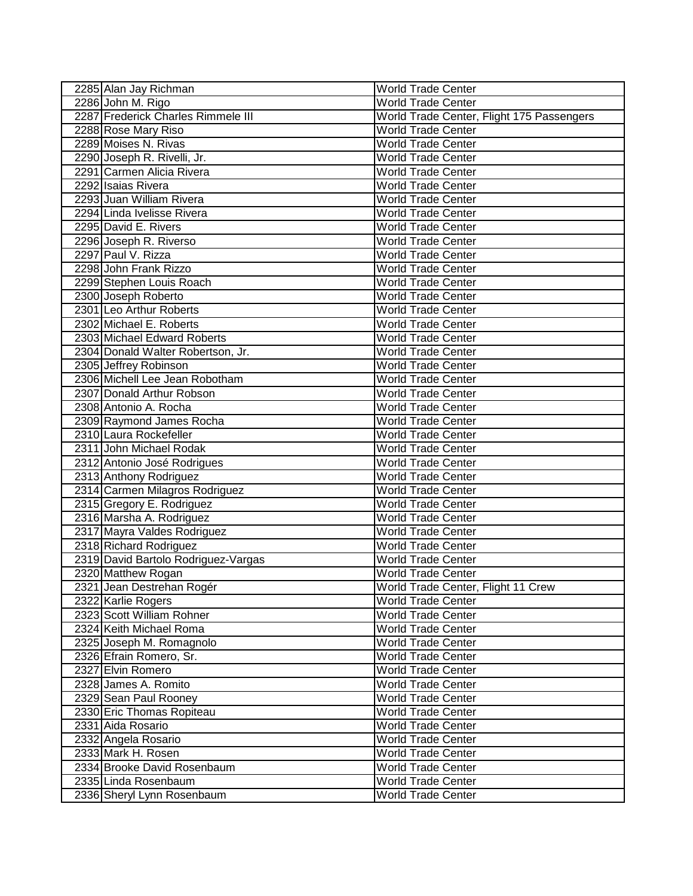| 2285 Alan Jay Richman               | <b>World Trade Center</b>                 |
|-------------------------------------|-------------------------------------------|
| 2286 John M. Rigo                   | <b>World Trade Center</b>                 |
| 2287 Frederick Charles Rimmele III  | World Trade Center, Flight 175 Passengers |
| 2288 Rose Mary Riso                 | <b>World Trade Center</b>                 |
| 2289 Moises N. Rivas                | <b>World Trade Center</b>                 |
| 2290 Joseph R. Rivelli, Jr.         | <b>World Trade Center</b>                 |
| 2291 Carmen Alicia Rivera           | <b>World Trade Center</b>                 |
| 2292 Isaias Rivera                  | <b>World Trade Center</b>                 |
| 2293 Juan William Rivera            | <b>World Trade Center</b>                 |
| 2294 Linda Ivelisse Rivera          | <b>World Trade Center</b>                 |
| 2295 David E. Rivers                | <b>World Trade Center</b>                 |
| 2296 Joseph R. Riverso              | <b>World Trade Center</b>                 |
| 2297 Paul V. Rizza                  | <b>World Trade Center</b>                 |
| 2298 John Frank Rizzo               | <b>World Trade Center</b>                 |
| 2299 Stephen Louis Roach            | <b>World Trade Center</b>                 |
| 2300 Joseph Roberto                 | <b>World Trade Center</b>                 |
| 2301 Leo Arthur Roberts             | <b>World Trade Center</b>                 |
| 2302 Michael E. Roberts             | <b>World Trade Center</b>                 |
| 2303 Michael Edward Roberts         | <b>World Trade Center</b>                 |
| 2304 Donald Walter Robertson, Jr.   | <b>World Trade Center</b>                 |
| 2305 Jeffrey Robinson               | <b>World Trade Center</b>                 |
| 2306 Michell Lee Jean Robotham      | <b>World Trade Center</b>                 |
| 2307 Donald Arthur Robson           | <b>World Trade Center</b>                 |
| 2308 Antonio A. Rocha               | <b>World Trade Center</b>                 |
| 2309 Raymond James Rocha            | <b>World Trade Center</b>                 |
| 2310 Laura Rockefeller              | <b>World Trade Center</b>                 |
| 2311 John Michael Rodak             | <b>World Trade Center</b>                 |
| 2312 Antonio José Rodrigues         | <b>World Trade Center</b>                 |
| 2313 Anthony Rodriguez              | <b>World Trade Center</b>                 |
| 2314 Carmen Milagros Rodriguez      | <b>World Trade Center</b>                 |
| 2315 Gregory E. Rodriguez           | <b>World Trade Center</b>                 |
| 2316 Marsha A. Rodriguez            | <b>World Trade Center</b>                 |
| 2317 Mayra Valdes Rodriguez         | <b>World Trade Center</b>                 |
| 2318 Richard Rodriguez              | <b>World Trade Center</b>                 |
| 2319 David Bartolo Rodriguez-Vargas | <b>World Trade Center</b>                 |
| 2320 Matthew Rogan                  | <b>World Trade Center</b>                 |
| 2321 Jean Destrehan Rogér           | World Trade Center, Flight 11 Crew        |
| 2322 Karlie Rogers                  | World Trade Center                        |
| 2323 Scott William Rohner           | <b>World Trade Center</b>                 |
| 2324 Keith Michael Roma             | <b>World Trade Center</b>                 |
| 2325 Joseph M. Romagnolo            | <b>World Trade Center</b>                 |
| 2326 Efrain Romero, Sr.             | <b>World Trade Center</b>                 |
| 2327 Elvin Romero                   | <b>World Trade Center</b>                 |
| 2328 James A. Romito                | <b>World Trade Center</b>                 |
| 2329 Sean Paul Rooney               | <b>World Trade Center</b>                 |
| 2330 Eric Thomas Ropiteau           | <b>World Trade Center</b>                 |
| 2331 Aida Rosario                   | <b>World Trade Center</b>                 |
| 2332 Angela Rosario                 | <b>World Trade Center</b>                 |
| 2333 Mark H. Rosen                  | <b>World Trade Center</b>                 |
| 2334 Brooke David Rosenbaum         | <b>World Trade Center</b>                 |
| 2335 Linda Rosenbaum                | <b>World Trade Center</b>                 |
| 2336 Sheryl Lynn Rosenbaum          | <b>World Trade Center</b>                 |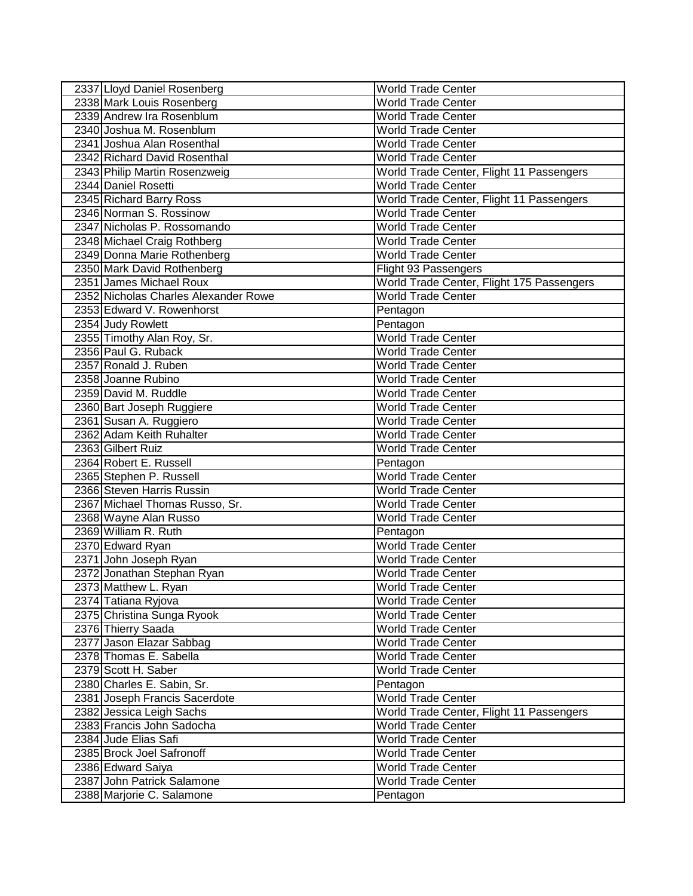| 2337 Lloyd Daniel Rosenberg               | <b>World Trade Center</b>                              |
|-------------------------------------------|--------------------------------------------------------|
| 2338 Mark Louis Rosenberg                 | <b>World Trade Center</b>                              |
| 2339 Andrew Ira Rosenblum                 | <b>World Trade Center</b>                              |
| 2340 Joshua M. Rosenblum                  | <b>World Trade Center</b>                              |
| 2341 Joshua Alan Rosenthal                | <b>World Trade Center</b>                              |
| 2342 Richard David Rosenthal              | <b>World Trade Center</b>                              |
| 2343 Philip Martin Rosenzweig             | World Trade Center, Flight 11 Passengers               |
| 2344 Daniel Rosetti                       | <b>World Trade Center</b>                              |
| 2345 Richard Barry Ross                   | World Trade Center, Flight 11 Passengers               |
| 2346 Norman S. Rossinow                   | <b>World Trade Center</b>                              |
| 2347 Nicholas P. Rossomando               | <b>World Trade Center</b>                              |
| 2348 Michael Craig Rothberg               | <b>World Trade Center</b>                              |
| 2349 Donna Marie Rothenberg               | <b>World Trade Center</b>                              |
| 2350 Mark David Rothenberg                | Flight 93 Passengers                                   |
| 2351 James Michael Roux                   | World Trade Center, Flight 175 Passengers              |
| 2352 Nicholas Charles Alexander Rowe      | World Trade Center                                     |
| 2353 Edward V. Rowenhorst                 | Pentagon                                               |
| 2354 Judy Rowlett                         | Pentagon                                               |
| 2355 Timothy Alan Roy, Sr.                | <b>World Trade Center</b>                              |
| 2356 Paul G. Ruback                       | <b>World Trade Center</b>                              |
| 2357 Ronald J. Ruben                      | <b>World Trade Center</b>                              |
| 2358 Joanne Rubino                        | <b>World Trade Center</b>                              |
| 2359 David M. Ruddle                      | <b>World Trade Center</b>                              |
| 2360 Bart Joseph Ruggiere                 | <b>World Trade Center</b>                              |
| 2361 Susan A. Ruggiero                    | <b>World Trade Center</b>                              |
| 2362 Adam Keith Ruhalter                  | <b>World Trade Center</b>                              |
| 2363 Gilbert Ruiz                         | <b>World Trade Center</b>                              |
| 2364 Robert E. Russell                    | Pentagon                                               |
| 2365 Stephen P. Russell                   | <b>World Trade Center</b>                              |
| 2366 Steven Harris Russin                 | <b>World Trade Center</b>                              |
| 2367 Michael Thomas Russo, Sr.            | <b>World Trade Center</b>                              |
| 2368 Wayne Alan Russo                     | <b>World Trade Center</b>                              |
| 2369 William R. Ruth                      | Pentagon                                               |
|                                           |                                                        |
| 2370 Edward Ryan<br>2371 John Joseph Ryan | <b>World Trade Center</b><br><b>World Trade Center</b> |
|                                           |                                                        |
| 2372 Jonathan Stephan Ryan                | <b>World Trade Center</b>                              |
| 2373 Matthew L. Ryan                      | World Trade Center                                     |
| 2374 Tatiana Ryjova                       | World Trade Center                                     |
| 2375 Christina Sunga Ryook                | <b>World Trade Center</b>                              |
| 2376 Thierry Saada                        | <b>World Trade Center</b>                              |
| 2377 Jason Elazar Sabbag                  | <b>World Trade Center</b>                              |
| 2378 Thomas E. Sabella                    | <b>World Trade Center</b>                              |
| 2379 Scott H. Saber                       | <b>World Trade Center</b>                              |
| 2380 Charles E. Sabin, Sr.                | Pentagon                                               |
| 2381 Joseph Francis Sacerdote             | World Trade Center                                     |
| 2382 Jessica Leigh Sachs                  | World Trade Center, Flight 11 Passengers               |
| 2383 Francis John Sadocha                 | <b>World Trade Center</b>                              |
| 2384 Jude Elias Safi                      | <b>World Trade Center</b>                              |
| 2385 Brock Joel Safronoff                 | <b>World Trade Center</b>                              |
| 2386 Edward Saiya                         | <b>World Trade Center</b>                              |
| 2387 John Patrick Salamone                | <b>World Trade Center</b>                              |
| 2388 Marjorie C. Salamone                 | Pentagon                                               |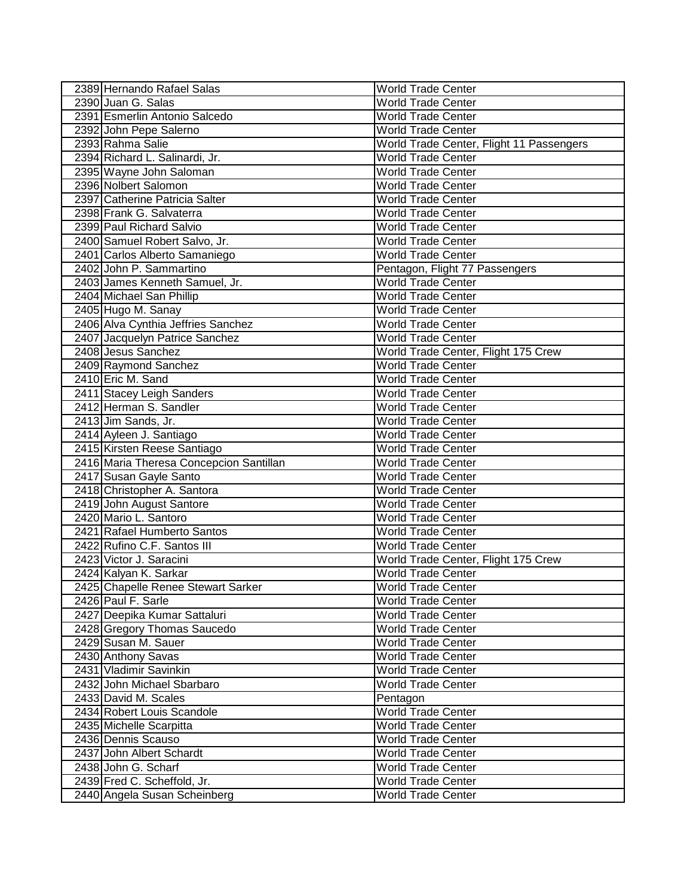|                         | 2389 Hernando Rafael Salas              | <b>World Trade Center</b>                |  |
|-------------------------|-----------------------------------------|------------------------------------------|--|
| 2390 Juan G. Salas      |                                         | <b>World Trade Center</b>                |  |
|                         | 2391 Esmerlin Antonio Salcedo           | <b>World Trade Center</b>                |  |
|                         | 2392 John Pepe Salerno                  | <b>World Trade Center</b>                |  |
| 2393 Rahma Salie        |                                         | World Trade Center, Flight 11 Passengers |  |
|                         | 2394 Richard L. Salinardi, Jr.          | <b>World Trade Center</b>                |  |
|                         | 2395 Wayne John Saloman                 | <b>World Trade Center</b>                |  |
| 2396 Nolbert Salomon    |                                         | <b>World Trade Center</b>                |  |
|                         | 2397 Catherine Patricia Salter          | <b>World Trade Center</b>                |  |
|                         | 2398 Frank G. Salvaterra                | <b>World Trade Center</b>                |  |
|                         | 2399 Paul Richard Salvio                | <b>World Trade Center</b>                |  |
|                         | 2400 Samuel Robert Salvo, Jr.           | <b>World Trade Center</b>                |  |
|                         | 2401 Carlos Alberto Samaniego           | <b>World Trade Center</b>                |  |
|                         | 2402 John P. Sammartino                 | Pentagon, Flight 77 Passengers           |  |
|                         | 2403 James Kenneth Samuel, Jr.          | World Trade Center                       |  |
|                         | 2404 Michael San Phillip                | <b>World Trade Center</b>                |  |
| 2405 Hugo M. Sanay      |                                         | <b>World Trade Center</b>                |  |
|                         | 2406 Alva Cynthia Jeffries Sanchez      | <b>World Trade Center</b>                |  |
|                         | 2407 Jacquelyn Patrice Sanchez          | <b>World Trade Center</b>                |  |
| 2408 Jesus Sanchez      |                                         | World Trade Center, Flight 175 Crew      |  |
|                         | 2409 Raymond Sanchez                    | <b>World Trade Center</b>                |  |
| 2410 Eric M. Sand       |                                         | <b>World Trade Center</b>                |  |
|                         | 2411 Stacey Leigh Sanders               | <b>World Trade Center</b>                |  |
|                         | 2412 Herman S. Sandler                  | <b>World Trade Center</b>                |  |
| 2413 Jim Sands, Jr.     |                                         | <b>World Trade Center</b>                |  |
|                         | 2414 Ayleen J. Santiago                 | <b>World Trade Center</b>                |  |
|                         | 2415 Kirsten Reese Santiago             | <b>World Trade Center</b>                |  |
|                         | 2416 Maria Theresa Concepcion Santillan | <b>World Trade Center</b>                |  |
|                         | 2417 Susan Gayle Santo                  | <b>World Trade Center</b>                |  |
|                         | 2418 Christopher A. Santora             | <b>World Trade Center</b>                |  |
|                         | 2419 John August Santore                | <b>World Trade Center</b>                |  |
| 2420 Mario L. Santoro   |                                         | <b>World Trade Center</b>                |  |
|                         | 2421 Rafael Humberto Santos             | <b>World Trade Center</b>                |  |
|                         | 2422 Rufino C.F. Santos III             | <b>World Trade Center</b>                |  |
| 2423 Victor J. Saracini |                                         | World Trade Center, Flight 175 Crew      |  |
| 2424 Kalyan K. Sarkar   |                                         | <b>World Trade Center</b>                |  |
|                         | 2425 Chapelle Renee Stewart Sarker      | <b>World Trade Center</b>                |  |
| 2426 Paul F. Sarle      |                                         | <b>World Trade Center</b>                |  |
|                         | 2427 Deepika Kumar Sattaluri            | World Trade Center                       |  |
|                         | 2428 Gregory Thomas Saucedo             | <b>World Trade Center</b>                |  |
| 2429 Susan M. Sauer     |                                         | <b>World Trade Center</b>                |  |
| 2430 Anthony Savas      |                                         | <b>World Trade Center</b>                |  |
|                         | 2431 Vladimir Savinkin                  | <b>World Trade Center</b>                |  |
|                         | 2432 John Michael Sbarbaro              | <b>World Trade Center</b>                |  |
| 2433 David M. Scales    |                                         | Pentagon                                 |  |
|                         | 2434 Robert Louis Scandole              | <b>World Trade Center</b>                |  |
|                         | 2435 Michelle Scarpitta                 | <b>World Trade Center</b>                |  |
| 2436 Dennis Scauso      |                                         | World Trade Center                       |  |
|                         | 2437 John Albert Schardt                | <b>World Trade Center</b>                |  |
| 2438 John G. Scharf     |                                         | <b>World Trade Center</b>                |  |
|                         | 2439 Fred C. Scheffold, Jr.             | <b>World Trade Center</b>                |  |
|                         | 2440 Angela Susan Scheinberg            | <b>World Trade Center</b>                |  |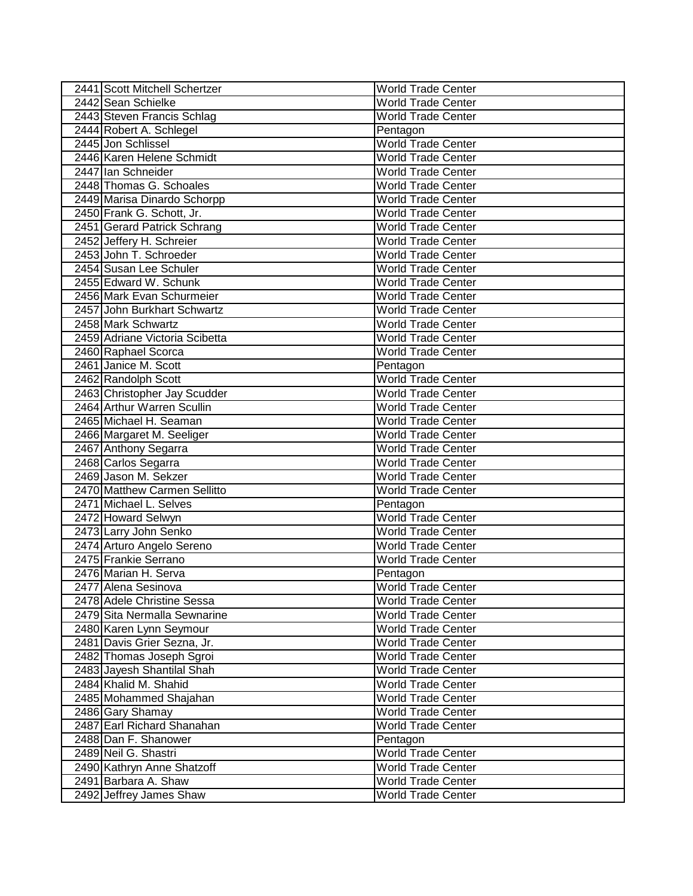| 2441 Scott Mitchell Schertzer  | <b>World Trade Center</b> |
|--------------------------------|---------------------------|
| 2442 Sean Schielke             | World Trade Center        |
| 2443 Steven Francis Schlag     | <b>World Trade Center</b> |
| 2444 Robert A. Schlegel        | Pentagon                  |
| 2445 Jon Schlissel             | <b>World Trade Center</b> |
| 2446 Karen Helene Schmidt      | World Trade Center        |
| 2447 Ian Schneider             | <b>World Trade Center</b> |
| 2448 Thomas G. Schoales        | <b>World Trade Center</b> |
| 2449 Marisa Dinardo Schorpp    | <b>World Trade Center</b> |
| 2450 Frank G. Schott, Jr.      | <b>World Trade Center</b> |
| 2451 Gerard Patrick Schrang    | <b>World Trade Center</b> |
| 2452 Jeffery H. Schreier       | <b>World Trade Center</b> |
| 2453 John T. Schroeder         | <b>World Trade Center</b> |
| 2454 Susan Lee Schuler         | <b>World Trade Center</b> |
| 2455 Edward W. Schunk          | <b>World Trade Center</b> |
| 2456 Mark Evan Schurmeier      | <b>World Trade Center</b> |
| 2457 John Burkhart Schwartz    | <b>World Trade Center</b> |
| 2458 Mark Schwartz             | <b>World Trade Center</b> |
| 2459 Adriane Victoria Scibetta | <b>World Trade Center</b> |
| 2460 Raphael Scorca            | <b>World Trade Center</b> |
| 2461 Janice M. Scott           | Pentagon                  |
| 2462 Randolph Scott            | <b>World Trade Center</b> |
| 2463 Christopher Jay Scudder   | <b>World Trade Center</b> |
| 2464 Arthur Warren Scullin     | <b>World Trade Center</b> |
| 2465 Michael H. Seaman         | <b>World Trade Center</b> |
| 2466 Margaret M. Seeliger      | <b>World Trade Center</b> |
| 2467 Anthony Segarra           | <b>World Trade Center</b> |
| 2468 Carlos Segarra            | <b>World Trade Center</b> |
| 2469 Jason M. Sekzer           | <b>World Trade Center</b> |
| 2470 Matthew Carmen Sellitto   | <b>World Trade Center</b> |
| 2471 Michael L. Selves         | Pentagon                  |
| 2472 Howard Selwyn             | <b>World Trade Center</b> |
| 2473 Larry John Senko          | <b>World Trade Center</b> |
| 2474 Arturo Angelo Sereno      | <b>World Trade Center</b> |
| 2475 Frankie Serrano           | <b>World Trade Center</b> |
| 2476 Marian H. Serva           | Pentagon                  |
| 2477 Alena Sesinova            | World Trade Center        |
| 2478 Adele Christine Sessa     | <b>World Trade Center</b> |
| 2479 Sita Nermalla Sewnarine   | <b>World Trade Center</b> |
| 2480 Karen Lynn Seymour        | <b>World Trade Center</b> |
| 2481 Davis Grier Sezna, Jr.    | <b>World Trade Center</b> |
| 2482 Thomas Joseph Sgroi       | <b>World Trade Center</b> |
| 2483 Jayesh Shantilal Shah     | <b>World Trade Center</b> |
| 2484 Khalid M. Shahid          | <b>World Trade Center</b> |
| 2485 Mohammed Shajahan         | <b>World Trade Center</b> |
| 2486 Gary Shamay               | <b>World Trade Center</b> |
| 2487 Earl Richard Shanahan     | <b>World Trade Center</b> |
| 2488 Dan F. Shanower           | Pentagon                  |
| 2489 Neil G. Shastri           | <b>World Trade Center</b> |
| 2490 Kathryn Anne Shatzoff     | <b>World Trade Center</b> |
|                                |                           |
| 2491 Barbara A. Shaw           | <b>World Trade Center</b> |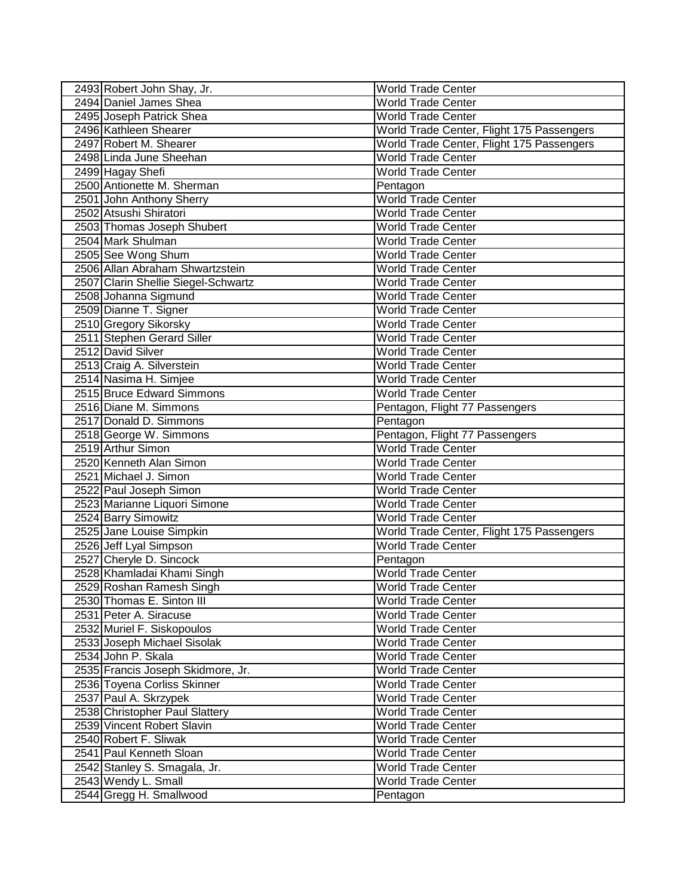| 2493 Robert John Shay, Jr.          | <b>World Trade Center</b>                 |
|-------------------------------------|-------------------------------------------|
| 2494 Daniel James Shea              | <b>World Trade Center</b>                 |
| 2495 Joseph Patrick Shea            | <b>World Trade Center</b>                 |
| 2496 Kathleen Shearer               | World Trade Center, Flight 175 Passengers |
| 2497 Robert M. Shearer              | World Trade Center, Flight 175 Passengers |
| 2498 Linda June Sheehan             | <b>World Trade Center</b>                 |
| 2499 Hagay Shefi                    | <b>World Trade Center</b>                 |
| 2500 Antionette M. Sherman          | Pentagon                                  |
| 2501 John Anthony Sherry            | <b>World Trade Center</b>                 |
| 2502 Atsushi Shiratori              | <b>World Trade Center</b>                 |
| 2503 Thomas Joseph Shubert          | <b>World Trade Center</b>                 |
| 2504 Mark Shulman                   | <b>World Trade Center</b>                 |
| 2505 See Wong Shum                  | <b>World Trade Center</b>                 |
| 2506 Allan Abraham Shwartzstein     | <b>World Trade Center</b>                 |
| 2507 Clarin Shellie Siegel-Schwartz | <b>World Trade Center</b>                 |
| 2508 Johanna Sigmund                | <b>World Trade Center</b>                 |
| 2509 Dianne T. Signer               | <b>World Trade Center</b>                 |
| 2510 Gregory Sikorsky               | <b>World Trade Center</b>                 |
| 2511 Stephen Gerard Siller          | <b>World Trade Center</b>                 |
| 2512 David Silver                   | <b>World Trade Center</b>                 |
| 2513 Craig A. Silverstein           | <b>World Trade Center</b>                 |
| 2514 Nasima H. Simjee               | <b>World Trade Center</b>                 |
| 2515 Bruce Edward Simmons           | <b>World Trade Center</b>                 |
|                                     |                                           |
| 2516 Diane M. Simmons               | Pentagon, Flight 77 Passengers            |
| 2517 Donald D. Simmons              | Pentagon                                  |
| 2518 George W. Simmons              | Pentagon, Flight 77 Passengers            |
| 2519 Arthur Simon                   | <b>World Trade Center</b>                 |
| 2520 Kenneth Alan Simon             | <b>World Trade Center</b>                 |
| 2521 Michael J. Simon               | <b>World Trade Center</b>                 |
| 2522 Paul Joseph Simon              | <b>World Trade Center</b>                 |
| 2523 Marianne Liquori Simone        | <b>World Trade Center</b>                 |
| 2524 Barry Simowitz                 | <b>World Trade Center</b>                 |
| 2525 Jane Louise Simpkin            | World Trade Center, Flight 175 Passengers |
| 2526 Jeff Lyal Simpson              | <b>World Trade Center</b>                 |
| 2527 Cheryle D. Sincock             | Pentagon                                  |
| 2528 Khamladai Khami Singh          | <b>World Trade Center</b>                 |
| 2529 Roshan Ramesh Singh            | World Trade Center                        |
| 2530 Thomas E. Sinton III           | <b>World Trade Center</b>                 |
| 2531 Peter A. Siracuse              | <b>World Trade Center</b>                 |
| 2532 Muriel F. Siskopoulos          | <b>World Trade Center</b>                 |
| 2533 Joseph Michael Sisolak         | <b>World Trade Center</b>                 |
| 2534 John P. Skala                  | <b>World Trade Center</b>                 |
| 2535 Francis Joseph Skidmore, Jr.   | <b>World Trade Center</b>                 |
| 2536 Toyena Corliss Skinner         | <b>World Trade Center</b>                 |
| 2537 Paul A. Skrzypek               | <b>World Trade Center</b>                 |
| 2538 Christopher Paul Slattery      | <b>World Trade Center</b>                 |
| 2539 Vincent Robert Slavin          | <b>World Trade Center</b>                 |
| 2540 Robert F. Sliwak               | <b>World Trade Center</b>                 |
| 2541 Paul Kenneth Sloan             | <b>World Trade Center</b>                 |
| 2542 Stanley S. Smagala, Jr.        | <b>World Trade Center</b>                 |
| 2543 Wendy L. Small                 | <b>World Trade Center</b>                 |
| 2544 Gregg H. Smallwood             | Pentagon                                  |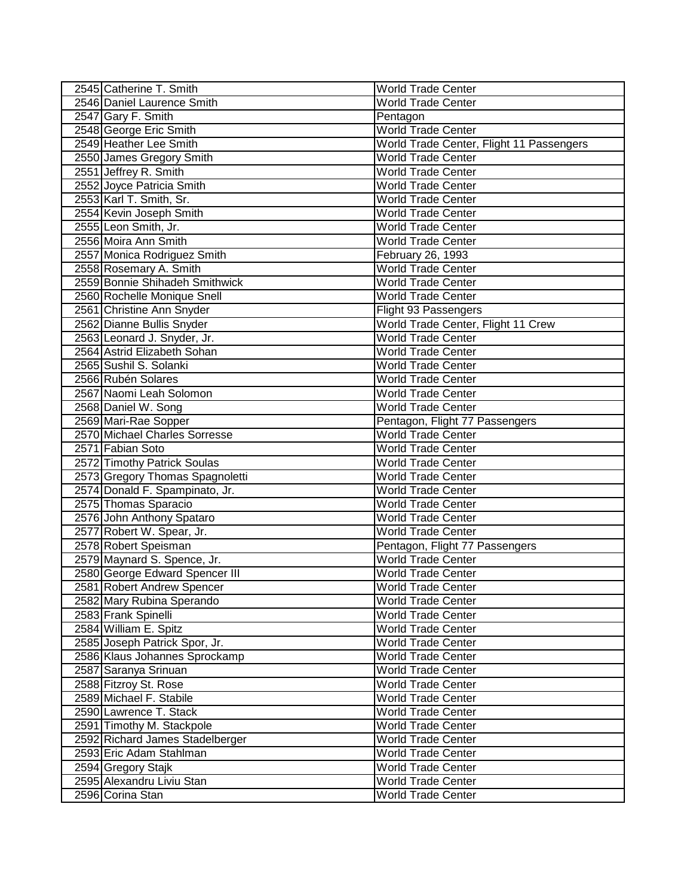| 2545 Catherine T. Smith         | <b>World Trade Center</b>                |
|---------------------------------|------------------------------------------|
| 2546 Daniel Laurence Smith      | <b>World Trade Center</b>                |
| 2547 Gary F. Smith              | Pentagon                                 |
| 2548 George Eric Smith          | <b>World Trade Center</b>                |
| 2549 Heather Lee Smith          | World Trade Center, Flight 11 Passengers |
| 2550 James Gregory Smith        | <b>World Trade Center</b>                |
| 2551 Jeffrey R. Smith           | <b>World Trade Center</b>                |
| 2552 Joyce Patricia Smith       | <b>World Trade Center</b>                |
| 2553 Karl T. Smith, Sr.         | <b>World Trade Center</b>                |
| 2554 Kevin Joseph Smith         | <b>World Trade Center</b>                |
| 2555 Leon Smith, Jr.            | <b>World Trade Center</b>                |
| 2556 Moira Ann Smith            | <b>World Trade Center</b>                |
| 2557 Monica Rodriguez Smith     | February 26, 1993                        |
| 2558 Rosemary A. Smith          | <b>World Trade Center</b>                |
| 2559 Bonnie Shihadeh Smithwick  | <b>World Trade Center</b>                |
| 2560 Rochelle Monique Snell     | <b>World Trade Center</b>                |
| 2561 Christine Ann Snyder       | Flight 93 Passengers                     |
| 2562 Dianne Bullis Snyder       | World Trade Center, Flight 11 Crew       |
| 2563 Leonard J. Snyder, Jr.     | <b>World Trade Center</b>                |
| 2564 Astrid Elizabeth Sohan     | <b>World Trade Center</b>                |
| 2565 Sushil S. Solanki          | <b>World Trade Center</b>                |
| 2566 Rubén Solares              | <b>World Trade Center</b>                |
| 2567 Naomi Leah Solomon         | <b>World Trade Center</b>                |
| 2568 Daniel W. Song             | <b>World Trade Center</b>                |
| 2569 Mari-Rae Sopper            | Pentagon, Flight 77 Passengers           |
| 2570 Michael Charles Sorresse   | <b>World Trade Center</b>                |
| 2571 Fabian Soto                | <b>World Trade Center</b>                |
| 2572 Timothy Patrick Soulas     | <b>World Trade Center</b>                |
| 2573 Gregory Thomas Spagnoletti | <b>World Trade Center</b>                |
| 2574 Donald F. Spampinato, Jr.  | <b>World Trade Center</b>                |
| 2575 Thomas Sparacio            | <b>World Trade Center</b>                |
| 2576 John Anthony Spataro       | <b>World Trade Center</b>                |
| 2577 Robert W. Spear, Jr.       | <b>World Trade Center</b>                |
| 2578 Robert Speisman            | Pentagon, Flight 77 Passengers           |
| 2579 Maynard S. Spence, Jr.     | <b>World Trade Center</b>                |
| 2580 George Edward Spencer III  | <b>World Trade Center</b>                |
|                                 |                                          |
| 2581 Robert Andrew Spencer      | World Trade Center                       |
| 2582 Mary Rubina Sperando       | <b>World Trade Center</b>                |
| 2583 Frank Spinelli             | <b>World Trade Center</b>                |
| 2584 William E. Spitz           | <b>World Trade Center</b>                |
| 2585 Joseph Patrick Spor, Jr.   | <b>World Trade Center</b>                |
| 2586 Klaus Johannes Sprockamp   | <b>World Trade Center</b>                |
| 2587 Saranya Srinuan            | <b>World Trade Center</b>                |
| 2588 Fitzroy St. Rose           | <b>World Trade Center</b>                |
| 2589 Michael F. Stabile         | <b>World Trade Center</b>                |
| 2590 Lawrence T. Stack          | <b>World Trade Center</b>                |
| 2591 Timothy M. Stackpole       | <b>World Trade Center</b>                |
| 2592 Richard James Stadelberger | World Trade Center                       |
| 2593 Eric Adam Stahlman         | <b>World Trade Center</b>                |
| 2594 Gregory Stajk              | <b>World Trade Center</b>                |
| 2595 Alexandru Liviu Stan       | <b>World Trade Center</b>                |
| 2596 Corina Stan                | <b>World Trade Center</b>                |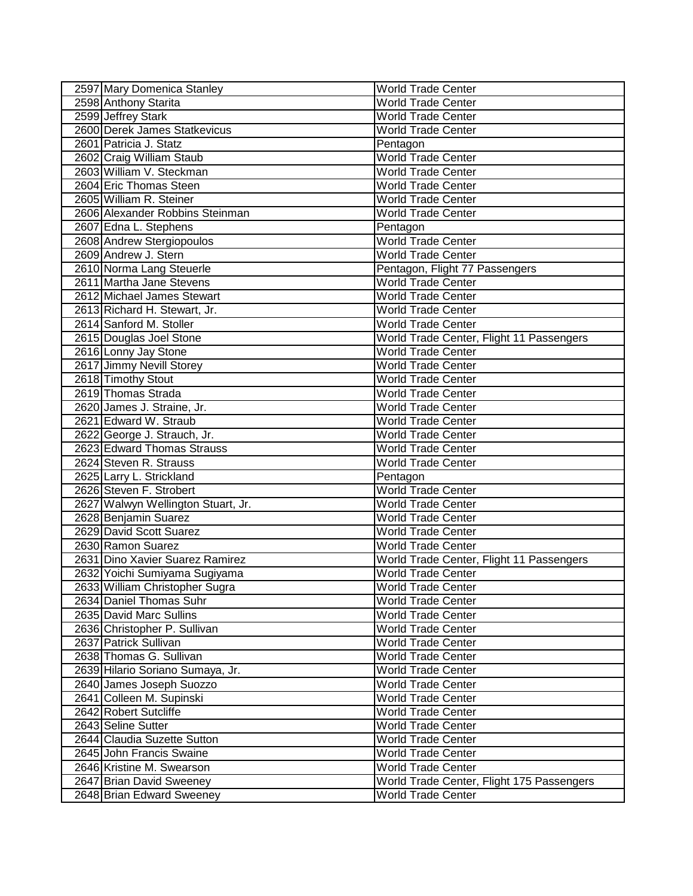| 2597 Mary Domenica Stanley         | <b>World Trade Center</b>                 |
|------------------------------------|-------------------------------------------|
| 2598 Anthony Starita               | World Trade Center                        |
| 2599 Jeffrey Stark                 | <b>World Trade Center</b>                 |
| 2600 Derek James Statkevicus       | <b>World Trade Center</b>                 |
| 2601 Patricia J. Statz             | Pentagon                                  |
| 2602 Craig William Staub           | <b>World Trade Center</b>                 |
| 2603 William V. Steckman           | <b>World Trade Center</b>                 |
| 2604 Eric Thomas Steen             | <b>World Trade Center</b>                 |
| 2605 William R. Steiner            | <b>World Trade Center</b>                 |
| 2606 Alexander Robbins Steinman    | <b>World Trade Center</b>                 |
| 2607 Edna L. Stephens              | Pentagon                                  |
| 2608 Andrew Stergiopoulos          | <b>World Trade Center</b>                 |
| 2609 Andrew J. Stern               | <b>World Trade Center</b>                 |
| 2610 Norma Lang Steuerle           | Pentagon, Flight 77 Passengers            |
| 2611 Martha Jane Stevens           | <b>World Trade Center</b>                 |
| 2612 Michael James Stewart         | <b>World Trade Center</b>                 |
| 2613 Richard H. Stewart, Jr.       | <b>World Trade Center</b>                 |
| 2614 Sanford M. Stoller            | <b>World Trade Center</b>                 |
| 2615 Douglas Joel Stone            | World Trade Center, Flight 11 Passengers  |
| 2616 Lonny Jay Stone               | <b>World Trade Center</b>                 |
| 2617 Jimmy Nevill Storey           | <b>World Trade Center</b>                 |
| 2618 Timothy Stout                 | <b>World Trade Center</b>                 |
| 2619 Thomas Strada                 | <b>World Trade Center</b>                 |
| 2620 James J. Straine, Jr.         | <b>World Trade Center</b>                 |
| 2621 Edward W. Straub              | <b>World Trade Center</b>                 |
| 2622 George J. Strauch, Jr.        | <b>World Trade Center</b>                 |
| 2623 Edward Thomas Strauss         | <b>World Trade Center</b>                 |
| 2624 Steven R. Strauss             | <b>World Trade Center</b>                 |
| 2625 Larry L. Strickland           | Pentagon                                  |
| 2626 Steven F. Strobert            | <b>World Trade Center</b>                 |
| 2627 Walwyn Wellington Stuart, Jr. | <b>World Trade Center</b>                 |
| 2628 Benjamin Suarez               | <b>World Trade Center</b>                 |
| 2629 David Scott Suarez            | <b>World Trade Center</b>                 |
| 2630 Ramon Suarez                  | <b>World Trade Center</b>                 |
| 2631 Dino Xavier Suarez Ramirez    | World Trade Center, Flight 11 Passengers  |
| 2632 Yoichi Sumiyama Sugiyama      | <b>World Trade Center</b>                 |
| 2633 William Christopher Sugra     | World Trade Center                        |
| 2634 Daniel Thomas Suhr            | <b>World Trade Center</b>                 |
| 2635 David Marc Sullins            | World Trade Center                        |
| 2636 Christopher P. Sullivan       | <b>World Trade Center</b>                 |
| 2637 Patrick Sullivan              | <b>World Trade Center</b>                 |
| 2638 Thomas G. Sullivan            | <b>World Trade Center</b>                 |
| 2639 Hilario Soriano Sumaya, Jr.   | <b>World Trade Center</b>                 |
| 2640 James Joseph Suozzo           | <b>World Trade Center</b>                 |
| 2641 Colleen M. Supinski           | <b>World Trade Center</b>                 |
| 2642 Robert Sutcliffe              | <b>World Trade Center</b>                 |
| 2643 Seline Sutter                 | <b>World Trade Center</b>                 |
| 2644 Claudia Suzette Sutton        | World Trade Center                        |
| 2645 John Francis Swaine           | <b>World Trade Center</b>                 |
| 2646 Kristine M. Swearson          | <b>World Trade Center</b>                 |
| 2647 Brian David Sweeney           | World Trade Center, Flight 175 Passengers |
| 2648 Brian Edward Sweeney          | <b>World Trade Center</b>                 |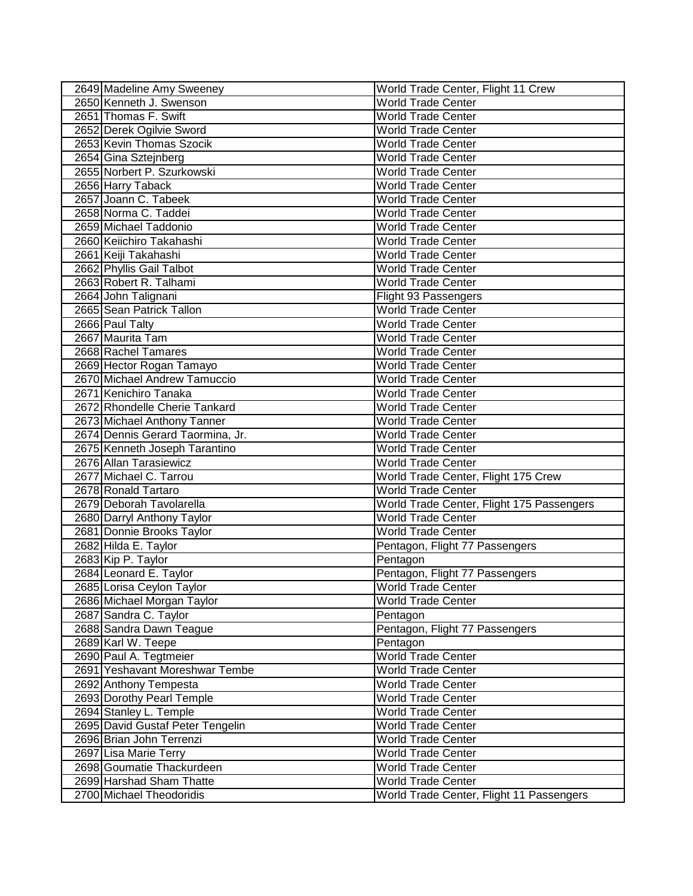| 2649 Madeline Amy Sweeney        | World Trade Center, Flight 11 Crew        |
|----------------------------------|-------------------------------------------|
| 2650 Kenneth J. Swenson          | <b>World Trade Center</b>                 |
| 2651 Thomas F. Swift             | <b>World Trade Center</b>                 |
| 2652 Derek Ogilvie Sword         | <b>World Trade Center</b>                 |
| 2653 Kevin Thomas Szocik         | World Trade Center                        |
| 2654 Gina Sztejnberg             | <b>World Trade Center</b>                 |
| 2655 Norbert P. Szurkowski       | <b>World Trade Center</b>                 |
| 2656 Harry Taback                | <b>World Trade Center</b>                 |
| 2657 Joann C. Tabeek             | <b>World Trade Center</b>                 |
| 2658 Norma C. Taddei             | <b>World Trade Center</b>                 |
| 2659 Michael Taddonio            | <b>World Trade Center</b>                 |
| 2660 Keiichiro Takahashi         | <b>World Trade Center</b>                 |
| 2661 Keiji Takahashi             | <b>World Trade Center</b>                 |
| 2662 Phyllis Gail Talbot         | <b>World Trade Center</b>                 |
| 2663 Robert R. Talhami           | <b>World Trade Center</b>                 |
| 2664 John Talignani              | Flight 93 Passengers                      |
| 2665 Sean Patrick Tallon         | <b>World Trade Center</b>                 |
| 2666 Paul Talty                  | <b>World Trade Center</b>                 |
| 2667 Maurita Tam                 | <b>World Trade Center</b>                 |
| 2668 Rachel Tamares              | <b>World Trade Center</b>                 |
| 2669 Hector Rogan Tamayo         | <b>World Trade Center</b>                 |
| 2670 Michael Andrew Tamuccio     | <b>World Trade Center</b>                 |
| 2671 Kenichiro Tanaka            | <b>World Trade Center</b>                 |
| 2672 Rhondelle Cherie Tankard    | <b>World Trade Center</b>                 |
| 2673 Michael Anthony Tanner      | <b>World Trade Center</b>                 |
| 2674 Dennis Gerard Taormina, Jr. | <b>World Trade Center</b>                 |
| 2675 Kenneth Joseph Tarantino    | <b>World Trade Center</b>                 |
| 2676 Allan Tarasiewicz           | <b>World Trade Center</b>                 |
| 2677 Michael C. Tarrou           | World Trade Center, Flight 175 Crew       |
| 2678 Ronald Tartaro              | <b>World Trade Center</b>                 |
| 2679 Deborah Tavolarella         | World Trade Center, Flight 175 Passengers |
| 2680 Darryl Anthony Taylor       | <b>World Trade Center</b>                 |
| 2681 Donnie Brooks Taylor        | <b>World Trade Center</b>                 |
| 2682 Hilda E. Taylor             | Pentagon, Flight 77 Passengers            |
| 2683 Kip P. Taylor               | Pentagon                                  |
| 2684 Leonard E. Taylor           | Pentagon, Flight 77 Passengers            |
| 2685 Lorisa Ceylon Taylor        | <b>World Trade Center</b>                 |
| 2686 Michael Morgan Taylor       | <b>World Trade Center</b>                 |
| 2687 Sandra C. Taylor            | Pentagon                                  |
| 2688 Sandra Dawn Teague          | Pentagon, Flight 77 Passengers            |
| 2689 Karl W. Teepe               | Pentagon                                  |
| 2690 Paul A. Tegtmeier           | <b>World Trade Center</b>                 |
| 2691 Yeshavant Moreshwar Tembe   | <b>World Trade Center</b>                 |
| 2692 Anthony Tempesta            | <b>World Trade Center</b>                 |
| 2693 Dorothy Pearl Temple        | <b>World Trade Center</b>                 |
| 2694 Stanley L. Temple           | <b>World Trade Center</b>                 |
| 2695 David Gustaf Peter Tengelin | <b>World Trade Center</b>                 |
| 2696 Brian John Terrenzi         | <b>World Trade Center</b>                 |
| 2697 Lisa Marie Terry            | <b>World Trade Center</b>                 |
| 2698 Goumatie Thackurdeen        | <b>World Trade Center</b>                 |
| 2699 Harshad Sham Thatte         | <b>World Trade Center</b>                 |
| 2700 Michael Theodoridis         | World Trade Center, Flight 11 Passengers  |
|                                  |                                           |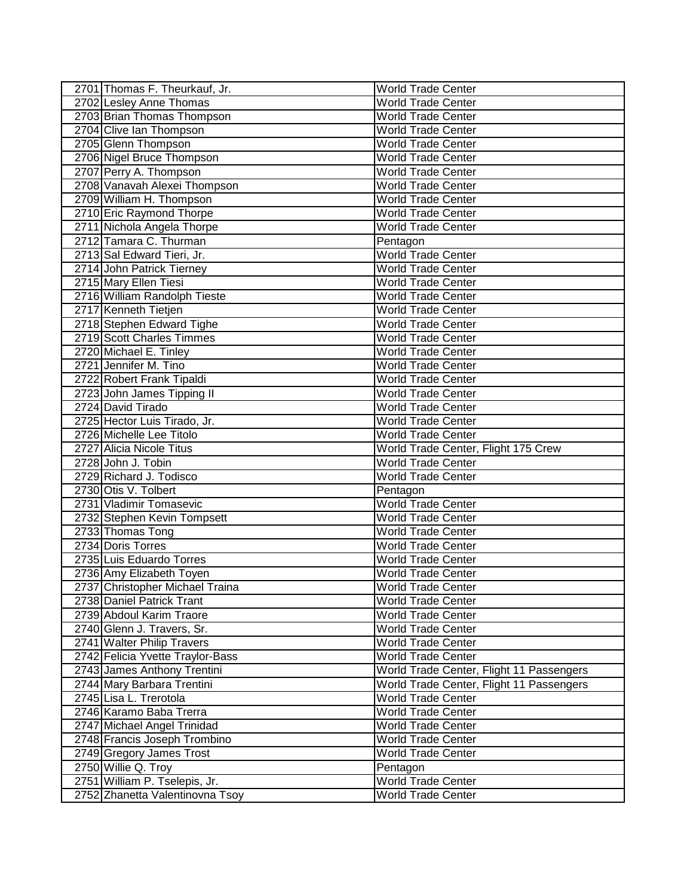| 2701 Thomas F. Theurkauf, Jr.    | <b>World Trade Center</b>                |
|----------------------------------|------------------------------------------|
| 2702 Lesley Anne Thomas          | World Trade Center                       |
| 2703 Brian Thomas Thompson       | <b>World Trade Center</b>                |
| 2704 Clive Ian Thompson          | <b>World Trade Center</b>                |
| 2705 Glenn Thompson              | <b>World Trade Center</b>                |
| 2706 Nigel Bruce Thompson        | <b>World Trade Center</b>                |
| 2707 Perry A. Thompson           | <b>World Trade Center</b>                |
| 2708 Vanavah Alexei Thompson     | <b>World Trade Center</b>                |
| 2709 William H. Thompson         | <b>World Trade Center</b>                |
| 2710 Eric Raymond Thorpe         | <b>World Trade Center</b>                |
| 2711 Nichola Angela Thorpe       | <b>World Trade Center</b>                |
| 2712 Tamara C. Thurman           | Pentagon                                 |
| 2713 Sal Edward Tieri, Jr.       | <b>World Trade Center</b>                |
| 2714 John Patrick Tierney        | <b>World Trade Center</b>                |
| 2715 Mary Ellen Tiesi            | World Trade Center                       |
| 2716 William Randolph Tieste     | <b>World Trade Center</b>                |
| 2717 Kenneth Tietjen             | <b>World Trade Center</b>                |
| 2718 Stephen Edward Tighe        | <b>World Trade Center</b>                |
| 2719 Scott Charles Timmes        | <b>World Trade Center</b>                |
| 2720 Michael E. Tinley           | <b>World Trade Center</b>                |
| 2721 Jennifer M. Tino            | <b>World Trade Center</b>                |
| 2722 Robert Frank Tipaldi        | <b>World Trade Center</b>                |
| 2723 John James Tipping II       | <b>World Trade Center</b>                |
| 2724 David Tirado                | <b>World Trade Center</b>                |
| 2725 Hector Luis Tirado, Jr.     | <b>World Trade Center</b>                |
| 2726 Michelle Lee Titolo         | <b>World Trade Center</b>                |
| 2727 Alicia Nicole Titus         | World Trade Center, Flight 175 Crew      |
| 2728 John J. Tobin               | <b>World Trade Center</b>                |
| 2729 Richard J. Todisco          | <b>World Trade Center</b>                |
| 2730 Otis V. Tolbert             | Pentagon                                 |
| 2731 Vladimir Tomasevic          | <b>World Trade Center</b>                |
| 2732 Stephen Kevin Tompsett      | <b>World Trade Center</b>                |
| 2733 Thomas Tong                 | <b>World Trade Center</b>                |
| 2734 Doris Torres                | <b>World Trade Center</b>                |
| 2735 Luis Eduardo Torres         | <b>World Trade Center</b>                |
| 2736 Amy Elizabeth Toyen         | <b>World Trade Center</b>                |
| 2737 Christopher Michael Traina  | <b>World Trade Center</b>                |
| 2738 Daniel Patrick Trant        | <b>World Trade Center</b>                |
| 2739 Abdoul Karim Traore         | <b>World Trade Center</b>                |
| 2740 Glenn J. Travers, Sr.       | <b>World Trade Center</b>                |
| 2741 Walter Philip Travers       | <b>World Trade Center</b>                |
| 2742 Felicia Yvette Traylor-Bass | <b>World Trade Center</b>                |
| 2743 James Anthony Trentini      | World Trade Center, Flight 11 Passengers |
| 2744 Mary Barbara Trentini       | World Trade Center, Flight 11 Passengers |
| 2745 Lisa L. Trerotola           | <b>World Trade Center</b>                |
| 2746 Karamo Baba Trerra          | <b>World Trade Center</b>                |
| 2747 Michael Angel Trinidad      | <b>World Trade Center</b>                |
| 2748 Francis Joseph Trombino     | <b>World Trade Center</b>                |
| 2749 Gregory James Trost         | <b>World Trade Center</b>                |
| 2750 Willie Q. Troy              | Pentagon                                 |
| 2751 William P. Tselepis, Jr.    | <b>World Trade Center</b>                |
| 2752 Zhanetta Valentinovna Tsoy  | World Trade Center                       |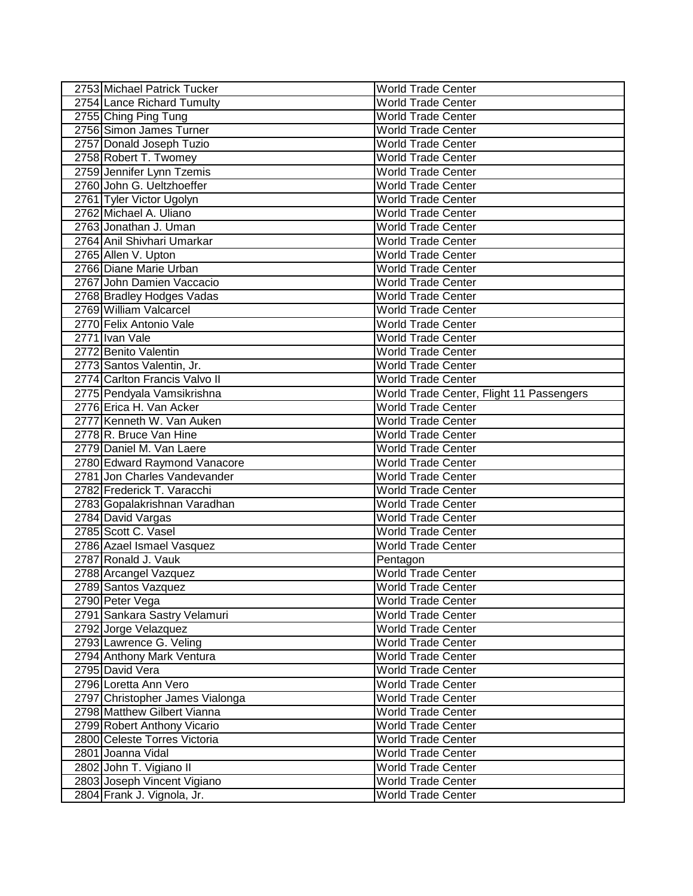| 2753 Michael Patrick Tucker                  | <b>World Trade Center</b>                              |
|----------------------------------------------|--------------------------------------------------------|
| 2754 Lance Richard Tumulty                   | World Trade Center                                     |
| 2755 Ching Ping Tung                         | World Trade Center                                     |
| 2756 Simon James Turner                      | <b>World Trade Center</b>                              |
| 2757 Donald Joseph Tuzio                     | <b>World Trade Center</b>                              |
| 2758 Robert T. Twomey                        | <b>World Trade Center</b>                              |
| 2759 Jennifer Lynn Tzemis                    | <b>World Trade Center</b>                              |
| 2760 John G. Ueltzhoeffer                    | <b>World Trade Center</b>                              |
| 2761 Tyler Victor Ugolyn                     | <b>World Trade Center</b>                              |
| 2762 Michael A. Uliano                       | <b>World Trade Center</b>                              |
| 2763 Jonathan J. Uman                        | <b>World Trade Center</b>                              |
| 2764 Anil Shivhari Umarkar                   | <b>World Trade Center</b>                              |
| 2765 Allen V. Upton                          | <b>World Trade Center</b>                              |
| 2766 Diane Marie Urban                       | <b>World Trade Center</b>                              |
| 2767 John Damien Vaccacio                    | <b>World Trade Center</b>                              |
| 2768 Bradley Hodges Vadas                    | <b>World Trade Center</b>                              |
| 2769 William Valcarcel                       | <b>World Trade Center</b>                              |
| 2770 Felix Antonio Vale                      | <b>World Trade Center</b>                              |
| 2771 Ivan Vale                               | <b>World Trade Center</b>                              |
| 2772 Benito Valentin                         | <b>World Trade Center</b>                              |
| 2773 Santos Valentin, Jr.                    | <b>World Trade Center</b>                              |
| 2774 Carlton Francis Valvo II                | <b>World Trade Center</b>                              |
| 2775 Pendyala Vamsikrishna                   | World Trade Center, Flight 11 Passengers               |
| 2776 Erica H. Van Acker                      | <b>World Trade Center</b>                              |
| 2777 Kenneth W. Van Auken                    | <b>World Trade Center</b>                              |
| 2778 R. Bruce Van Hine                       | <b>World Trade Center</b>                              |
| 2779 Daniel M. Van Laere                     | <b>World Trade Center</b>                              |
| 2780 Edward Raymond Vanacore                 | <b>World Trade Center</b>                              |
| 2781 Jon Charles Vandevander                 | <b>World Trade Center</b>                              |
| 2782 Frederick T. Varacchi                   | <b>World Trade Center</b>                              |
| 2783 Gopalakrishnan Varadhan                 | <b>World Trade Center</b>                              |
| 2784 David Vargas                            | <b>World Trade Center</b>                              |
| 2785 Scott C. Vasel                          | <b>World Trade Center</b>                              |
| 2786 Azael Ismael Vasquez                    | <b>World Trade Center</b>                              |
| 2787 Ronald J. Vauk                          |                                                        |
|                                              | Pentagon<br><b>World Trade Center</b>                  |
| 2788 Arcangel Vazquez<br>2789 Santos Vazquez | World Trade Center                                     |
| 2790 Peter Vega                              |                                                        |
|                                              | <b>World Trade Center</b>                              |
| 2791 Sankara Sastry Velamuri                 | <b>World Trade Center</b>                              |
| 2792 Jorge Velazquez                         | <b>World Trade Center</b>                              |
| 2793 Lawrence G. Veling                      | <b>World Trade Center</b>                              |
| 2794 Anthony Mark Ventura                    | <b>World Trade Center</b>                              |
| 2795 David Vera                              | <b>World Trade Center</b><br><b>World Trade Center</b> |
| 2796 Loretta Ann Vero                        |                                                        |
| 2797 Christopher James Vialonga              | <b>World Trade Center</b>                              |
| 2798 Matthew Gilbert Vianna                  | <b>World Trade Center</b>                              |
| 2799 Robert Anthony Vicario                  | <b>World Trade Center</b>                              |
| 2800 Celeste Torres Victoria                 | <b>World Trade Center</b>                              |
| 2801 Joanna Vidal                            | <b>World Trade Center</b>                              |
| 2802 John T. Vigiano II                      | <b>World Trade Center</b>                              |
| 2803 Joseph Vincent Vigiano                  | <b>World Trade Center</b>                              |
| 2804 Frank J. Vignola, Jr.                   | <b>World Trade Center</b>                              |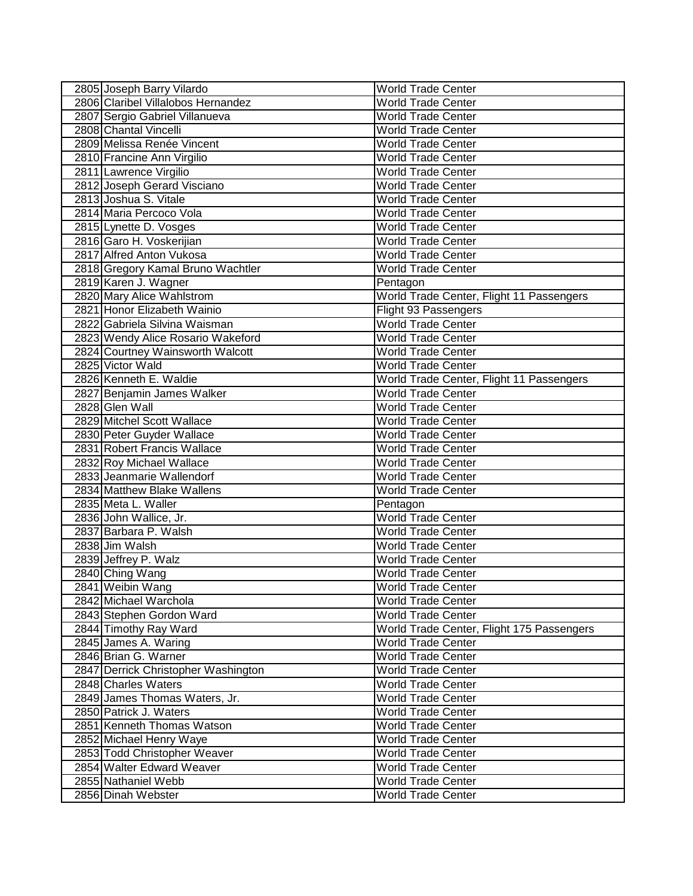| 2805 Joseph Barry Vilardo           | <b>World Trade Center</b>                 |
|-------------------------------------|-------------------------------------------|
| 2806 Claribel Villalobos Hernandez  | <b>World Trade Center</b>                 |
| 2807 Sergio Gabriel Villanueva      | <b>World Trade Center</b>                 |
| 2808 Chantal Vincelli               | <b>World Trade Center</b>                 |
| 2809 Melissa Renée Vincent          | <b>World Trade Center</b>                 |
| 2810 Francine Ann Virgilio          | <b>World Trade Center</b>                 |
| 2811 Lawrence Virgilio              | <b>World Trade Center</b>                 |
| 2812 Joseph Gerard Visciano         | <b>World Trade Center</b>                 |
| 2813 Joshua S. Vitale               | <b>World Trade Center</b>                 |
| 2814 Maria Percoco Vola             | <b>World Trade Center</b>                 |
| 2815 Lynette D. Vosges              | <b>World Trade Center</b>                 |
| 2816 Garo H. Voskerijian            | <b>World Trade Center</b>                 |
| 2817 Alfred Anton Vukosa            | <b>World Trade Center</b>                 |
| 2818 Gregory Kamal Bruno Wachtler   | <b>World Trade Center</b>                 |
| 2819 Karen J. Wagner                | Pentagon                                  |
| 2820 Mary Alice Wahlstrom           | World Trade Center, Flight 11 Passengers  |
| 2821 Honor Elizabeth Wainio         | Flight 93 Passengers                      |
| 2822 Gabriela Silvina Waisman       | <b>World Trade Center</b>                 |
| 2823 Wendy Alice Rosario Wakeford   | <b>World Trade Center</b>                 |
| 2824 Courtney Wainsworth Walcott    | <b>World Trade Center</b>                 |
| 2825 Victor Wald                    | <b>World Trade Center</b>                 |
| 2826 Kenneth E. Waldie              | World Trade Center, Flight 11 Passengers  |
| 2827 Benjamin James Walker          | <b>World Trade Center</b>                 |
| 2828 Glen Wall                      | <b>World Trade Center</b>                 |
| 2829 Mitchel Scott Wallace          | World Trade Center                        |
| 2830 Peter Guyder Wallace           | <b>World Trade Center</b>                 |
| 2831 Robert Francis Wallace         | <b>World Trade Center</b>                 |
| 2832 Roy Michael Wallace            | <b>World Trade Center</b>                 |
| 2833 Jeanmarie Wallendorf           | <b>World Trade Center</b>                 |
| 2834 Matthew Blake Wallens          | <b>World Trade Center</b>                 |
| 2835 Meta L. Waller                 | Pentagon                                  |
| 2836 John Wallice, Jr.              | <b>World Trade Center</b>                 |
| 2837 Barbara P. Walsh               | <b>World Trade Center</b>                 |
| 2838 Jim Walsh                      |                                           |
|                                     | <b>World Trade Center</b>                 |
| 2839 Jeffrey P. Walz                | <b>World Trade Center</b>                 |
| 2840 Ching Wang                     | <b>World Trade Center</b>                 |
| 2841 Weibin Wang                    | World Trade Center                        |
| 2842 Michael Warchola               | <b>World Trade Center</b>                 |
| 2843 Stephen Gordon Ward            | <b>World Trade Center</b>                 |
| 2844 Timothy Ray Ward               | World Trade Center, Flight 175 Passengers |
| 2845 James A. Waring                | <b>World Trade Center</b>                 |
| 2846 Brian G. Warner                | <b>World Trade Center</b>                 |
| 2847 Derrick Christopher Washington | <b>World Trade Center</b>                 |
| 2848 Charles Waters                 | <b>World Trade Center</b>                 |
| 2849 James Thomas Waters, Jr.       | <b>World Trade Center</b>                 |
| 2850 Patrick J. Waters              | <b>World Trade Center</b>                 |
| 2851 Kenneth Thomas Watson          | <b>World Trade Center</b>                 |
| 2852 Michael Henry Waye             | <b>World Trade Center</b>                 |
| 2853 Todd Christopher Weaver        | <b>World Trade Center</b>                 |
| 2854 Walter Edward Weaver           | <b>World Trade Center</b>                 |
| 2855 Nathaniel Webb                 | <b>World Trade Center</b>                 |
| 2856 Dinah Webster                  | <b>World Trade Center</b>                 |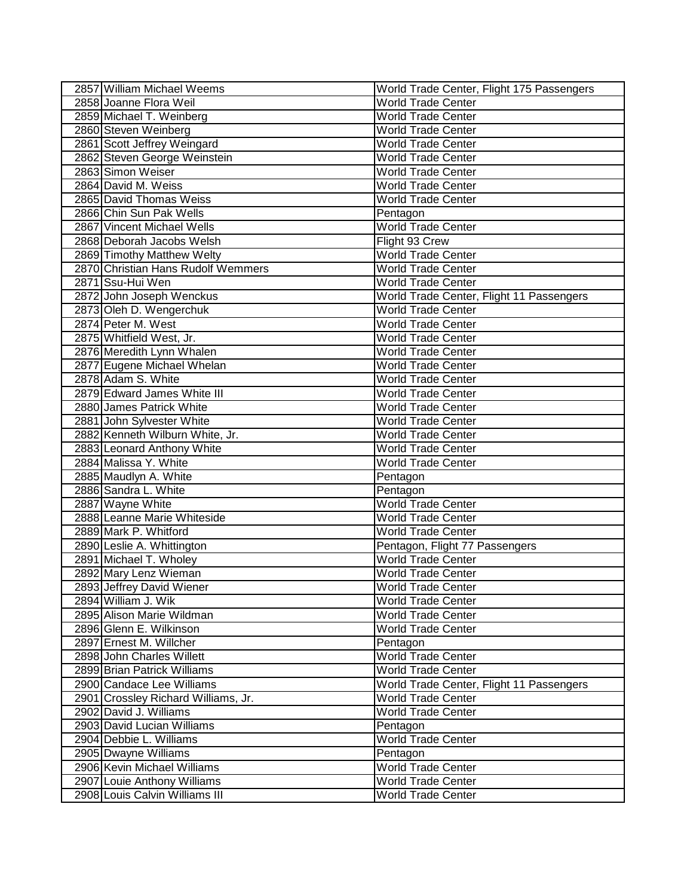| 2857 William Michael Weems                           | World Trade Center, Flight 175 Passengers                   |
|------------------------------------------------------|-------------------------------------------------------------|
| 2858 Joanne Flora Weil                               | <b>World Trade Center</b>                                   |
| 2859 Michael T. Weinberg                             | <b>World Trade Center</b>                                   |
| 2860 Steven Weinberg                                 | <b>World Trade Center</b>                                   |
| 2861 Scott Jeffrey Weingard                          | <b>World Trade Center</b>                                   |
| 2862 Steven George Weinstein                         | <b>World Trade Center</b>                                   |
| 2863 Simon Weiser                                    | <b>World Trade Center</b>                                   |
| 2864 David M. Weiss                                  | <b>World Trade Center</b>                                   |
| 2865 David Thomas Weiss                              | <b>World Trade Center</b>                                   |
| 2866 Chin Sun Pak Wells                              | Pentagon                                                    |
| 2867 Vincent Michael Wells                           | <b>World Trade Center</b>                                   |
| 2868 Deborah Jacobs Welsh                            | Flight 93 Crew                                              |
| 2869 Timothy Matthew Welty                           | <b>World Trade Center</b>                                   |
| 2870 Christian Hans Rudolf Wemmers                   | <b>World Trade Center</b>                                   |
| 2871 Ssu-Hui Wen                                     | <b>World Trade Center</b>                                   |
| 2872 John Joseph Wenckus                             | World Trade Center, Flight 11 Passengers                    |
| 2873 Oleh D. Wengerchuk                              | <b>World Trade Center</b>                                   |
| 2874 Peter M. West                                   | <b>World Trade Center</b>                                   |
| 2875 Whitfield West, Jr.                             | <b>World Trade Center</b>                                   |
| 2876 Meredith Lynn Whalen                            | <b>World Trade Center</b>                                   |
| 2877 Eugene Michael Whelan                           | <b>World Trade Center</b>                                   |
| 2878 Adam S. White                                   | <b>World Trade Center</b>                                   |
| 2879 Edward James White III                          | <b>World Trade Center</b>                                   |
| 2880 James Patrick White                             | <b>World Trade Center</b>                                   |
| 2881 John Sylvester White                            | <b>World Trade Center</b>                                   |
| 2882 Kenneth Wilburn White, Jr.                      | <b>World Trade Center</b>                                   |
| 2883 Leonard Anthony White                           | <b>World Trade Center</b>                                   |
| 2884 Malissa Y. White                                | <b>World Trade Center</b>                                   |
| 2885 Maudlyn A. White                                | Pentagon                                                    |
| 2886 Sandra L. White                                 | Pentagon                                                    |
| 2887 Wayne White                                     | <b>World Trade Center</b>                                   |
| 2888 Leanne Marie Whiteside                          | <b>World Trade Center</b>                                   |
| 2889 Mark P. Whitford                                | <b>World Trade Center</b>                                   |
|                                                      |                                                             |
| 2890 Leslie A. Whittington<br>2891 Michael T. Wholey | Pentagon, Flight 77 Passengers<br><b>World Trade Center</b> |
|                                                      |                                                             |
| 2892 Mary Lenz Wieman                                | <b>World Trade Center</b>                                   |
| 2893 Jeffrey David Wiener                            | World Trade Center                                          |
| 2894 William J. Wik                                  | <b>World Trade Center</b>                                   |
| 2895 Alison Marie Wildman<br>2896 Glenn E. Wilkinson | <b>World Trade Center</b>                                   |
|                                                      | <b>World Trade Center</b>                                   |
| 2897 Ernest M. Willcher                              | Pentagon                                                    |
| 2898 John Charles Willett                            | <b>World Trade Center</b>                                   |
| 2899 Brian Patrick Williams                          | <b>World Trade Center</b>                                   |
| 2900 Candace Lee Williams                            | World Trade Center, Flight 11 Passengers                    |
| 2901 Crossley Richard Williams, Jr.                  | <b>World Trade Center</b>                                   |
| 2902 David J. Williams                               | <b>World Trade Center</b>                                   |
| 2903 David Lucian Williams                           | Pentagon                                                    |
| 2904 Debbie L. Williams                              | <b>World Trade Center</b>                                   |
| 2905 Dwayne Williams                                 | Pentagon                                                    |
| 2906 Kevin Michael Williams                          | <b>World Trade Center</b>                                   |
| 2907 Louie Anthony Williams                          | <b>World Trade Center</b>                                   |
| 2908 Louis Calvin Williams III                       | <b>World Trade Center</b>                                   |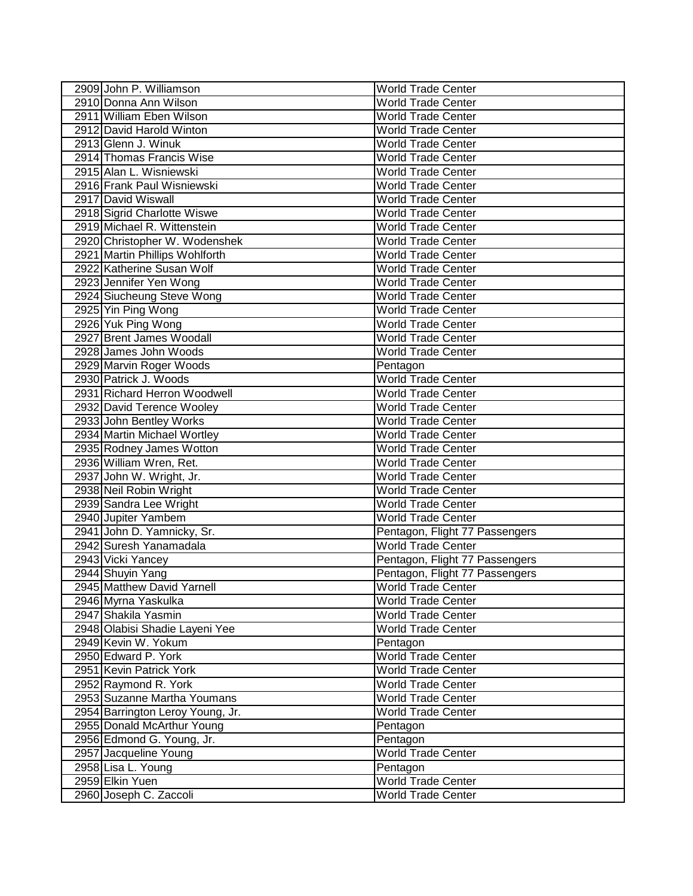| 2909 John P. Williamson          | <b>World Trade Center</b>      |
|----------------------------------|--------------------------------|
| 2910 Donna Ann Wilson            | World Trade Center             |
| 2911 William Eben Wilson         | <b>World Trade Center</b>      |
| 2912 David Harold Winton         | <b>World Trade Center</b>      |
| 2913 Glenn J. Winuk              | <b>World Trade Center</b>      |
| 2914 Thomas Francis Wise         | <b>World Trade Center</b>      |
| 2915 Alan L. Wisniewski          | <b>World Trade Center</b>      |
| 2916 Frank Paul Wisniewski       | <b>World Trade Center</b>      |
| 2917 David Wiswall               | <b>World Trade Center</b>      |
| 2918 Sigrid Charlotte Wiswe      | <b>World Trade Center</b>      |
| 2919 Michael R. Wittenstein      | <b>World Trade Center</b>      |
| 2920 Christopher W. Wodenshek    | <b>World Trade Center</b>      |
| 2921 Martin Phillips Wohlforth   | World Trade Center             |
| 2922 Katherine Susan Wolf        | <b>World Trade Center</b>      |
| 2923 Jennifer Yen Wong           | World Trade Center             |
| 2924 Siucheung Steve Wong        | <b>World Trade Center</b>      |
| 2925 Yin Ping Wong               | <b>World Trade Center</b>      |
| 2926 Yuk Ping Wong               | <b>World Trade Center</b>      |
| 2927 Brent James Woodall         | <b>World Trade Center</b>      |
| 2928 James John Woods            | <b>World Trade Center</b>      |
| 2929 Marvin Roger Woods          | Pentagon                       |
| 2930 Patrick J. Woods            | World Trade Center             |
| 2931 Richard Herron Woodwell     | <b>World Trade Center</b>      |
| 2932 David Terence Wooley        | <b>World Trade Center</b>      |
| 2933 John Bentley Works          | <b>World Trade Center</b>      |
| 2934 Martin Michael Wortley      | <b>World Trade Center</b>      |
| 2935 Rodney James Wotton         | <b>World Trade Center</b>      |
| 2936 William Wren, Ret.          | <b>World Trade Center</b>      |
| 2937 John W. Wright, Jr.         | <b>World Trade Center</b>      |
| 2938 Neil Robin Wright           | <b>World Trade Center</b>      |
| 2939 Sandra Lee Wright           | <b>World Trade Center</b>      |
| 2940 Jupiter Yambem              | <b>World Trade Center</b>      |
| 2941 John D. Yamnicky, Sr.       | Pentagon, Flight 77 Passengers |
| 2942 Suresh Yanamadala           | World Trade Center             |
| 2943 Vicki Yancey                | Pentagon, Flight 77 Passengers |
| 2944 Shuyin Yang                 | Pentagon, Flight 77 Passengers |
| 2945 Matthew David Yarnell       | <b>World Trade Center</b>      |
| 2946 Myrna Yaskulka              | <b>World Trade Center</b>      |
| 2947 Shakila Yasmin              | <b>World Trade Center</b>      |
| 2948 Olabisi Shadie Layeni Yee   | <b>World Trade Center</b>      |
| 2949 Kevin W. Yokum              | Pentagon                       |
| 2950 Edward P. York              | <b>World Trade Center</b>      |
| 2951 Kevin Patrick York          | <b>World Trade Center</b>      |
| 2952 Raymond R. York             | World Trade Center             |
| 2953 Suzanne Martha Youmans      | World Trade Center             |
| 2954 Barrington Leroy Young, Jr. | <b>World Trade Center</b>      |
| 2955 Donald McArthur Young       | Pentagon                       |
| 2956 Edmond G. Young, Jr.        | Pentagon                       |
| 2957 Jacqueline Young            | <b>World Trade Center</b>      |
| 2958 Lisa L. Young               | Pentagon                       |
| 2959 Elkin Yuen                  | <b>World Trade Center</b>      |
| 2960 Joseph C. Zaccoli           | <b>World Trade Center</b>      |